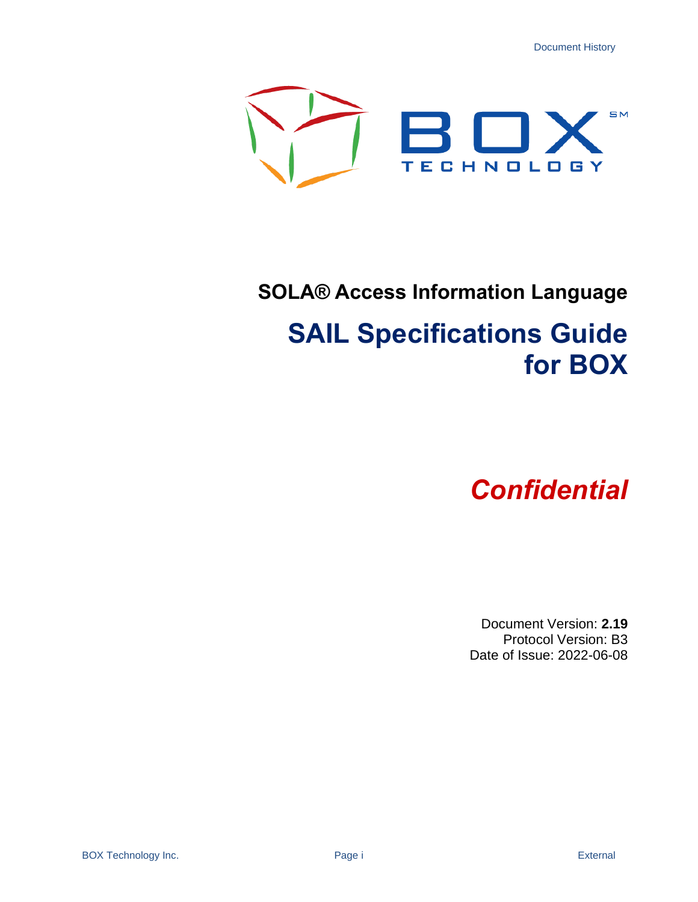Document History



## **SOLA® Access Information Language**

# **SAIL Specifications Guide for BOX**

# *Confidential*

Document Version: **2.19** Protocol Version: B3 Date of Issue: 2022-06-08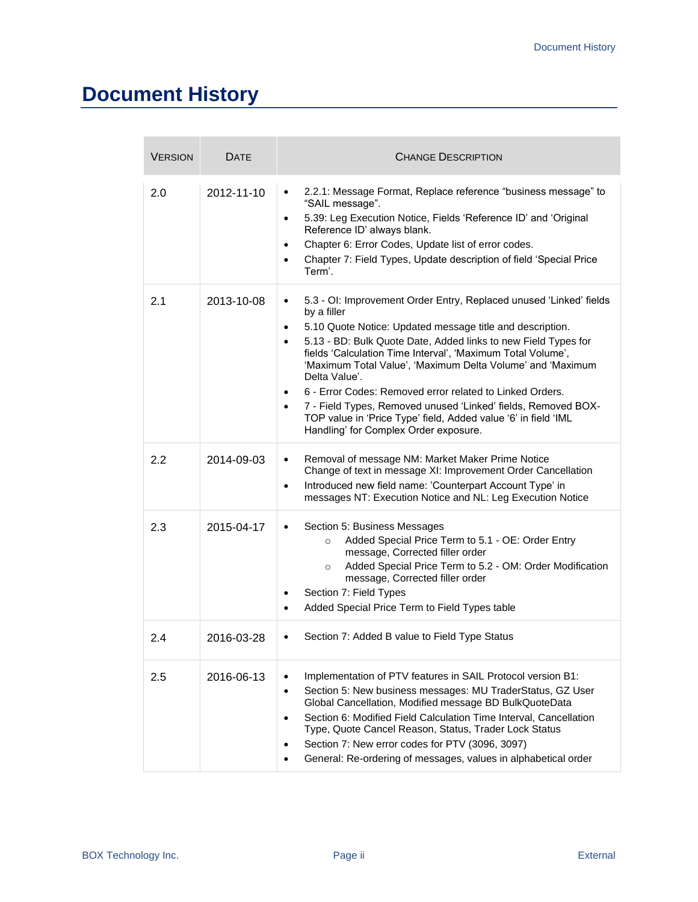## **Document History**

| <b>VERSION</b> | DATE       | <b>CHANGE DESCRIPTION</b>                                                                                                                                                                                                                                                                                                                                                                                                                                                                                                                                                                                                                               |
|----------------|------------|---------------------------------------------------------------------------------------------------------------------------------------------------------------------------------------------------------------------------------------------------------------------------------------------------------------------------------------------------------------------------------------------------------------------------------------------------------------------------------------------------------------------------------------------------------------------------------------------------------------------------------------------------------|
| 2.0            | 2012-11-10 | 2.2.1: Message Format, Replace reference "business message" to<br>$\bullet$<br>"SAIL message".<br>5.39: Leg Execution Notice, Fields 'Reference ID' and 'Original<br>$\bullet$<br>Reference ID' always blank.<br>Chapter 6: Error Codes, Update list of error codes.<br>$\bullet$<br>Chapter 7: Field Types, Update description of field 'Special Price<br>$\bullet$<br>Term'.                                                                                                                                                                                                                                                                          |
| 2.1            | 2013-10-08 | 5.3 - OI: Improvement Order Entry, Replaced unused 'Linked' fields<br>٠<br>by a filler<br>5.10 Quote Notice: Updated message title and description.<br>$\bullet$<br>5.13 - BD: Bulk Quote Date, Added links to new Field Types for<br>$\bullet$<br>fields 'Calculation Time Interval', 'Maximum Total Volume',<br>'Maximum Total Value', 'Maximum Delta Volume' and 'Maximum<br>Delta Value'.<br>6 - Error Codes: Removed error related to Linked Orders.<br>٠<br>7 - Field Types, Removed unused 'Linked' fields, Removed BOX-<br>$\bullet$<br>TOP value in 'Price Type' field, Added value '6' in field 'IML<br>Handling' for Complex Order exposure. |
| 2.2            | 2014-09-03 | Removal of message NM: Market Maker Prime Notice<br>$\bullet$<br>Change of text in message XI: Improvement Order Cancellation<br>Introduced new field name: 'Counterpart Account Type' in<br>$\bullet$<br>messages NT: Execution Notice and NL: Leg Execution Notice                                                                                                                                                                                                                                                                                                                                                                                    |
| 2.3            | 2015-04-17 | Section 5: Business Messages<br>$\bullet$<br>Added Special Price Term to 5.1 - OE: Order Entry<br>$\circ$<br>message, Corrected filler order<br>Added Special Price Term to 5.2 - OM: Order Modification<br>$\circ$<br>message, Corrected filler order<br>Section 7: Field Types<br>$\bullet$<br>Added Special Price Term to Field Types table<br>$\bullet$                                                                                                                                                                                                                                                                                             |
| 2.4            | 2016-03-28 | Section 7: Added B value to Field Type Status<br>$\bullet$                                                                                                                                                                                                                                                                                                                                                                                                                                                                                                                                                                                              |
| 2.5            | 2016-06-13 | Implementation of PTV features in SAIL Protocol version B1:<br>$\bullet$<br>Section 5: New business messages: MU TraderStatus, GZ User<br>$\bullet$<br>Global Cancellation, Modified message BD BulkQuoteData<br>Section 6: Modified Field Calculation Time Interval, Cancellation<br>$\bullet$<br>Type, Quote Cancel Reason, Status, Trader Lock Status<br>Section 7: New error codes for PTV (3096, 3097)<br>٠<br>General: Re-ordering of messages, values in alphabetical order<br>$\bullet$                                                                                                                                                         |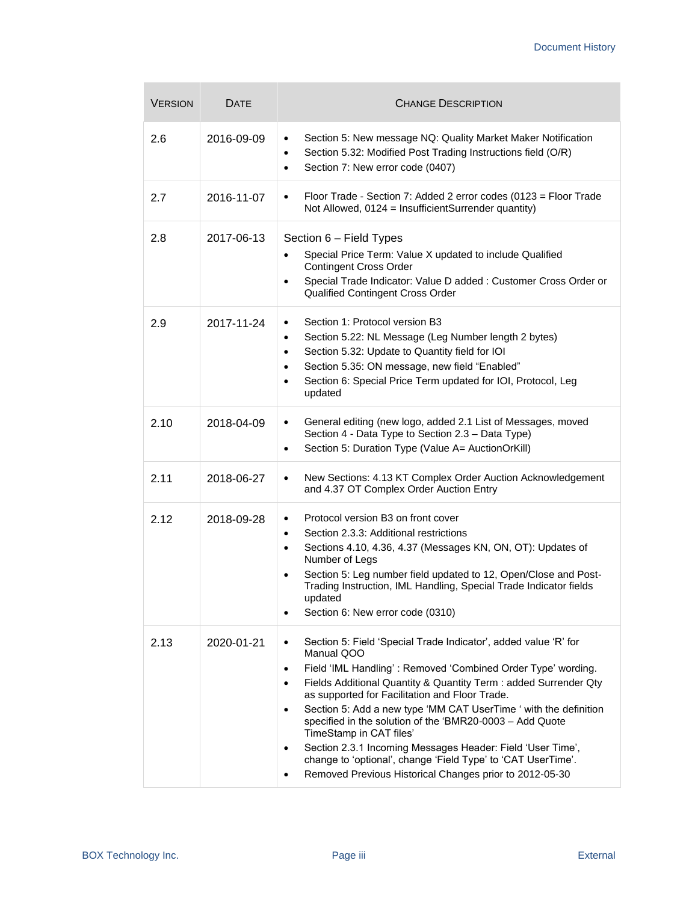| <b>VERSION</b> | DATE       | <b>CHANGE DESCRIPTION</b>                                                                                                                                                                                                                                                                                                                                                                                                                                                                                                                                                                                                                              |
|----------------|------------|--------------------------------------------------------------------------------------------------------------------------------------------------------------------------------------------------------------------------------------------------------------------------------------------------------------------------------------------------------------------------------------------------------------------------------------------------------------------------------------------------------------------------------------------------------------------------------------------------------------------------------------------------------|
| 2.6            | 2016-09-09 | Section 5: New message NQ: Quality Market Maker Notification<br>Section 5.32: Modified Post Trading Instructions field (O/R)<br>٠<br>Section 7: New error code (0407)<br>$\bullet$                                                                                                                                                                                                                                                                                                                                                                                                                                                                     |
| 2.7            | 2016-11-07 | Floor Trade - Section 7: Added 2 error codes (0123 = Floor Trade<br>٠<br>Not Allowed, 0124 = InsufficientSurrender quantity)                                                                                                                                                                                                                                                                                                                                                                                                                                                                                                                           |
| 2.8            | 2017-06-13 | Section 6 - Field Types<br>Special Price Term: Value X updated to include Qualified<br>$\bullet$<br><b>Contingent Cross Order</b><br>Special Trade Indicator: Value D added : Customer Cross Order or<br>$\bullet$<br>Qualified Contingent Cross Order                                                                                                                                                                                                                                                                                                                                                                                                 |
| 2.9            | 2017-11-24 | Section 1: Protocol version B3<br>$\bullet$<br>Section 5.22: NL Message (Leg Number length 2 bytes)<br>$\bullet$<br>Section 5.32: Update to Quantity field for IOI<br>$\bullet$<br>Section 5.35: ON message, new field "Enabled"<br>$\bullet$<br>Section 6: Special Price Term updated for IOI, Protocol, Leg<br>$\bullet$<br>updated                                                                                                                                                                                                                                                                                                                  |
| 2.10           | 2018-04-09 | General editing (new logo, added 2.1 List of Messages, moved<br>$\bullet$<br>Section 4 - Data Type to Section 2.3 - Data Type)<br>Section 5: Duration Type (Value A= AuctionOrKill)<br>$\bullet$                                                                                                                                                                                                                                                                                                                                                                                                                                                       |
| 2.11           | 2018-06-27 | New Sections: 4.13 KT Complex Order Auction Acknowledgement<br>$\bullet$<br>and 4.37 OT Complex Order Auction Entry                                                                                                                                                                                                                                                                                                                                                                                                                                                                                                                                    |
| 2.12           | 2018-09-28 | Protocol version B3 on front cover<br>Section 2.3.3: Additional restrictions<br>$\bullet$<br>Sections 4.10, 4.36, 4.37 (Messages KN, ON, OT): Updates of<br>٠<br>Number of Legs<br>Section 5: Leg number field updated to 12, Open/Close and Post-<br>$\bullet$<br>Trading Instruction, IML Handling, Special Trade Indicator fields<br>updated<br>Section 6: New error code (0310)<br>٠                                                                                                                                                                                                                                                               |
| 2.13           | 2020-01-21 | Section 5: Field 'Special Trade Indicator', added value 'R' for<br>Manual QOO<br>Field 'IML Handling': Removed 'Combined Order Type' wording.<br>$\bullet$<br>Fields Additional Quantity & Quantity Term : added Surrender Qty<br>٠<br>as supported for Facilitation and Floor Trade.<br>Section 5: Add a new type 'MM CAT UserTime ' with the definition<br>specified in the solution of the 'BMR20-0003 - Add Quote<br>TimeStamp in CAT files'<br>Section 2.3.1 Incoming Messages Header: Field 'User Time',<br>$\bullet$<br>change to 'optional', change 'Field Type' to 'CAT UserTime'.<br>Removed Previous Historical Changes prior to 2012-05-30 |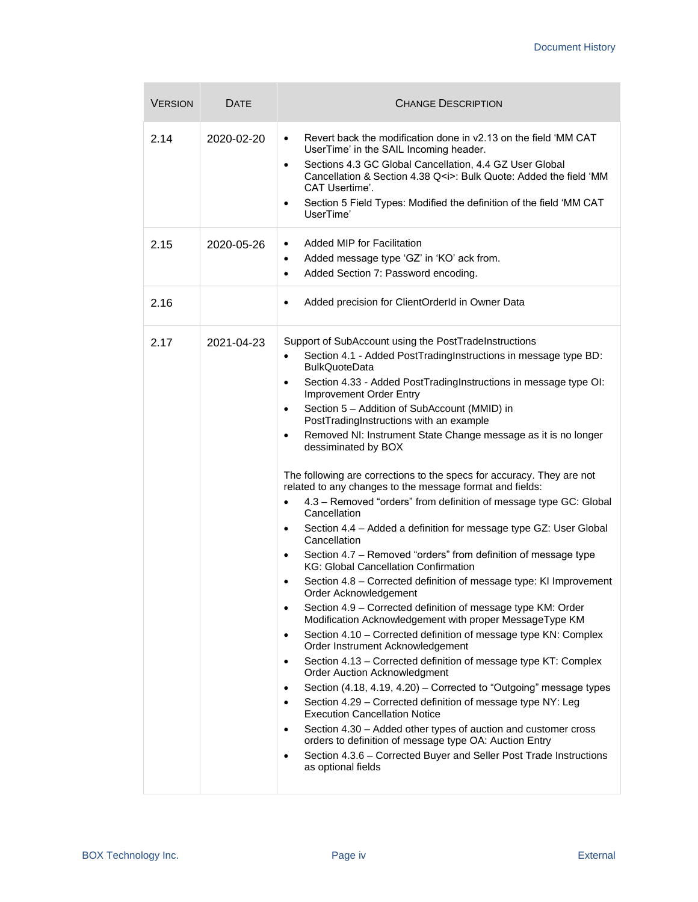| <b>VERSION</b> | DATE       | <b>CHANGE DESCRIPTION</b>                                                                                                                                                                                                                                                                                                                                                                                                                                                                                                                                                                                                                                                                                                                                                                                                                                                                                                                                                                                                                                                                                                                                                                                                                                                                                                                                                                                                                                                                                                                                                                                                                                                                                                                                                                                                                                                                                      |
|----------------|------------|----------------------------------------------------------------------------------------------------------------------------------------------------------------------------------------------------------------------------------------------------------------------------------------------------------------------------------------------------------------------------------------------------------------------------------------------------------------------------------------------------------------------------------------------------------------------------------------------------------------------------------------------------------------------------------------------------------------------------------------------------------------------------------------------------------------------------------------------------------------------------------------------------------------------------------------------------------------------------------------------------------------------------------------------------------------------------------------------------------------------------------------------------------------------------------------------------------------------------------------------------------------------------------------------------------------------------------------------------------------------------------------------------------------------------------------------------------------------------------------------------------------------------------------------------------------------------------------------------------------------------------------------------------------------------------------------------------------------------------------------------------------------------------------------------------------------------------------------------------------------------------------------------------------|
| 2.14           | 2020-02-20 | Revert back the modification done in y2.13 on the field 'MM CAT<br>$\bullet$<br>UserTime' in the SAIL Incoming header.<br>Sections 4.3 GC Global Cancellation, 4.4 GZ User Global<br>$\bullet$<br>Cancellation & Section 4.38 Q <i>: Bulk Quote: Added the field 'MM<br/>CAT Usertime'.<br/>Section 5 Field Types: Modified the definition of the field 'MM CAT<br/><math display="inline">\bullet</math><br/>UserTime'</i>                                                                                                                                                                                                                                                                                                                                                                                                                                                                                                                                                                                                                                                                                                                                                                                                                                                                                                                                                                                                                                                                                                                                                                                                                                                                                                                                                                                                                                                                                    |
| 2.15           | 2020-05-26 | Added MIP for Facilitation<br>$\bullet$<br>Added message type 'GZ' in 'KO' ack from.<br>٠<br>Added Section 7: Password encoding.<br>$\bullet$                                                                                                                                                                                                                                                                                                                                                                                                                                                                                                                                                                                                                                                                                                                                                                                                                                                                                                                                                                                                                                                                                                                                                                                                                                                                                                                                                                                                                                                                                                                                                                                                                                                                                                                                                                  |
| 2.16           |            | Added precision for ClientOrderId in Owner Data<br>$\bullet$                                                                                                                                                                                                                                                                                                                                                                                                                                                                                                                                                                                                                                                                                                                                                                                                                                                                                                                                                                                                                                                                                                                                                                                                                                                                                                                                                                                                                                                                                                                                                                                                                                                                                                                                                                                                                                                   |
| 2.17           | 2021-04-23 | Support of SubAccount using the PostTradeInstructions<br>Section 4.1 - Added PostTradingInstructions in message type BD:<br>$\bullet$<br><b>BulkQuoteData</b><br>Section 4.33 - Added PostTradingInstructions in message type OI:<br>$\bullet$<br>Improvement Order Entry<br>Section 5 - Addition of SubAccount (MMID) in<br>٠<br>PostTradingInstructions with an example<br>Removed NI: Instrument State Change message as it is no longer<br>$\bullet$<br>dessiminated by BOX<br>The following are corrections to the specs for accuracy. They are not<br>related to any changes to the message format and fields:<br>4.3 - Removed "orders" from definition of message type GC: Global<br>$\bullet$<br>Cancellation<br>Section 4.4 - Added a definition for message type GZ: User Global<br>$\bullet$<br>Cancellation<br>Section 4.7 - Removed "orders" from definition of message type<br>$\bullet$<br><b>KG: Global Cancellation Confirmation</b><br>Section 4.8 - Corrected definition of message type: KI Improvement<br>$\bullet$<br>Order Acknowledgement<br>Section 4.9 - Corrected definition of message type KM: Order<br>$\bullet$<br>Modification Acknowledgement with proper MessageType KM<br>Section 4.10 - Corrected definition of message type KN: Complex<br>$\bullet$<br>Order Instrument Acknowledgement<br>Section 4.13 – Corrected definition of message type KT: Complex<br>$\bullet$<br><b>Order Auction Acknowledgment</b><br>Section (4.18, 4.19, 4.20) - Corrected to "Outgoing" message types<br>$\bullet$<br>Section 4.29 - Corrected definition of message type NY: Leg<br>$\bullet$<br><b>Execution Cancellation Notice</b><br>Section 4.30 - Added other types of auction and customer cross<br>$\bullet$<br>orders to definition of message type OA: Auction Entry<br>Section 4.3.6 - Corrected Buyer and Seller Post Trade Instructions<br>$\bullet$<br>as optional fields |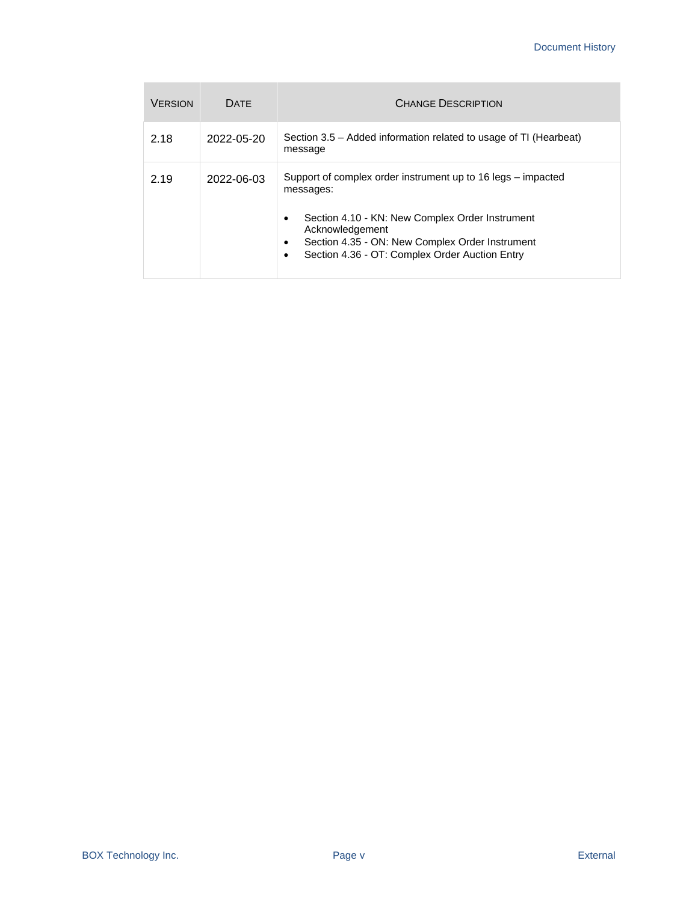| <b>VERSION</b> | <b>DATE</b> | <b>CHANGE DESCRIPTION</b>                                                                                                                                                                                                                                                   |
|----------------|-------------|-----------------------------------------------------------------------------------------------------------------------------------------------------------------------------------------------------------------------------------------------------------------------------|
| 2.18           | 2022-05-20  | Section 3.5 – Added information related to usage of TI (Hearbeat)<br>message                                                                                                                                                                                                |
| 2.19           | 2022-06-03  | Support of complex order instrument up to 16 legs – impacted<br>messages:<br>Section 4.10 - KN: New Complex Order Instrument<br>٠<br>Acknowledgement<br>Section 4.35 - ON: New Complex Order Instrument<br>$\bullet$<br>Section 4.36 - OT: Complex Order Auction Entry<br>٠ |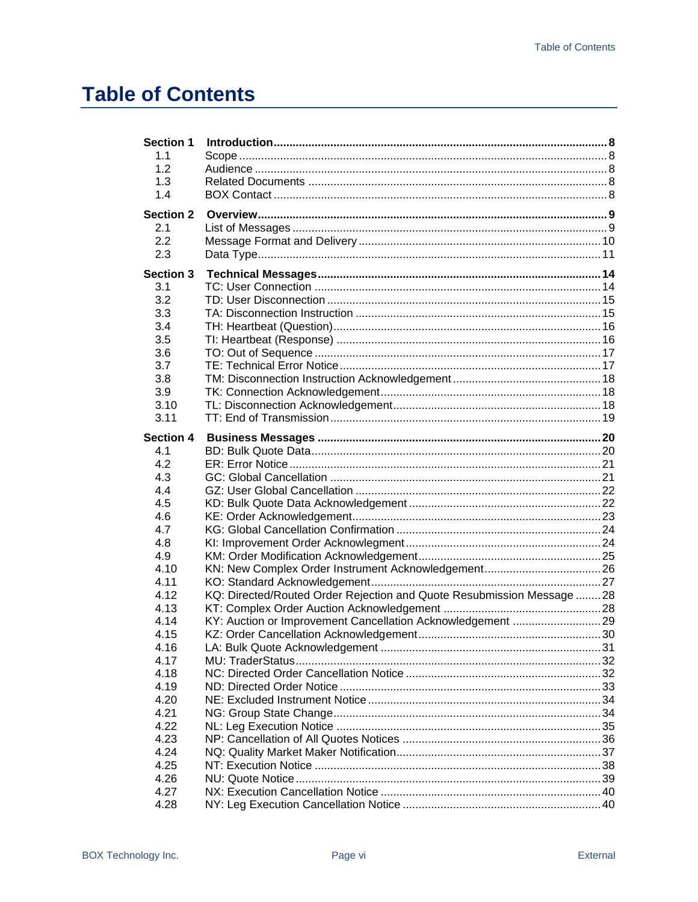## **Table of Contents**

| <b>Section 1</b><br>1.1<br>1.2<br>1.3<br>1.4                                                    |                                                                                                                                       |  |
|-------------------------------------------------------------------------------------------------|---------------------------------------------------------------------------------------------------------------------------------------|--|
| <b>Section 2</b><br>2.1<br>2.2<br>2.3                                                           |                                                                                                                                       |  |
| <b>Section 3</b><br>3.1<br>3.2<br>3.3<br>3.4<br>3.5<br>3.6<br>3.7<br>3.8<br>3.9<br>3.10<br>3.11 |                                                                                                                                       |  |
| <b>Section 4</b><br>4.1<br>4.2<br>4.3<br>4.4<br>4.5                                             |                                                                                                                                       |  |
| 4.6<br>4.7<br>4.8<br>4.9<br>4.10<br>4.11                                                        |                                                                                                                                       |  |
| 4.12<br>4.13<br>4.14<br>4.15<br>4.16                                                            | KQ: Directed/Routed Order Rejection and Quote Resubmission Message  28<br>KY: Auction or Improvement Cancellation Acknowledgement  29 |  |
| 4.17<br>4.18<br>4.19<br>4.20<br>4.21<br>4.22                                                    |                                                                                                                                       |  |
| 4.23<br>4.24<br>4.25<br>4.26<br>4.27<br>4.28                                                    |                                                                                                                                       |  |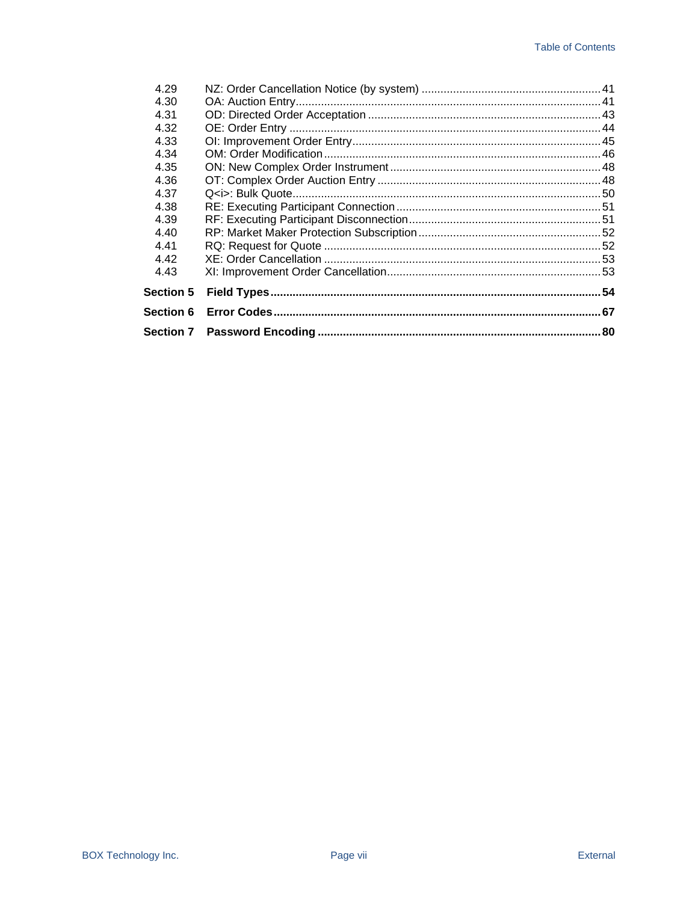| <b>Section 6</b> |    |
|------------------|----|
| <b>Section 5</b> | 54 |
| 4.43             |    |
| 4.42             |    |
| 4.41             |    |
| 4.40             |    |
| 4.39             |    |
| 4.38             |    |
| 4.37             |    |
| 4.36             |    |
| 4.35             |    |
| 4.34             |    |
| 4.33             |    |
| 4.32             |    |
| 4.30<br>4.31     |    |
|                  |    |
| 4.29             |    |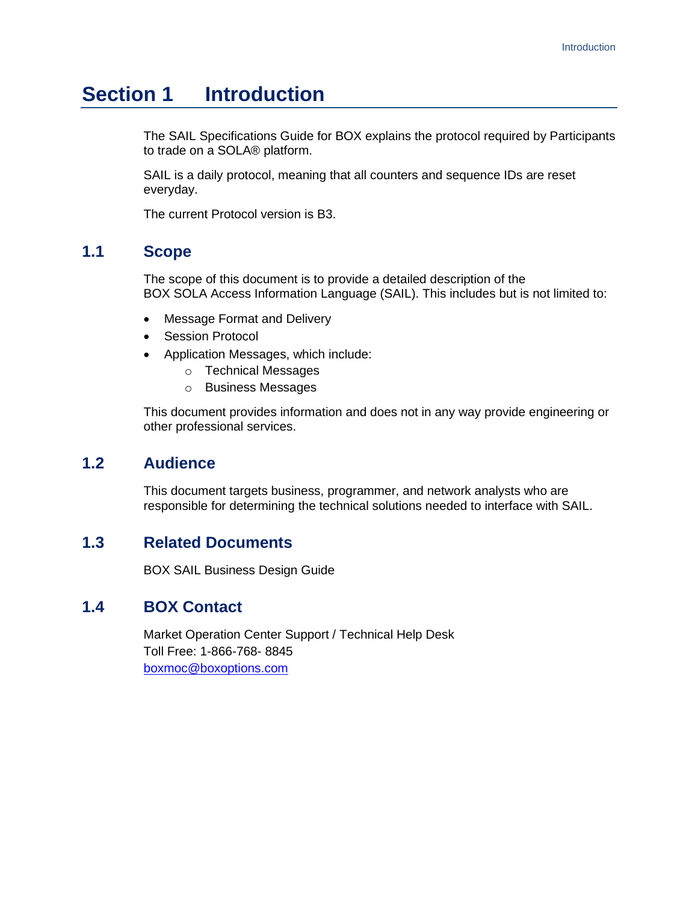## <span id="page-7-0"></span>**Section 1 Introduction**

The SAIL Specifications Guide for BOX explains the protocol required by Participants to trade on a SOLA® platform.

SAIL is a daily protocol, meaning that all counters and sequence IDs are reset everyday.

The current Protocol version is B3.

### <span id="page-7-1"></span>**1.1 Scope**

The scope of this document is to provide a detailed description of the BOX SOLA Access Information Language (SAIL). This includes but is not limited to:

- Message Format and Delivery
- Session Protocol
- Application Messages, which include:
	- o Technical Messages
	- o Business Messages

This document provides information and does not in any way provide engineering or other professional services.

#### <span id="page-7-2"></span>**1.2 Audience**

This document targets business, programmer, and network analysts who are responsible for determining the technical solutions needed to interface with SAIL.

### <span id="page-7-3"></span>**1.3 Related Documents**

BOX SAIL Business Design Guide

### <span id="page-7-4"></span>**1.4 BOX Contact**

Market Operation Center Support / Technical Help Desk Toll Free: 1-866-768- 8845 [boxmoc@boxoptions.com](mailto:boxmoc@boxoptions.com)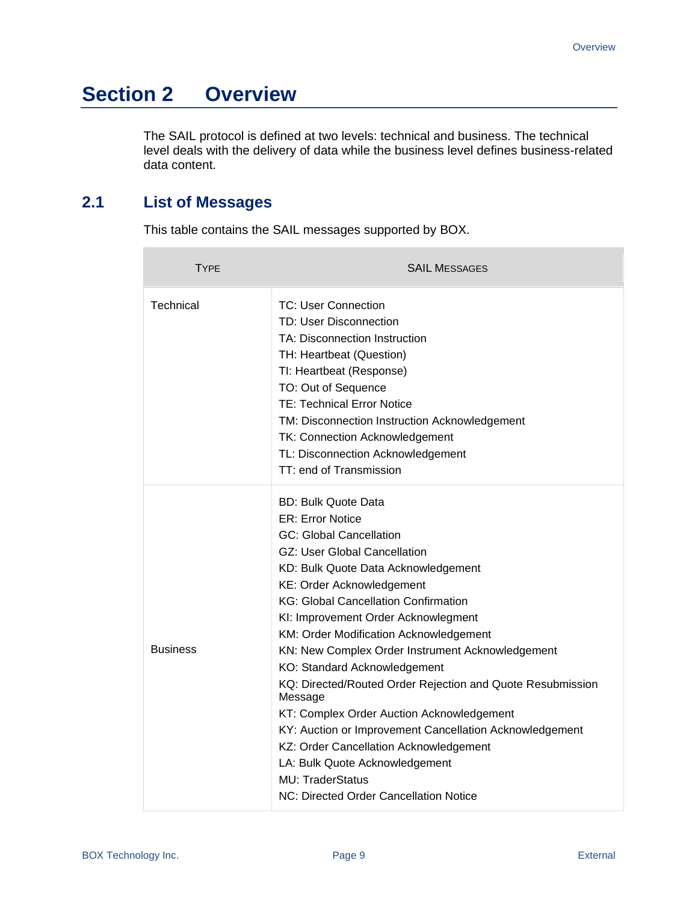## <span id="page-8-0"></span>**Section 2 Overview**

The SAIL protocol is defined at two levels: technical and business. The technical level deals with the delivery of data while the business level defines business-related data content.

## <span id="page-8-1"></span>**2.1 List of Messages**

 $\overline{\phantom{a}}$ 

This table contains the SAIL messages supported by BOX.

| TYPE            | <b>SAIL MESSAGES</b>                                                                                                                                                                                                                                                                                                                                                                                                                                                                                                                                                                                                                                                                                                                                     |
|-----------------|----------------------------------------------------------------------------------------------------------------------------------------------------------------------------------------------------------------------------------------------------------------------------------------------------------------------------------------------------------------------------------------------------------------------------------------------------------------------------------------------------------------------------------------------------------------------------------------------------------------------------------------------------------------------------------------------------------------------------------------------------------|
| Technical       | TC: User Connection<br>TD: User Disconnection<br>TA: Disconnection Instruction<br>TH: Heartbeat (Question)<br>TI: Heartbeat (Response)<br>TO: Out of Sequence<br><b>TE: Technical Error Notice</b><br>TM: Disconnection Instruction Acknowledgement<br><b>TK: Connection Acknowledgement</b><br>TL: Disconnection Acknowledgement<br>TT: end of Transmission                                                                                                                                                                                                                                                                                                                                                                                             |
| <b>Business</b> | <b>BD: Bulk Quote Data</b><br><b>ER: Error Notice</b><br><b>GC: Global Cancellation</b><br><b>GZ: User Global Cancellation</b><br>KD: Bulk Quote Data Acknowledgement<br><b>KE: Order Acknowledgement</b><br><b>KG: Global Cancellation Confirmation</b><br>KI: Improvement Order Acknowlegment<br>KM: Order Modification Acknowledgement<br>KN: New Complex Order Instrument Acknowledgement<br>KO: Standard Acknowledgement<br>KQ: Directed/Routed Order Rejection and Quote Resubmission<br>Message<br>KT: Complex Order Auction Acknowledgement<br>KY: Auction or Improvement Cancellation Acknowledgement<br>KZ: Order Cancellation Acknowledgement<br>LA: Bulk Quote Acknowledgement<br>MU: TraderStatus<br>NC: Directed Order Cancellation Notice |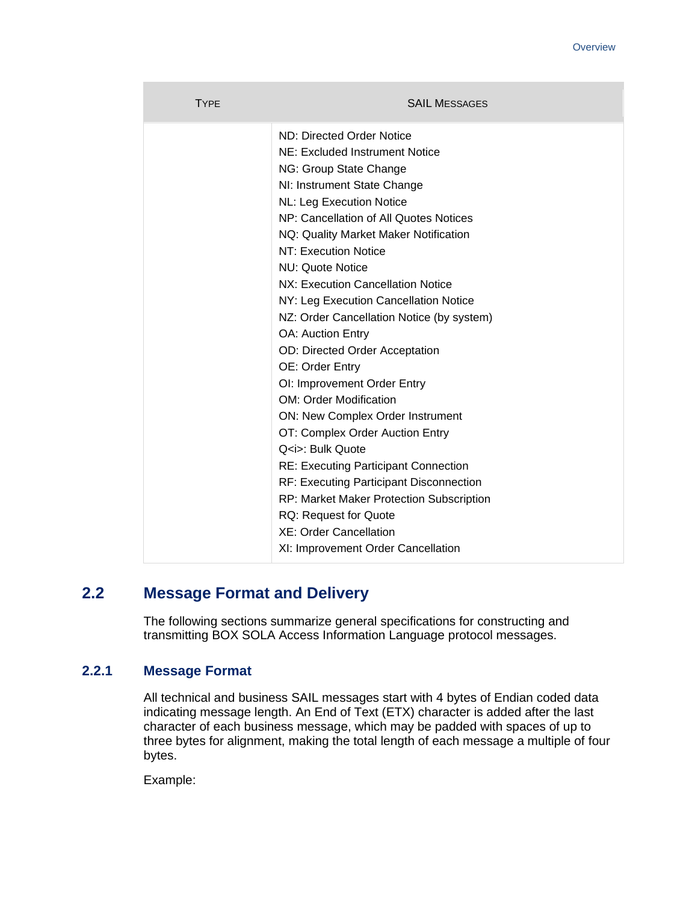| <b>TYPE</b> | <b>SAIL MESSAGES</b>                            |
|-------------|-------------------------------------------------|
|             | ND: Directed Order Notice                       |
|             | NE: Excluded Instrument Notice                  |
|             | NG: Group State Change                          |
|             | NI: Instrument State Change                     |
|             | NL: Leg Execution Notice                        |
|             | NP: Cancellation of All Quotes Notices          |
|             | NQ: Quality Market Maker Notification           |
|             | NT: Execution Notice                            |
|             | NU: Quote Notice                                |
|             | NX: Execution Cancellation Notice               |
|             | NY: Leg Execution Cancellation Notice           |
|             | NZ: Order Cancellation Notice (by system)       |
|             | <b>OA: Auction Entry</b>                        |
|             | <b>OD: Directed Order Acceptation</b>           |
|             | OE: Order Entry                                 |
|             | OI: Improvement Order Entry                     |
|             | <b>OM: Order Modification</b>                   |
|             | ON: New Complex Order Instrument                |
|             | OT: Complex Order Auction Entry                 |
|             | Q <i>: Bulk Quote</i>                           |
|             | <b>RE: Executing Participant Connection</b>     |
|             | RF: Executing Participant Disconnection         |
|             | <b>RP: Market Maker Protection Subscription</b> |
|             | <b>RQ: Request for Quote</b>                    |
|             | <b>XE: Order Cancellation</b>                   |
|             | XI: Improvement Order Cancellation              |

## <span id="page-9-0"></span>**2.2 Message Format and Delivery**

The following sections summarize general specifications for constructing and transmitting BOX SOLA Access Information Language protocol messages.

#### **2.2.1 Message Format**

All technical and business SAIL messages start with 4 bytes of Endian coded data indicating message length. An End of Text (ETX) character is added after the last character of each business message, which may be padded with spaces of up to three bytes for alignment, making the total length of each message a multiple of four bytes.

Example: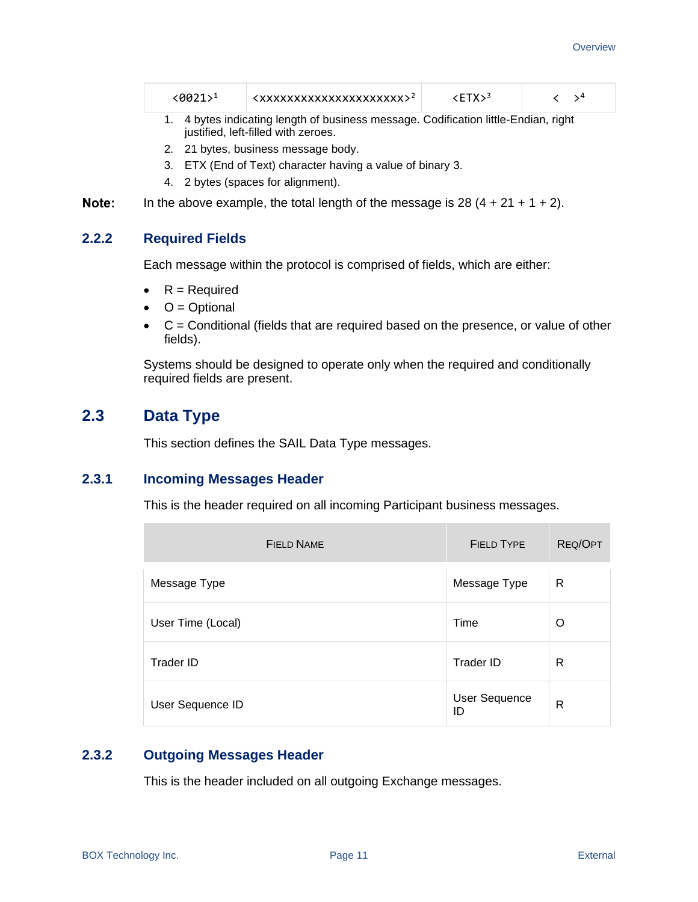| $(0021)^1$ | <xxxxxxxxxxxxxxxxxxxxxx< th=""><th>3≺ETX∶</th><th></th></xxxxxxxxxxxxxxxxxxxxxx<> | 3≺ETX∶ |  |
|------------|-----------------------------------------------------------------------------------|--------|--|
|------------|-----------------------------------------------------------------------------------|--------|--|

- 1. 4 bytes indicating length of business message. Codification little-Endian, right justified, left-filled with zeroes.
- 2. 21 bytes, business message body.
- 3. ETX (End of Text) character having a value of binary 3.
- 4. 2 bytes (spaces for alignment).

Note: In the above example, the total length of the message is  $28(4 + 21 + 1 + 2)$ .

#### **2.2.2 Required Fields**

Each message within the protocol is comprised of fields, which are either:

- $R =$  Required
- $\bullet$   $O =$  Optional
- $\bullet$   $C =$  Conditional (fields that are required based on the presence, or value of other fields).

Systems should be designed to operate only when the required and conditionally required fields are present.

### <span id="page-10-0"></span>**2.3 Data Type**

This section defines the SAIL Data Type messages.

#### **2.3.1 Incoming Messages Header**

This is the header required on all incoming Participant business messages.

| <b>FIELD NAME</b> | <b>FIELD TYPE</b>          | <b>REQ/OPT</b> |
|-------------------|----------------------------|----------------|
| Message Type      | Message Type               | R              |
| User Time (Local) | Time                       | O              |
| <b>Trader ID</b>  | Trader ID                  | R              |
| User Sequence ID  | <b>User Sequence</b><br>ID | R              |

#### **2.3.2 Outgoing Messages Header**

This is the header included on all outgoing Exchange messages.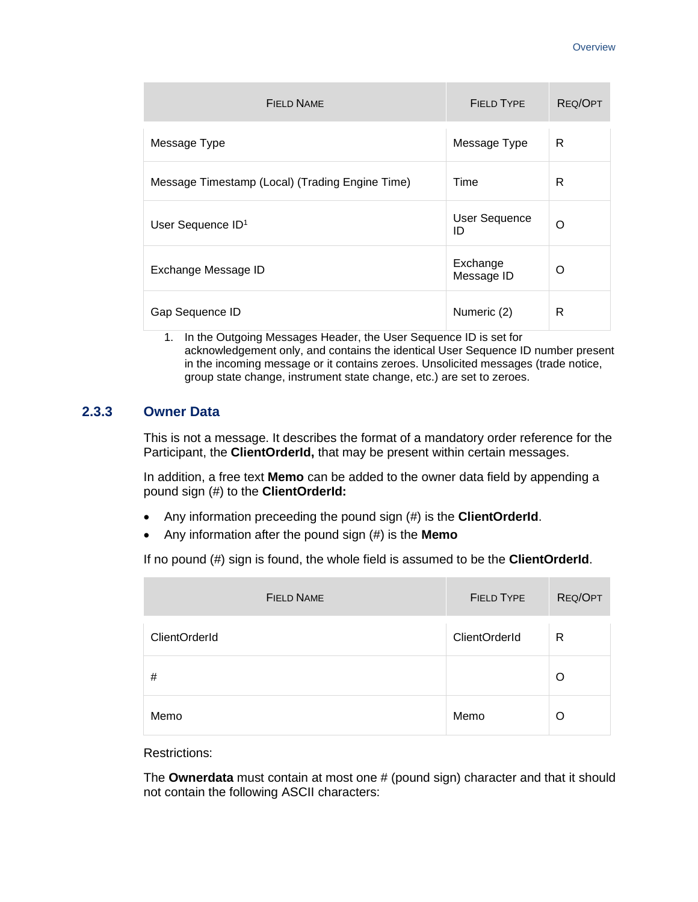| <b>FIELD NAME</b>                               | <b>FIELD TYPE</b>          | REQ/OPT |
|-------------------------------------------------|----------------------------|---------|
| Message Type                                    | Message Type               | R       |
| Message Timestamp (Local) (Trading Engine Time) | Time                       | R       |
| User Sequence ID <sup>1</sup>                   | <b>User Sequence</b><br>ID | O       |
| Exchange Message ID                             | Exchange<br>Message ID     | O       |
| Gap Sequence ID                                 | Numeric (2)                | R       |

1. In the Outgoing Messages Header, the User Sequence ID is set for acknowledgement only, and contains the identical User Sequence ID number present in the incoming message or it contains zeroes. Unsolicited messages (trade notice, group state change, instrument state change, etc.) are set to zeroes.

#### **2.3.3 Owner Data**

This is not a message. It describes the format of a mandatory order reference for the Participant, the **ClientOrderId,** that may be present within certain messages.

In addition, a free text **Memo** can be added to the owner data field by appending a pound sign (#) to the **ClientOrderId:**

- Any information preceeding the pound sign (#) is the **ClientOrderId**.
- Any information after the pound sign (#) is the **Memo**

If no pound (#) sign is found, the whole field is assumed to be the **ClientOrderId**.

| <b>FIELD NAME</b>    | <b>FIELD TYPE</b>    | REQ/OPT      |
|----------------------|----------------------|--------------|
| <b>ClientOrderId</b> | <b>ClientOrderId</b> | $\mathsf{R}$ |
| #                    |                      | $\Omega$     |
| Memo                 | Memo                 | ∩            |

Restrictions:

The **Ownerdata** must contain at most one # (pound sign) character and that it should not contain the following ASCII characters: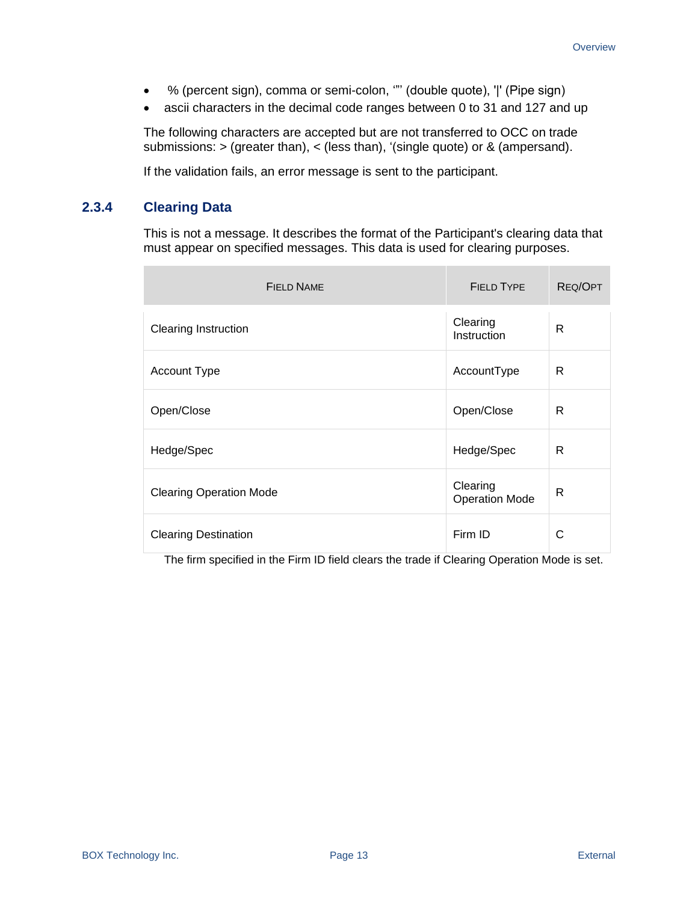- % (percent sign), comma or semi-colon, '"' (double quote), '|' (Pipe sign)
- ascii characters in the decimal code ranges between 0 to 31 and 127 and up

The following characters are accepted but are not transferred to OCC on trade submissions: > (greater than), < (less than), '(single quote) or & (ampersand).

If the validation fails, an error message is sent to the participant.

#### **2.3.4 Clearing Data**

÷

This is not a message. It describes the format of the Participant's clearing data that must appear on specified messages. This data is used for clearing purposes.

| <b>FIELD NAME</b>              | <b>FIELD TYPE</b>                 | <b>REQ/OPT</b> |
|--------------------------------|-----------------------------------|----------------|
| <b>Clearing Instruction</b>    | Clearing<br>Instruction           | R              |
| Account Type                   | AccountType                       | R              |
| Open/Close                     | Open/Close                        | R              |
| Hedge/Spec                     | Hedge/Spec                        | R              |
| <b>Clearing Operation Mode</b> | Clearing<br><b>Operation Mode</b> | R              |
| <b>Clearing Destination</b>    | Firm ID                           | С              |

The firm specified in the Firm ID field clears the trade if Clearing Operation Mode is set.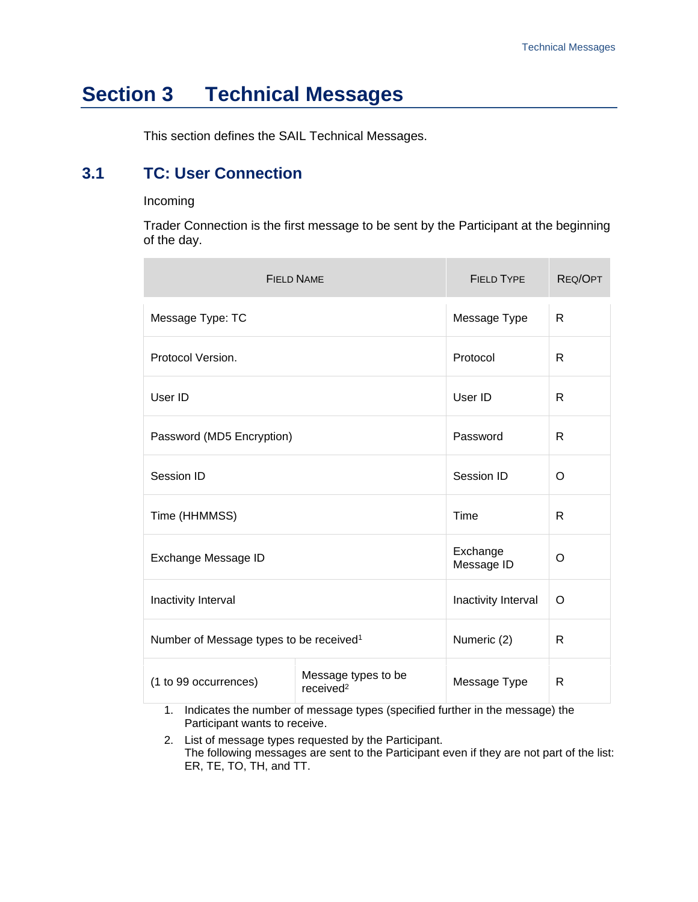## <span id="page-13-0"></span>**Section 3 Technical Messages**

This section defines the SAIL Technical Messages.

## <span id="page-13-1"></span>**3.1 TC: User Connection**

#### Incoming

Trader Connection is the first message to be sent by the Participant at the beginning of the day.

|                                                     | <b>FIELD NAME</b>                            | <b>FIELD TYPE</b>      | REQ/OPT |
|-----------------------------------------------------|----------------------------------------------|------------------------|---------|
| Message Type: TC                                    |                                              | Message Type           | R       |
| Protocol Version.                                   |                                              | Protocol               | R       |
| User ID                                             |                                              | User ID                | R       |
| Password (MD5 Encryption)                           |                                              | Password               | R       |
| Session ID                                          |                                              | Session ID             | O       |
| Time (HHMMSS)                                       |                                              | Time                   | R       |
| Exchange Message ID                                 |                                              | Exchange<br>Message ID | O       |
| Inactivity Interval                                 |                                              | Inactivity Interval    | O       |
| Number of Message types to be received <sup>1</sup> |                                              | Numeric (2)            | R       |
| (1 to 99 occurrences)                               | Message types to be<br>received <sup>2</sup> | Message Type           | R       |

1. Indicates the number of message types (specified further in the message) the Participant wants to receive.

2. List of message types requested by the Participant. The following messages are sent to the Participant even if they are not part of the list: ER, TE, TO, TH, and TT.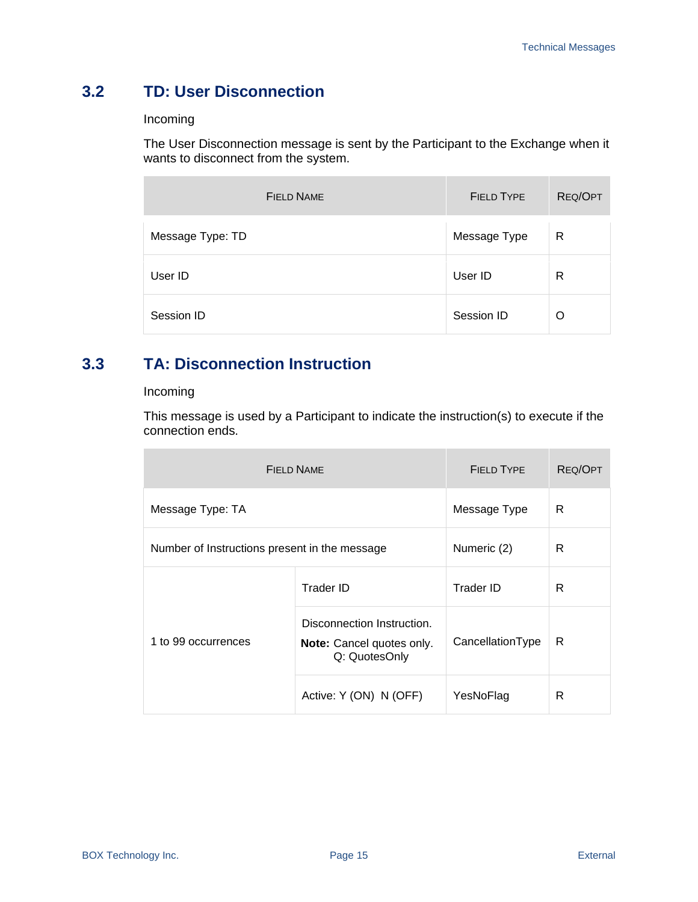## <span id="page-14-0"></span>**3.2 TD: User Disconnection**

#### Incoming

The User Disconnection message is sent by the Participant to the Exchange when it wants to disconnect from the system.

| <b>FIELD NAME</b> | <b>FIELD TYPE</b> | REQ/OPT |
|-------------------|-------------------|---------|
| Message Type: TD  | Message Type      | R       |
| User ID           | User ID           | R       |
| Session ID        | Session ID        | O       |

## <span id="page-14-1"></span>**3.3 TA: Disconnection Instruction**

#### Incoming

This message is used by a Participant to indicate the instruction(s) to execute if the connection ends.

|                                               | <b>FIELD NAME</b>                                                        | <b>FIELD TYPE</b> | REQ/OPT |
|-----------------------------------------------|--------------------------------------------------------------------------|-------------------|---------|
| Message Type: TA                              |                                                                          | Message Type      | R       |
| Number of Instructions present in the message |                                                                          | Numeric (2)       | R       |
| 1 to 99 occurrences                           | Trader ID                                                                | Trader ID         | R       |
|                                               | Disconnection Instruction.<br>Note: Cancel quotes only.<br>Q: QuotesOnly | CancellationType  | R       |
|                                               | Active: Y (ON) N (OFF)                                                   | YesNoFlag         | R       |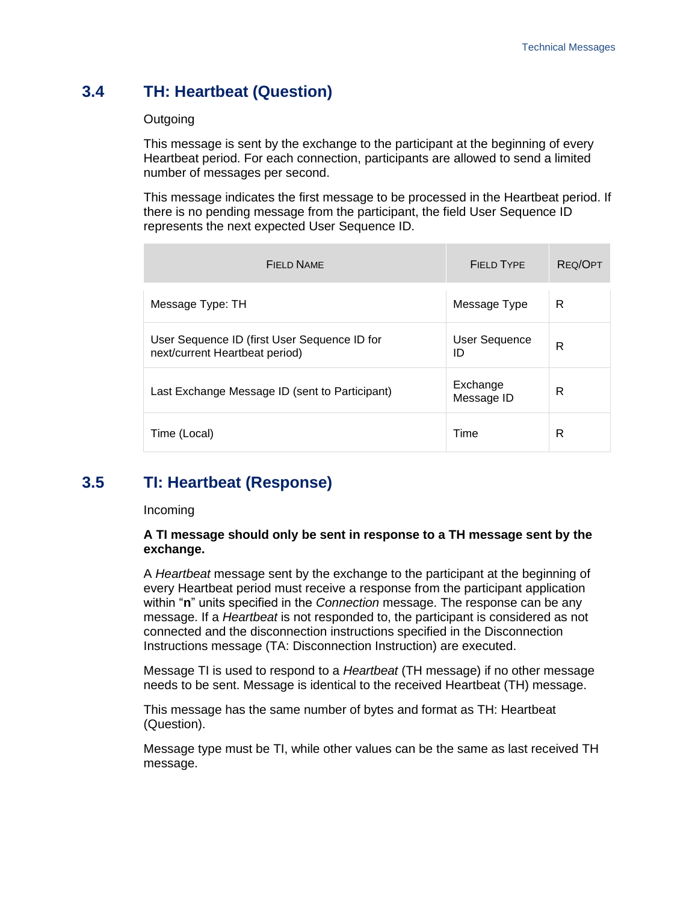## <span id="page-15-0"></span>**3.4 TH: Heartbeat (Question)**

#### **Outgoing**

This message is sent by the exchange to the participant at the beginning of every Heartbeat period. For each connection, participants are allowed to send a limited number of messages per second.

This message indicates the first message to be processed in the Heartbeat period. If there is no pending message from the participant, the field User Sequence ID represents the next expected User Sequence ID.

| FIFLD NAME                                                                     | FIFI D TYPF            | REQ/OPT |
|--------------------------------------------------------------------------------|------------------------|---------|
| Message Type: TH                                                               | Message Type           | R       |
| User Sequence ID (first User Sequence ID for<br>next/current Heartbeat period) | User Sequence<br>ID    | R       |
| Last Exchange Message ID (sent to Participant)                                 | Exchange<br>Message ID | R       |
| Time (Local)                                                                   | Time                   | R       |

## <span id="page-15-1"></span>**3.5 TI: Heartbeat (Response)**

#### Incoming

#### **A TI message should only be sent in response to a TH message sent by the exchange.**

A *Heartbeat* message sent by the exchange to the participant at the beginning of every Heartbeat period must receive a response from the participant application within "**n**" units specified in the *Connection* message. The response can be any message. If a *Heartbeat* is not responded to, the participant is considered as not connected and the disconnection instructions specified in the Disconnection Instructions message (TA: Disconnection Instruction) are executed.

Message TI is used to respond to a *Heartbeat* (TH message) if no other message needs to be sent. Message is identical to the received Heartbeat (TH) message.

This message has the same number of bytes and format as TH: Heartbeat (Question).

Message type must be TI, while other values can be the same as last received TH message.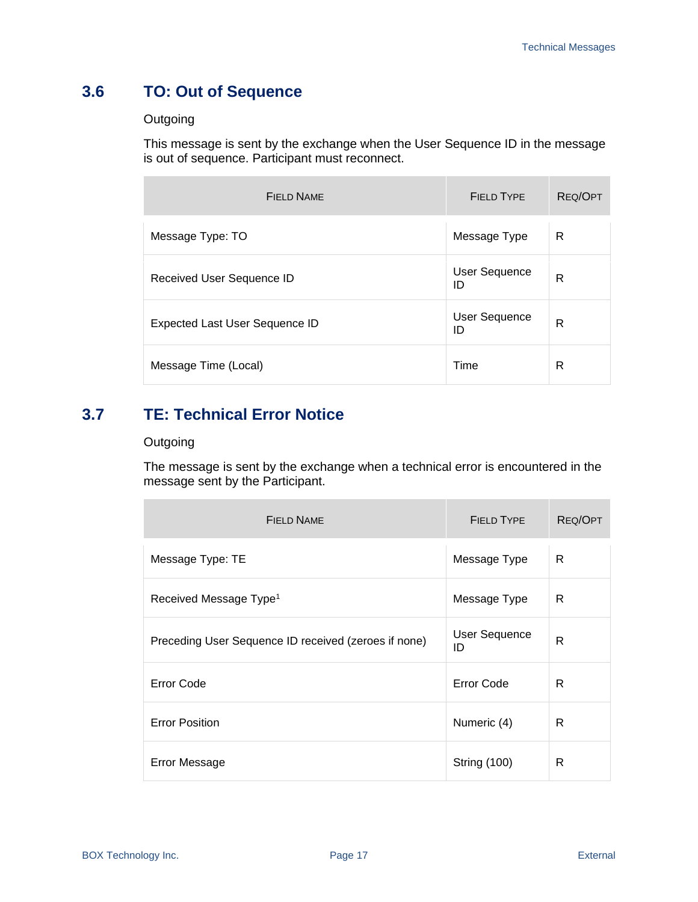## <span id="page-16-0"></span>**3.6 TO: Out of Sequence**

#### **Outgoing**

This message is sent by the exchange when the User Sequence ID in the message is out of sequence. Participant must reconnect.

| FIFLD NAME                            | FIFI D TYPF                | REQ/OPT |
|---------------------------------------|----------------------------|---------|
| Message Type: TO                      | Message Type               | R       |
| Received User Sequence ID             | User Sequence<br>ID        | R       |
| <b>Expected Last User Sequence ID</b> | <b>User Sequence</b><br>ID | R       |
| Message Time (Local)                  | Time                       | R       |

## <span id="page-16-1"></span>**3.7 TE: Technical Error Notice**

#### **Outgoing**

The message is sent by the exchange when a technical error is encountered in the message sent by the Participant.

| <b>FIELD NAME</b>                                    | <b>FIELD TYPE</b>          | REQ/OPT |
|------------------------------------------------------|----------------------------|---------|
| Message Type: TE                                     | Message Type               | R       |
| Received Message Type <sup>1</sup>                   | Message Type               | R       |
| Preceding User Sequence ID received (zeroes if none) | <b>User Sequence</b><br>ID | R       |
| <b>Error Code</b>                                    | <b>Error Code</b>          | R       |
| <b>Error Position</b>                                | Numeric (4)                | R       |
| <b>Error Message</b>                                 | <b>String (100)</b>        | R       |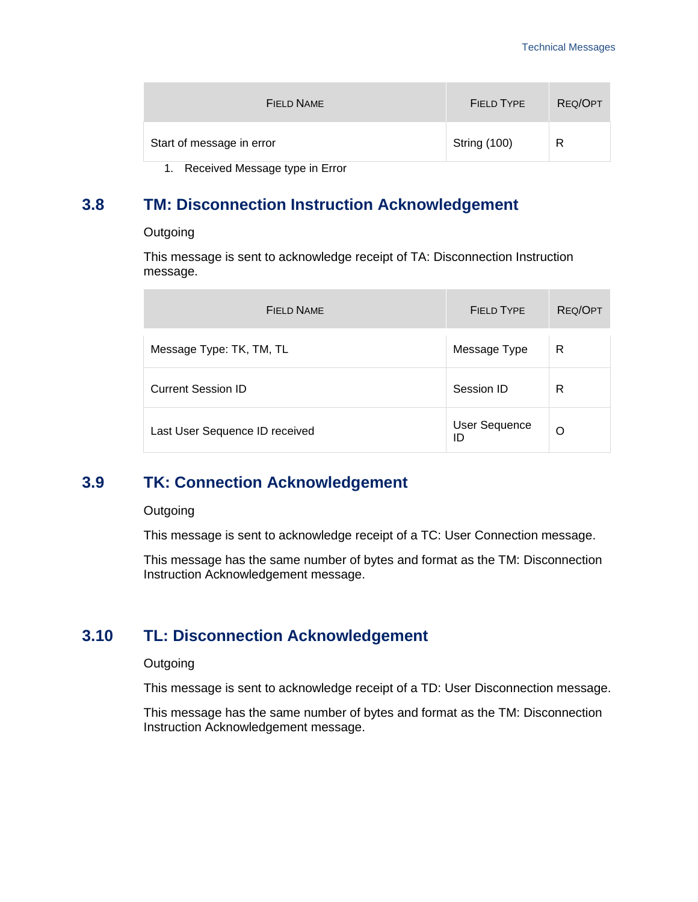| FIELD NAME                | FIELD TYPE   | REQ/OPT |
|---------------------------|--------------|---------|
| Start of message in error | String (100) | R       |

1. Received Message type in Error

## <span id="page-17-0"></span>**3.8 TM: Disconnection Instruction Acknowledgement**

**Outgoing** 

This message is sent to acknowledge receipt of TA: Disconnection Instruction message.

| FIFLD NAME                     | FIFI D TYPE                | REQ/OPT |
|--------------------------------|----------------------------|---------|
| Message Type: TK, TM, TL       | Message Type               | R       |
| <b>Current Session ID</b>      | Session ID                 | R       |
| Last User Sequence ID received | <b>User Sequence</b><br>ID | Ω       |

### <span id="page-17-1"></span>**3.9 TK: Connection Acknowledgement**

#### **Outgoing**

This message is sent to acknowledge receipt of a TC: User Connection message.

This message has the same number of bytes and format as the TM: Disconnection Instruction Acknowledgement message.

### <span id="page-17-2"></span>**3.10 TL: Disconnection Acknowledgement**

#### **Outgoing**

This message is sent to acknowledge receipt of a TD: User Disconnection message.

This message has the same number of bytes and format as the TM: Disconnection Instruction Acknowledgement message.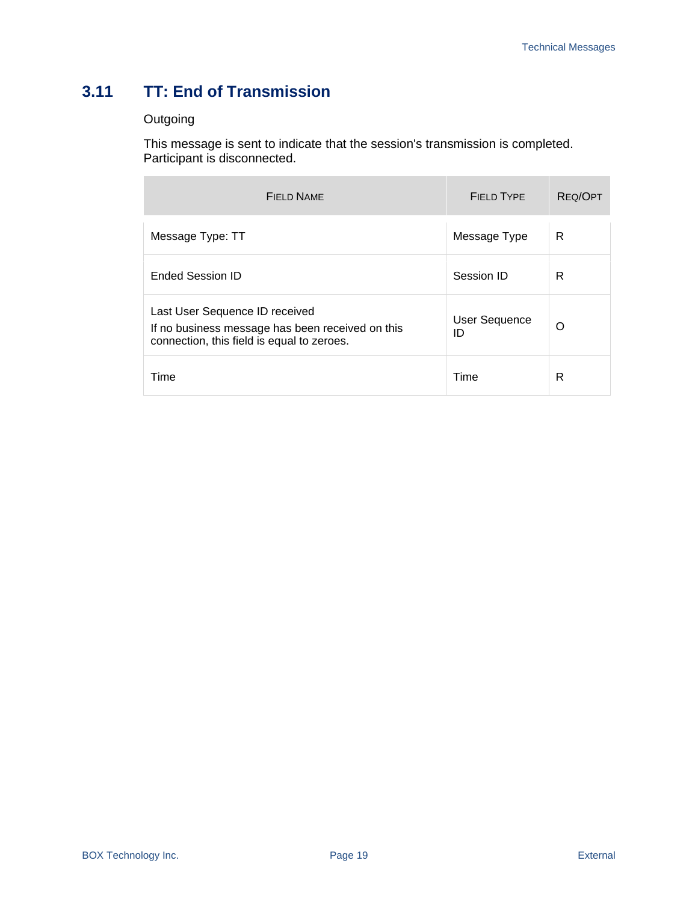## <span id="page-18-0"></span>**3.11 TT: End of Transmission**

#### **Outgoing**

This message is sent to indicate that the session's transmission is completed. Participant is disconnected.

| FIFLD NAME                                                                                                                       | FIFI D TYPF                | <b>REQ/OPT</b> |
|----------------------------------------------------------------------------------------------------------------------------------|----------------------------|----------------|
| Message Type: TT                                                                                                                 | Message Type               | R              |
| <b>Ended Session ID</b>                                                                                                          | Session ID                 | R              |
| Last User Sequence ID received<br>If no business message has been received on this<br>connection, this field is equal to zeroes. | <b>User Sequence</b><br>ID | Ω              |
| Time                                                                                                                             | Time                       | R              |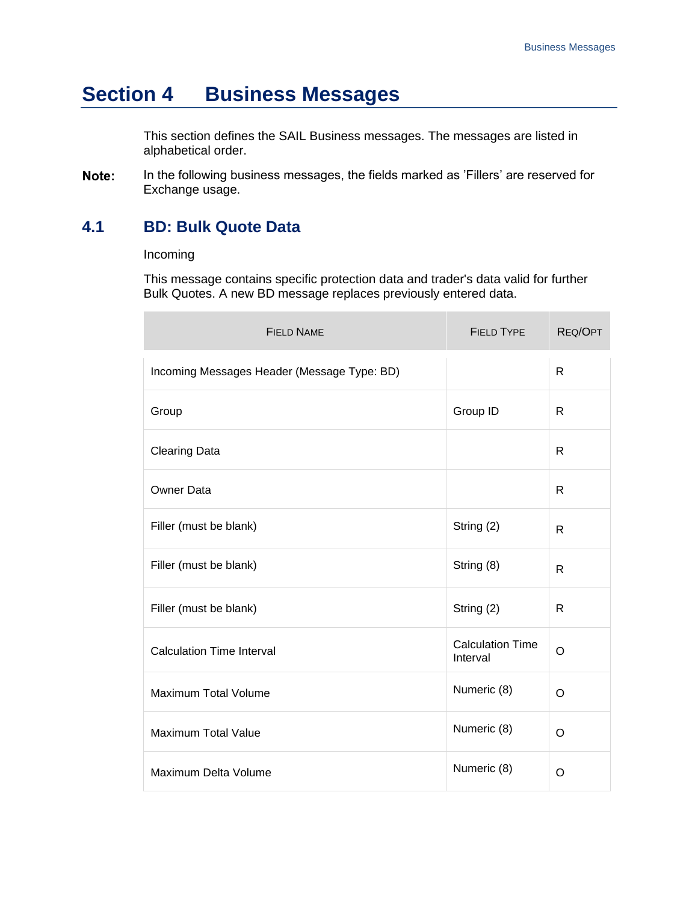## <span id="page-19-0"></span>**Section 4 Business Messages**

This section defines the SAIL Business messages. The messages are listed in alphabetical order.

Note: In the following business messages, the fields marked as 'Fillers' are reserved for Exchange usage.

### <span id="page-19-1"></span>**4.1 BD: Bulk Quote Data**

#### Incoming

 $\overline{\phantom{a}}$ 

This message contains specific protection data and trader's data valid for further Bulk Quotes. A new BD message replaces previously entered data.

| <b>FIELD NAME</b>                           | <b>FIELD TYPE</b>                   | REQ/OPT      |
|---------------------------------------------|-------------------------------------|--------------|
| Incoming Messages Header (Message Type: BD) |                                     | $\mathsf{R}$ |
| Group                                       | Group ID                            | R            |
| <b>Clearing Data</b>                        |                                     | R            |
| <b>Owner Data</b>                           |                                     | $\mathsf{R}$ |
| Filler (must be blank)                      | String (2)                          | R            |
| Filler (must be blank)                      | String (8)                          | R            |
| Filler (must be blank)                      | String (2)                          | R            |
| <b>Calculation Time Interval</b>            | <b>Calculation Time</b><br>Interval | O            |
| Maximum Total Volume                        | Numeric (8)                         | O            |
| <b>Maximum Total Value</b>                  | Numeric (8)                         | O            |
| Maximum Delta Volume                        | Numeric (8)                         | O            |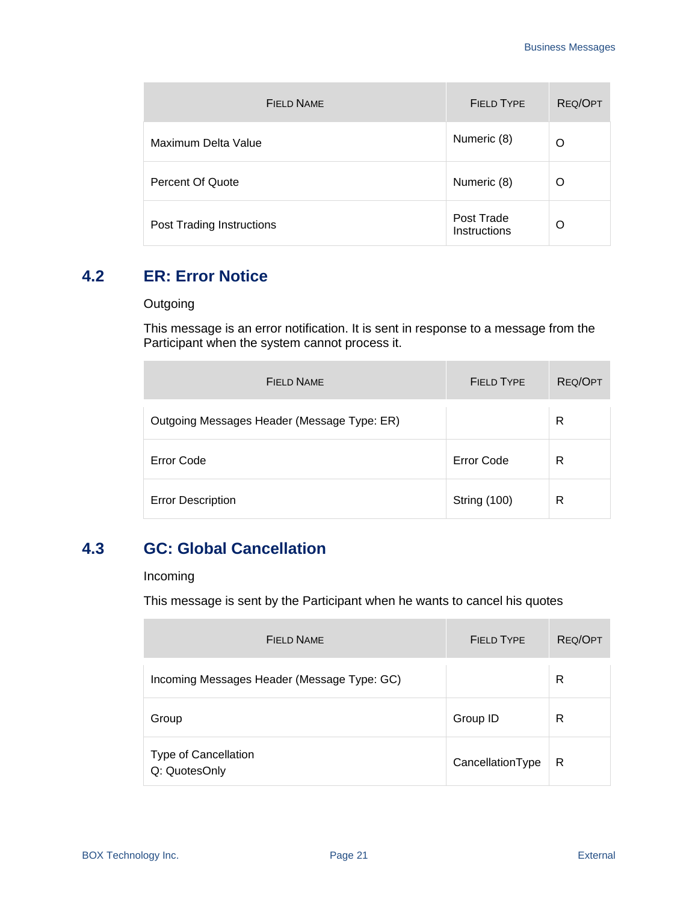| <b>FIELD NAME</b>         | <b>FIELD TYPE</b>          | <b>REQ/OPT</b> |
|---------------------------|----------------------------|----------------|
| Maximum Delta Value       | Numeric (8)                | Ω              |
| Percent Of Quote          | Numeric (8)                | O              |
| Post Trading Instructions | Post Trade<br>Instructions | O              |

## <span id="page-20-0"></span>**4.2 ER: Error Notice**

#### **Outgoing**

 $\overline{a}$ 

This message is an error notification. It is sent in response to a message from the Participant when the system cannot process it.

| FIFI D NAME                                 | <b>FIELD TYPE</b>   | REQ/OPT |
|---------------------------------------------|---------------------|---------|
| Outgoing Messages Header (Message Type: ER) |                     | R       |
| Error Code                                  | Error Code          | R       |
| <b>Error Description</b>                    | <b>String (100)</b> | R       |

## <span id="page-20-1"></span>**4.3 GC: Global Cancellation**

#### Incoming

This message is sent by the Participant when he wants to cancel his quotes

| <b>FIELD NAME</b>                           | FIFI D TYPF      | REQ/OPT |
|---------------------------------------------|------------------|---------|
| Incoming Messages Header (Message Type: GC) |                  | R       |
| Group                                       | Group ID         | R       |
| Type of Cancellation<br>Q: QuotesOnly       | CancellationType | R       |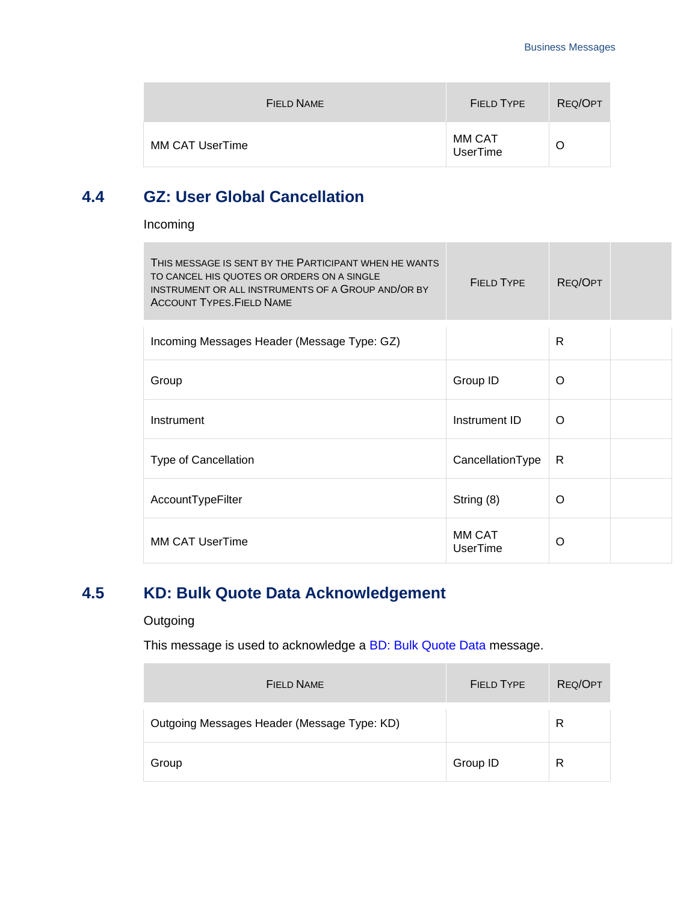| FIELD NAME             | <b>FIELD TYPE</b>         | REQ/OPT |
|------------------------|---------------------------|---------|
| <b>MM CAT UserTime</b> | MM CAT<br><b>UserTime</b> | O       |

### <span id="page-21-0"></span>**4.4 GZ: User Global Cancellation**

Incoming

**Contract** 

| THIS MESSAGE IS SENT BY THE PARTICIPANT WHEN HE WANTS<br>TO CANCEL HIS QUOTES OR ORDERS ON A SINGLE<br>INSTRUMENT OR ALL INSTRUMENTS OF A GROUP AND/OR BY<br><b>ACCOUNT TYPES. FIELD NAME</b> | <b>FIELD TYPE</b>  | REQ/OPT  |  |
|-----------------------------------------------------------------------------------------------------------------------------------------------------------------------------------------------|--------------------|----------|--|
| Incoming Messages Header (Message Type: GZ)                                                                                                                                                   |                    | R        |  |
| Group                                                                                                                                                                                         | Group ID           | $\Omega$ |  |
| Instrument                                                                                                                                                                                    | Instrument ID      | $\Omega$ |  |
| <b>Type of Cancellation</b>                                                                                                                                                                   | CancellationType   | R        |  |
| AccountTypeFilter                                                                                                                                                                             | String (8)         | O        |  |
| <b>MM CAT UserTime</b>                                                                                                                                                                        | MM CAT<br>UserTime | O        |  |

## <span id="page-21-1"></span>**4.5 KD: Bulk Quote Data Acknowledgement**

#### **Outgoing**

This message is used to acknowledge a [BD: Bulk Quote Data](#page-19-1) message.

| FIFI D NAME                                 | FIFI D TYPE | REQ/OPT |
|---------------------------------------------|-------------|---------|
| Outgoing Messages Header (Message Type: KD) |             | R       |
| Group                                       | Group ID    | R       |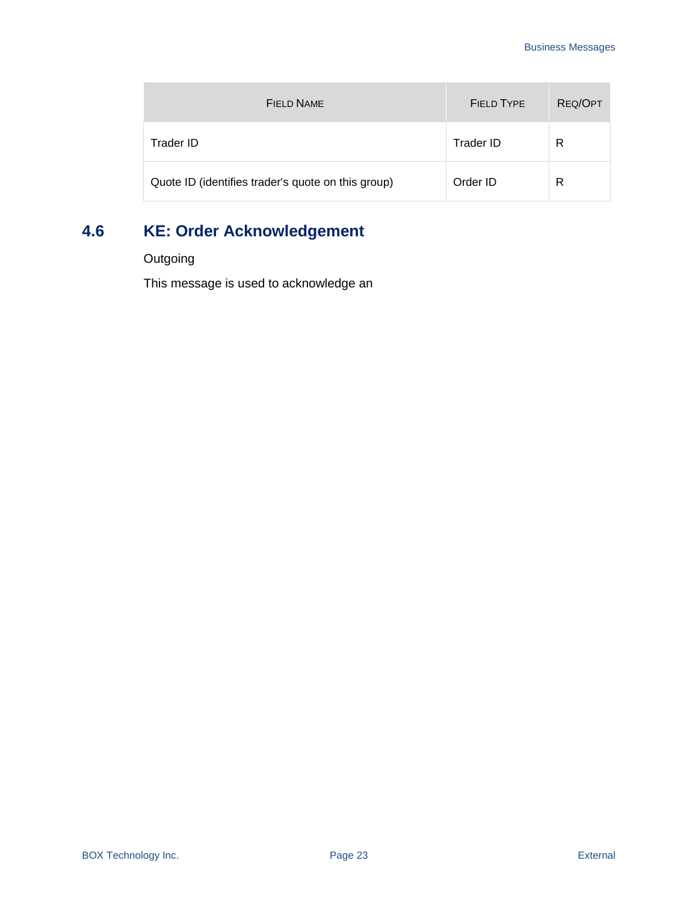| FIELD NAME                                         | FIFI D TYPF | REQ/OPT |
|----------------------------------------------------|-------------|---------|
| Trader ID                                          | Trader ID   | R       |
| Quote ID (identifies trader's quote on this group) | Order ID    | R       |

## <span id="page-22-0"></span>**4.6 KE: Order Acknowledgement**

**Outgoing** 

This message is used to acknowledge an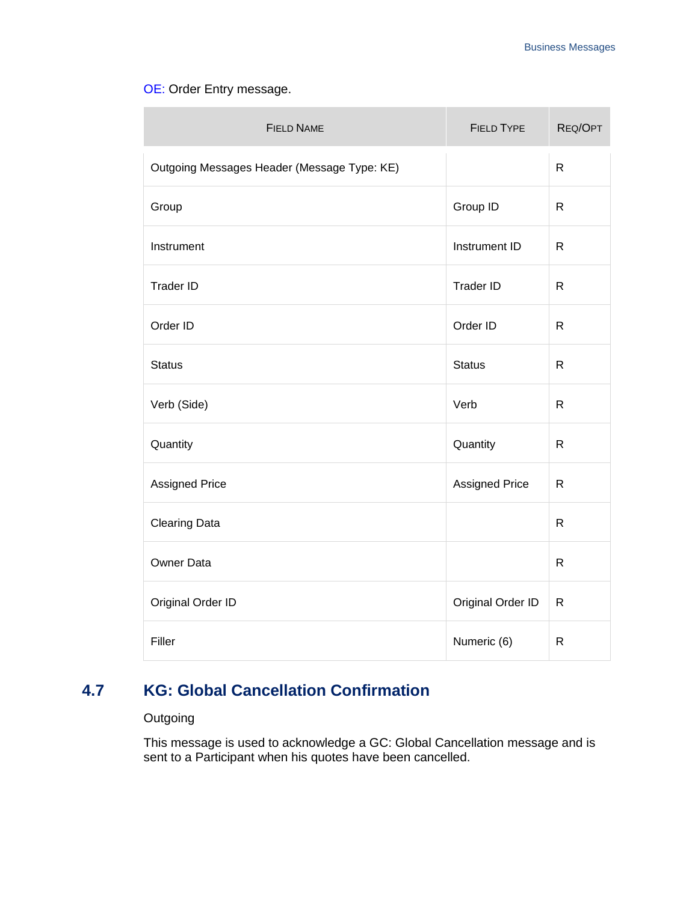#### [OE: Order Entry](#page-43-1) message.

| <b>FIELD NAME</b>                           | <b>FIELD TYPE</b>     | REQ/OPT      |
|---------------------------------------------|-----------------------|--------------|
| Outgoing Messages Header (Message Type: KE) |                       | $\mathsf{R}$ |
| Group                                       | Group ID              | $\mathsf{R}$ |
| Instrument                                  | Instrument ID         | $\mathsf{R}$ |
| <b>Trader ID</b>                            | <b>Trader ID</b>      | $\mathsf{R}$ |
| Order ID                                    | Order ID              | $\mathsf{R}$ |
| <b>Status</b>                               | <b>Status</b>         | $\mathsf{R}$ |
| Verb (Side)                                 | Verb                  | $\mathsf{R}$ |
| Quantity                                    | Quantity              | $\mathsf{R}$ |
| <b>Assigned Price</b>                       | <b>Assigned Price</b> | R            |
| <b>Clearing Data</b>                        |                       | $\mathsf{R}$ |
| Owner Data                                  |                       | $\mathsf{R}$ |
| Original Order ID                           | Original Order ID     | $\mathsf{R}$ |
| Filler                                      | Numeric (6)           | $\mathsf{R}$ |

## <span id="page-23-0"></span>**4.7 KG: Global Cancellation Confirmation**

#### **Outgoing**

This message is used to acknowledge a GC: Global Cancellation message and is sent to a Participant when his quotes have been cancelled.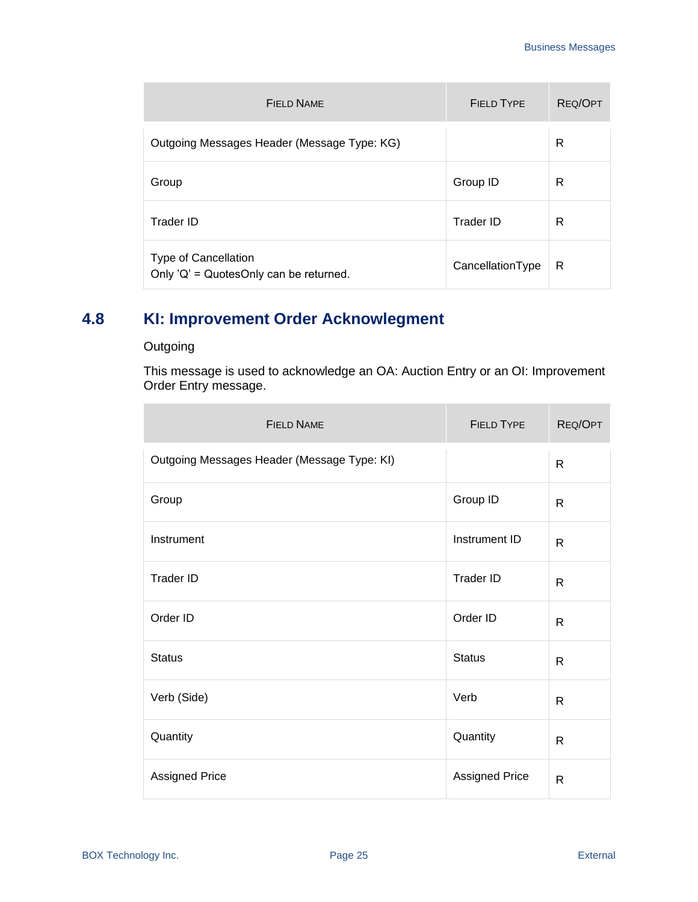| FIFLD NAME                                                            | FIFI D TYPF      | REQ/OPT |
|-----------------------------------------------------------------------|------------------|---------|
| Outgoing Messages Header (Message Type: KG)                           |                  | R       |
| Group                                                                 | Group ID         | R       |
| Trader ID                                                             | Trader ID        | R       |
| <b>Type of Cancellation</b><br>Only 'Q' = QuotesOnly can be returned. | CancellationType | R       |

## <span id="page-24-0"></span>**4.8 KI: Improvement Order Acknowlegment**

#### **Outgoing**

 $\overline{\phantom{a}}$ 

This message is used to acknowledge an OA: Auction Entry or an OI: Improvement Order Entry message.

| <b>FIELD NAME</b>                           | <b>FIELD TYPE</b>     | REQ/OPT      |
|---------------------------------------------|-----------------------|--------------|
| Outgoing Messages Header (Message Type: KI) |                       | $\mathsf{R}$ |
| Group                                       | Group ID              | R            |
| Instrument                                  | Instrument ID         | R            |
| <b>Trader ID</b>                            | <b>Trader ID</b>      | $\mathsf{R}$ |
| Order ID                                    | Order ID              | $\mathsf{R}$ |
| <b>Status</b>                               | <b>Status</b>         | R            |
| Verb (Side)                                 | Verb                  | $\mathsf{R}$ |
| Quantity                                    | Quantity              | R            |
| <b>Assigned Price</b>                       | <b>Assigned Price</b> | $\mathsf{R}$ |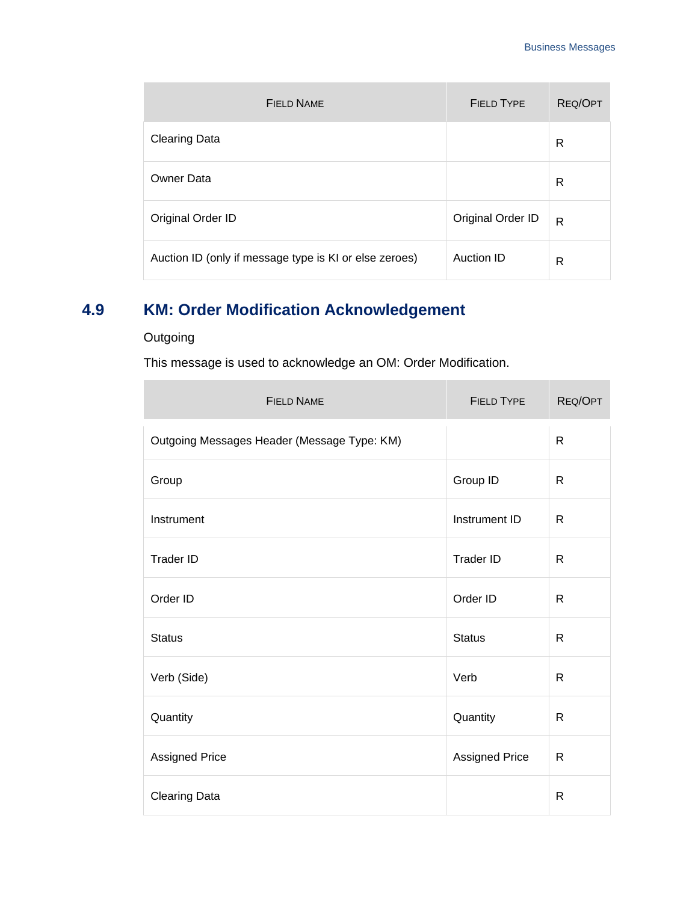| FIFI D NAME                                            | <b>FIELD TYPE</b> | REQ/OPT      |
|--------------------------------------------------------|-------------------|--------------|
| <b>Clearing Data</b>                                   |                   | R            |
| Owner Data                                             |                   | R            |
| Original Order ID                                      | Original Order ID | $\mathsf{R}$ |
| Auction ID (only if message type is KI or else zeroes) | Auction ID        | R            |

## <span id="page-25-0"></span>**4.9 KM: Order Modification Acknowledgement**

### **Outgoing**

 $\mathcal{L}$ 

This message is used to acknowledge an OM: Order Modification.

| <b>FIELD NAME</b>                           | <b>FIELD TYPE</b>     | REQ/OPT      |
|---------------------------------------------|-----------------------|--------------|
| Outgoing Messages Header (Message Type: KM) |                       | $\mathsf{R}$ |
| Group                                       | Group ID              | $\mathsf{R}$ |
| Instrument                                  | Instrument ID         | $\mathsf{R}$ |
| <b>Trader ID</b>                            | Trader ID             | $\mathsf{R}$ |
| Order ID                                    | Order ID              | $\mathsf{R}$ |
| <b>Status</b>                               | <b>Status</b>         | R            |
| Verb (Side)                                 | Verb                  | $\mathsf{R}$ |
| Quantity                                    | Quantity              | $\mathsf{R}$ |
| Assigned Price                              | <b>Assigned Price</b> | $\mathsf{R}$ |
| <b>Clearing Data</b>                        |                       | R            |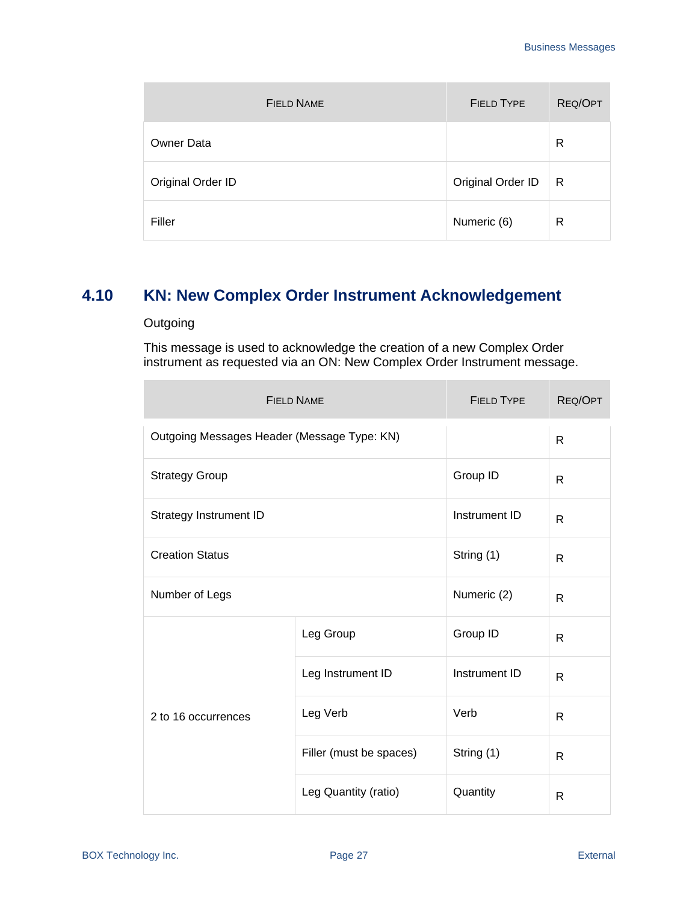| <b>FIELD NAME</b> | <b>FIELD TYPE</b> | REQ/OPT |
|-------------------|-------------------|---------|
| <b>Owner Data</b> |                   | R       |
| Original Order ID | Original Order ID | R       |
| Filler            | Numeric (6)       | R       |

## <span id="page-26-0"></span>**4.10 KN: New Complex Order Instrument Acknowledgement**

#### **Outgoing**

This message is used to acknowledge the creation of a new Complex Order instrument as requested via an ON: New Complex Order Instrument message.

| <b>FIELD NAME</b>                           |                         | <b>FIELD TYPE</b> | REQ/OPT      |
|---------------------------------------------|-------------------------|-------------------|--------------|
| Outgoing Messages Header (Message Type: KN) |                         |                   | R            |
| <b>Strategy Group</b>                       |                         | Group ID          | $\mathsf{R}$ |
| Strategy Instrument ID                      |                         | Instrument ID     | R            |
| <b>Creation Status</b>                      |                         | String (1)        | R            |
| Number of Legs                              |                         | Numeric (2)       | R            |
| 2 to 16 occurrences                         | Leg Group               | Group ID          | R            |
|                                             | Leg Instrument ID       | Instrument ID     | R            |
|                                             | Leg Verb                | Verb              | R            |
|                                             | Filler (must be spaces) | String (1)        | $\mathsf{R}$ |
|                                             | Leg Quantity (ratio)    | Quantity          | R            |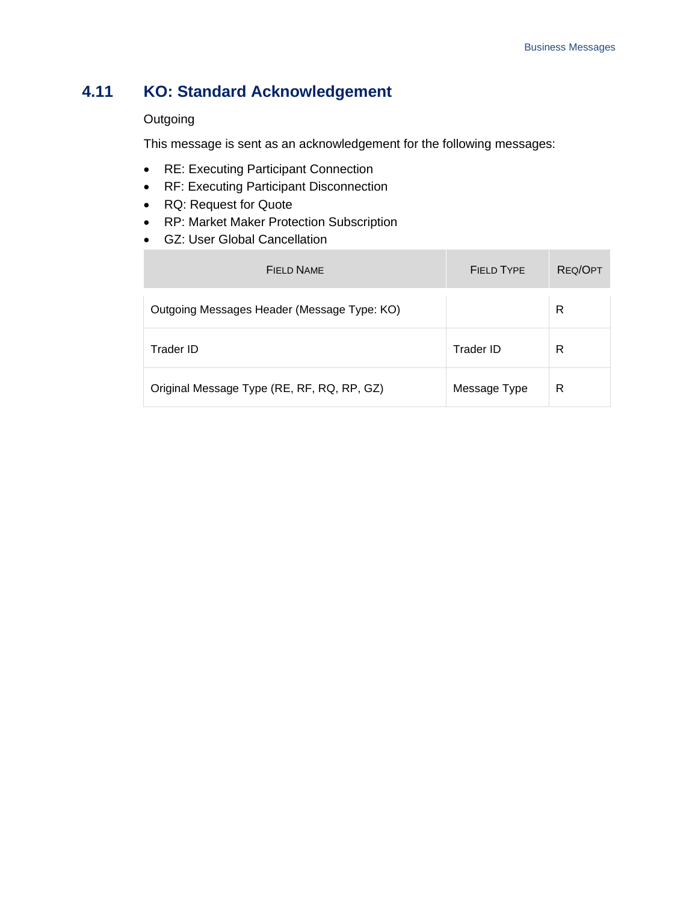## <span id="page-27-0"></span>**4.11 KO: Standard Acknowledgement**

#### **Outgoing**

×

This message is sent as an acknowledgement for the following messages:

- RE: Executing Participant Connection
- RF: Executing Participant Disconnection
- RQ: Request for Quote
- RP: Market Maker Protection Subscription
- GZ: User Global Cancellation

| <b>FIELD NAME</b>                           | <b>FIELD TYPE</b> | REQ/OPT |
|---------------------------------------------|-------------------|---------|
| Outgoing Messages Header (Message Type: KO) |                   | R       |
| Trader ID                                   | Trader ID         | R       |
| Original Message Type (RE, RF, RQ, RP, GZ)  | Message Type      | R       |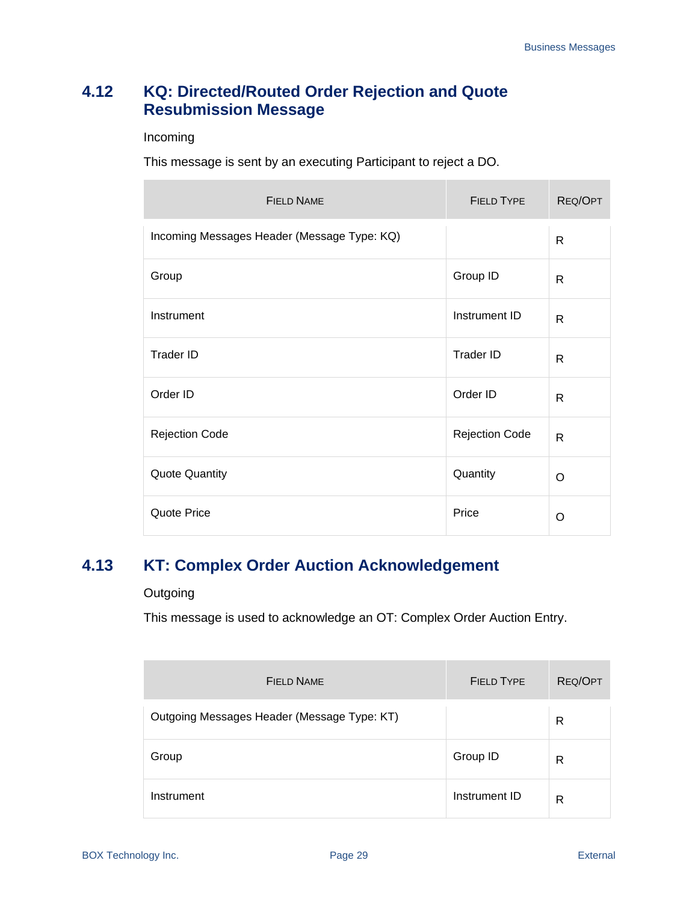## <span id="page-28-0"></span>**4.12 KQ: Directed/Routed Order Rejection and Quote Resubmission Message**

#### Incoming

This message is sent by an executing Participant to reject a DO.

| <b>FIELD NAME</b>                           | <b>FIELD TYPE</b>     | REQ/OPT      |
|---------------------------------------------|-----------------------|--------------|
| Incoming Messages Header (Message Type: KQ) |                       | R            |
| Group                                       | Group ID              | R            |
| Instrument                                  | Instrument ID         | $\mathsf{R}$ |
| <b>Trader ID</b>                            | <b>Trader ID</b>      | R            |
| Order ID                                    | Order ID              | $\mathsf{R}$ |
| <b>Rejection Code</b>                       | <b>Rejection Code</b> | $\mathsf{R}$ |
| <b>Quote Quantity</b>                       | Quantity              | O            |
| Quote Price                                 | Price                 | O            |

## <span id="page-28-1"></span>**4.13 KT: Complex Order Auction Acknowledgement**

#### **Outgoing**

This message is used to acknowledge an OT: Complex Order Auction Entry.

| <b>FIELD NAME</b>                           | <b>FIELD TYPE</b> | REQ/OPT |
|---------------------------------------------|-------------------|---------|
| Outgoing Messages Header (Message Type: KT) |                   | R       |
| Group                                       | Group ID          | R       |
| Instrument                                  | Instrument ID     | R       |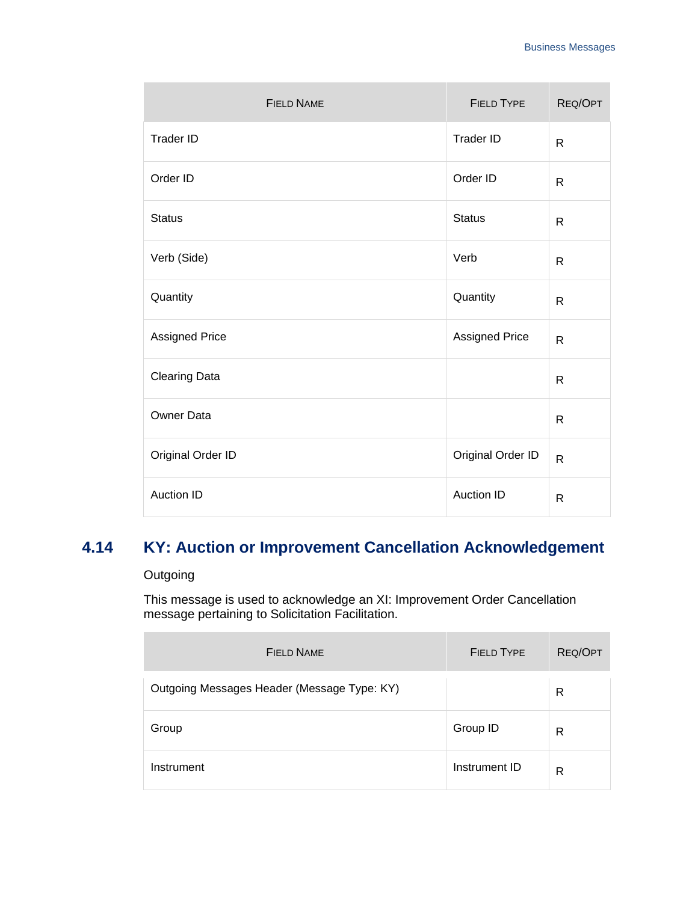| <b>FIELD NAME</b>    | <b>FIELD TYPE</b> | REQ/OPT      |
|----------------------|-------------------|--------------|
| Trader ID            | Trader ID         | R            |
| Order ID             | Order ID          | $\mathsf{R}$ |
| <b>Status</b>        | <b>Status</b>     | $\mathsf{R}$ |
| Verb (Side)          | Verb              | $\mathsf{R}$ |
| Quantity             | Quantity          | $\mathsf{R}$ |
| Assigned Price       | Assigned Price    | $\mathsf{R}$ |
| <b>Clearing Data</b> |                   | $\mathsf{R}$ |
| Owner Data           |                   | $\mathsf{R}$ |
| Original Order ID    | Original Order ID | $\mathsf{R}$ |
| <b>Auction ID</b>    | <b>Auction ID</b> | $\mathsf{R}$ |

## <span id="page-29-0"></span>**4.14 KY: Auction or Improvement Cancellation Acknowledgement**

#### **Outgoing**

This message is used to acknowledge an XI: Improvement Order Cancellation message pertaining to Solicitation Facilitation.

| FIFI D NAME                                 | <b>FIELD TYPE</b> | REQ/OPT |
|---------------------------------------------|-------------------|---------|
| Outgoing Messages Header (Message Type: KY) |                   | R       |
| Group                                       | Group ID          | R       |
| Instrument                                  | Instrument ID     | R       |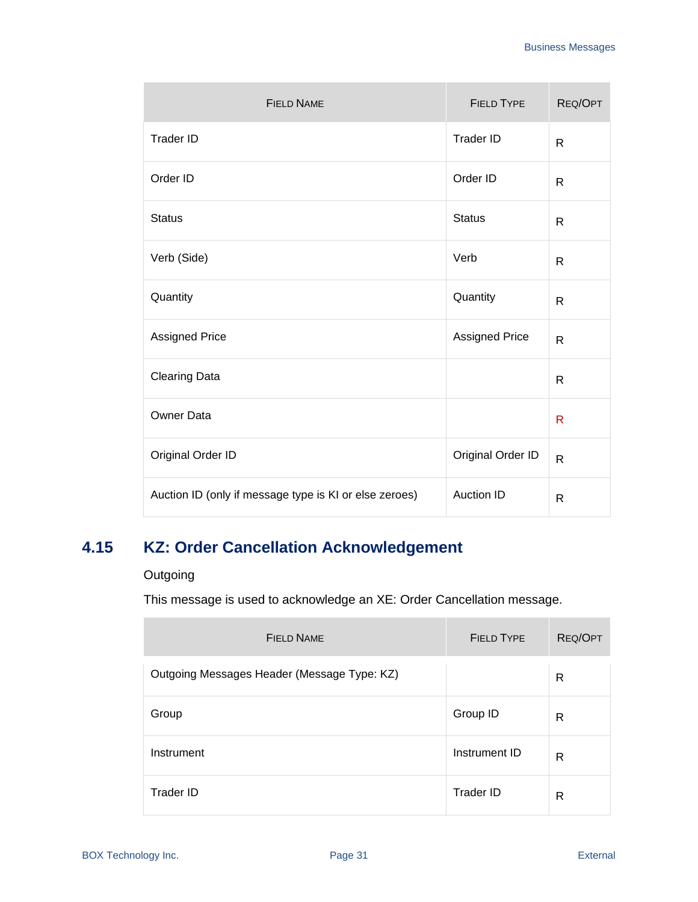| <b>FIELD NAME</b>                                      | <b>FIELD TYPE</b>     | REQ/OPT      |
|--------------------------------------------------------|-----------------------|--------------|
| <b>Trader ID</b>                                       | <b>Trader ID</b>      | $\mathsf{R}$ |
| Order ID                                               | Order ID              | $\mathsf{R}$ |
| <b>Status</b>                                          | <b>Status</b>         | $\mathsf{R}$ |
| Verb (Side)                                            | Verb                  | $\mathsf{R}$ |
| Quantity                                               | Quantity              | $\mathsf{R}$ |
| <b>Assigned Price</b>                                  | <b>Assigned Price</b> | $\mathsf{R}$ |
| <b>Clearing Data</b>                                   |                       | $\mathsf{R}$ |
| Owner Data                                             |                       | R            |
| Original Order ID                                      | Original Order ID     | $\mathsf{R}$ |
| Auction ID (only if message type is KI or else zeroes) | <b>Auction ID</b>     | $\mathsf{R}$ |

## <span id="page-30-0"></span>**4.15 KZ: Order Cancellation Acknowledgement**

#### **Outgoing**

This message is used to acknowledge an XE: Order Cancellation message.

| <b>FIELD NAME</b>                           | <b>FIELD TYPE</b> | <b>REQ/OPT</b> |
|---------------------------------------------|-------------------|----------------|
| Outgoing Messages Header (Message Type: KZ) |                   | R              |
| Group                                       | Group ID          | R              |
| Instrument                                  | Instrument ID     | R              |
| Trader ID                                   | Trader ID         | R              |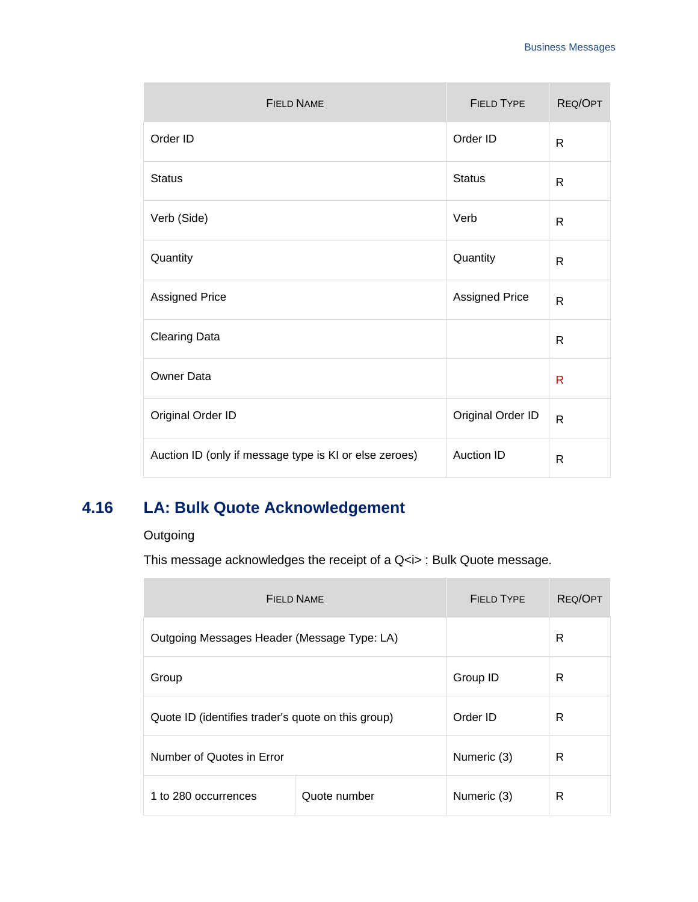| <b>FIELD NAME</b>                                      | <b>FIELD TYPE</b>     | REQ/OPT      |
|--------------------------------------------------------|-----------------------|--------------|
| Order ID                                               | Order ID              | R            |
| <b>Status</b>                                          | <b>Status</b>         | $\mathsf{R}$ |
| Verb (Side)                                            | Verb                  | $\mathsf{R}$ |
| Quantity                                               | Quantity              | R            |
| <b>Assigned Price</b>                                  | <b>Assigned Price</b> | R            |
| <b>Clearing Data</b>                                   |                       | R            |
| Owner Data                                             |                       | R            |
| Original Order ID                                      | Original Order ID     | $\mathsf{R}$ |
| Auction ID (only if message type is KI or else zeroes) | Auction ID            | $\mathsf{R}$ |

## <span id="page-31-0"></span>**4.16 LA: Bulk Quote Acknowledgement**

## **Outgoing**

÷

This message acknowledges the receipt of a Q < i> : Bulk Quote message.

| FIFI D NAME                                        |              | FIFI D TYPF | REQ/OPT |
|----------------------------------------------------|--------------|-------------|---------|
| Outgoing Messages Header (Message Type: LA)        |              |             | R       |
| Group                                              |              | Group ID    | R       |
| Quote ID (identifies trader's quote on this group) |              | Order ID    | R       |
| Number of Quotes in Error                          |              | Numeric (3) | R       |
| 1 to 280 occurrences                               | Quote number | Numeric (3) | R       |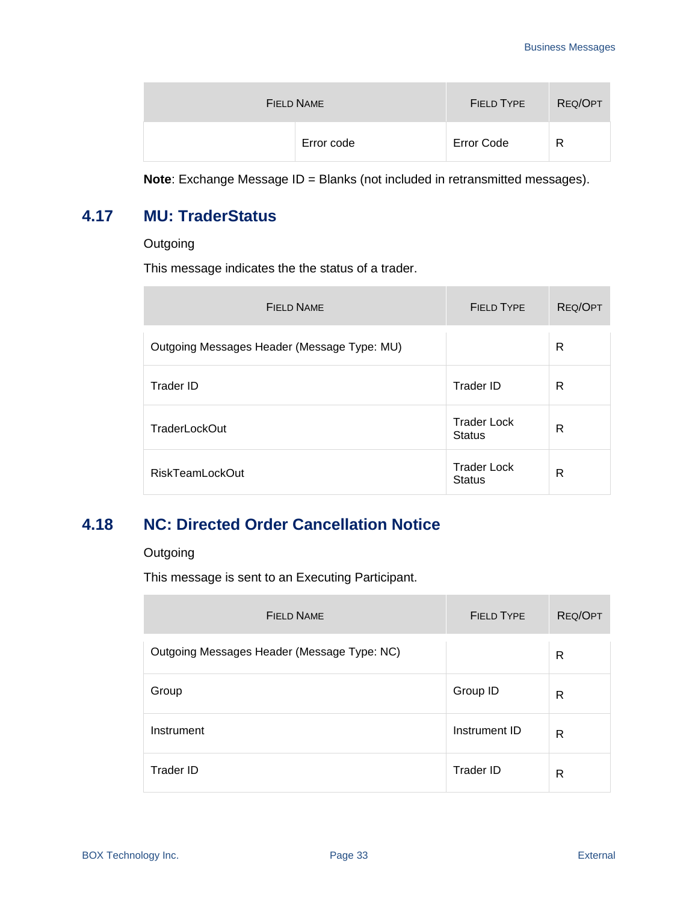| FIELD NAME | <b>FIELD TYPE</b> | REQ/OPT |
|------------|-------------------|---------|
| Error code | <b>Error Code</b> | R       |

**Note**: Exchange Message ID = Blanks (not included in retransmitted messages).

## <span id="page-32-0"></span>**4.17 MU: TraderStatus**

**Outgoing** 

This message indicates the the status of a trader.

| FIFI D NAME                                 | FIFI D TYPE                         | <b>REQ/OPT</b> |
|---------------------------------------------|-------------------------------------|----------------|
| Outgoing Messages Header (Message Type: MU) |                                     | R              |
| Trader ID                                   | Trader ID                           | R              |
| <b>TraderLockOut</b>                        | <b>Trader Lock</b><br><b>Status</b> | R              |
| <b>RiskTeamLockOut</b>                      | <b>Trader Lock</b><br><b>Status</b> | R              |

## <span id="page-32-1"></span>**4.18 NC: Directed Order Cancellation Notice**

#### **Outgoing**

This message is sent to an Executing Participant.

| <b>FIELD NAME</b>                           | <b>FIELD TYPE</b> | REQ/OPT |
|---------------------------------------------|-------------------|---------|
| Outgoing Messages Header (Message Type: NC) |                   | R       |
| Group                                       | Group ID          | R       |
| Instrument                                  | Instrument ID     | R       |
| Trader ID                                   | Trader ID         | R       |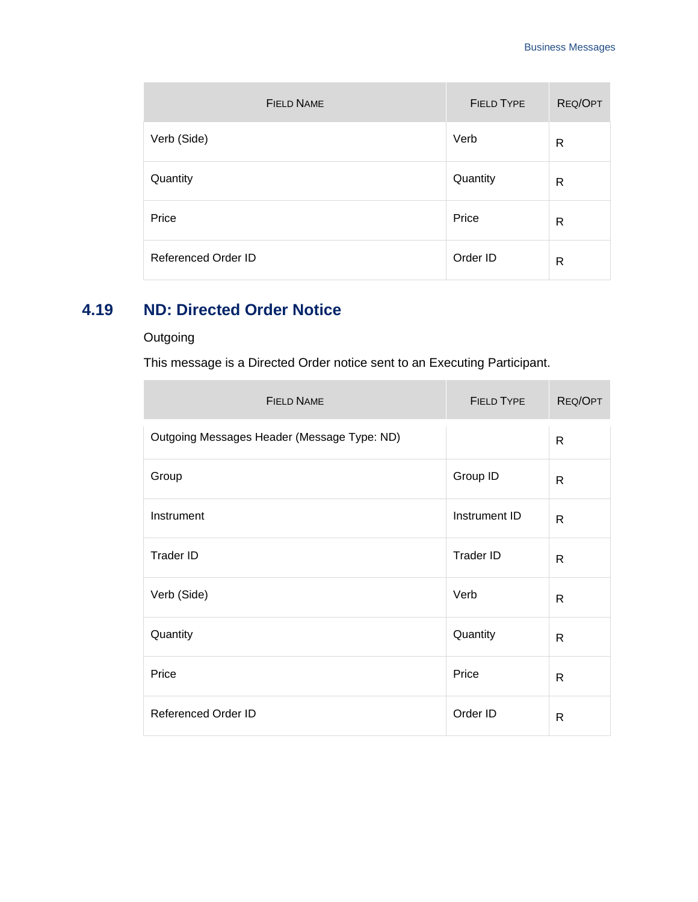| <b>FIELD NAME</b>          | <b>FIELD TYPE</b> | REQ/OPT |
|----------------------------|-------------------|---------|
| Verb (Side)                | Verb              | R       |
| Quantity                   | Quantity          | R       |
| Price                      | Price             | R       |
| <b>Referenced Order ID</b> | Order ID          | R       |

## <span id="page-33-0"></span>**4.19 ND: Directed Order Notice**

### **Outgoing**

m.

This message is a Directed Order notice sent to an Executing Participant.

| <b>FIELD NAME</b>                           | <b>FIELD TYPE</b> | REQ/OPT      |
|---------------------------------------------|-------------------|--------------|
| Outgoing Messages Header (Message Type: ND) |                   | $\mathsf{R}$ |
| Group                                       | Group ID          | R            |
| Instrument                                  | Instrument ID     | $\mathsf{R}$ |
| Trader ID                                   | <b>Trader ID</b>  | R            |
| Verb (Side)                                 | Verb              | R            |
| Quantity                                    | Quantity          | R            |
| Price                                       | Price             | R            |
| <b>Referenced Order ID</b>                  | Order ID          | R            |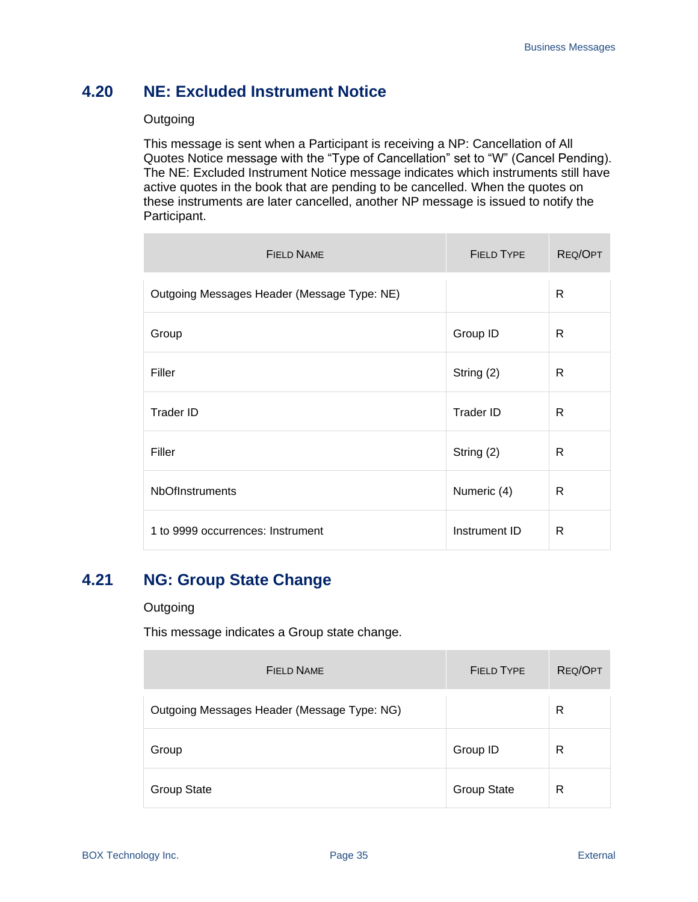## <span id="page-34-0"></span>**4.20 NE: Excluded Instrument Notice**

#### **Outgoing**

This message is sent when a Participant is receiving a NP: Cancellation of All Quotes Notice message with the "Type of Cancellation" set to "W" (Cancel Pending). The NE: Excluded Instrument Notice message indicates which instruments still have active quotes in the book that are pending to be cancelled. When the quotes on these instruments are later cancelled, another NP message is issued to notify the Participant.

| <b>FIELD NAME</b>                           | <b>FIELD TYPE</b> | REQ/OPT |
|---------------------------------------------|-------------------|---------|
| Outgoing Messages Header (Message Type: NE) |                   | R       |
| Group                                       | Group ID          | R       |
| Filler                                      | String (2)        | R       |
| <b>Trader ID</b>                            | <b>Trader ID</b>  | R       |
| Filler                                      | String (2)        | R       |
| <b>NbOfInstruments</b>                      | Numeric (4)       | R       |
| 1 to 9999 occurrences: Instrument           | Instrument ID     | R       |

## <span id="page-34-1"></span>**4.21 NG: Group State Change**

#### **Outgoing**

This message indicates a Group state change.

| <b>FIELD NAME</b>                           | <b>FIELD TYPE</b>  | REQ/OPT |
|---------------------------------------------|--------------------|---------|
| Outgoing Messages Header (Message Type: NG) |                    | R       |
| Group                                       | Group ID           | R       |
| <b>Group State</b>                          | <b>Group State</b> | R       |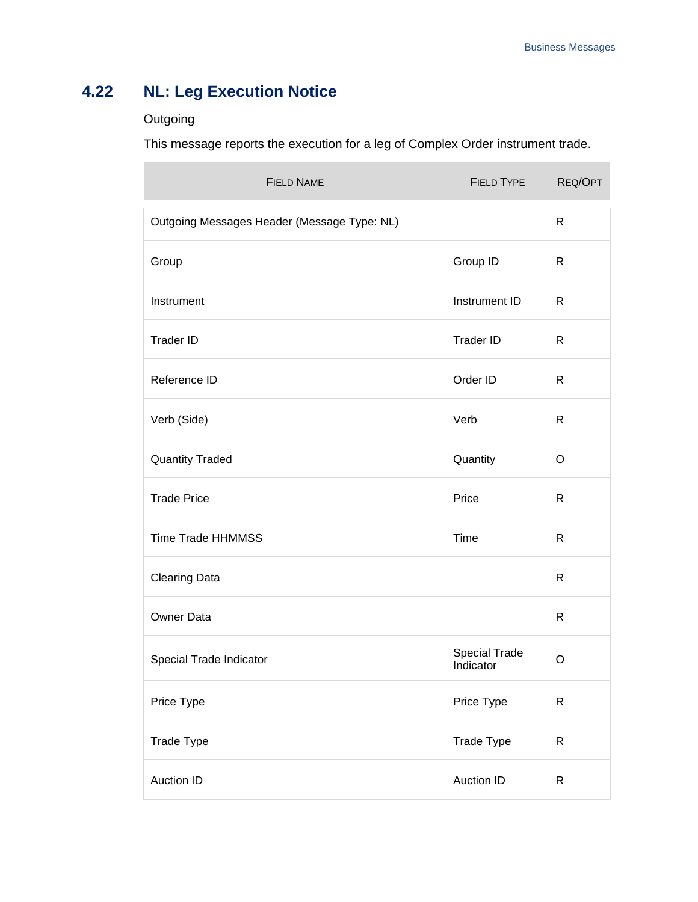## <span id="page-35-0"></span>**4.22 NL: Leg Execution Notice**

## Outgoing

÷

This message reports the execution for a leg of Complex Order instrument trade.

| <b>FIELD NAME</b>                           | <b>FIELD TYPE</b>          | REQ/OPT      |
|---------------------------------------------|----------------------------|--------------|
| Outgoing Messages Header (Message Type: NL) |                            | $\mathsf{R}$ |
| Group                                       | Group ID                   | $\mathsf{R}$ |
| Instrument                                  | Instrument ID              | R            |
| Trader ID                                   | Trader ID                  | R            |
| Reference ID                                | Order ID                   | R            |
| Verb (Side)                                 | Verb                       | R            |
| <b>Quantity Traded</b>                      | Quantity                   | $\circ$      |
| <b>Trade Price</b>                          | Price                      | $\mathsf{R}$ |
| <b>Time Trade HHMMSS</b>                    | Time                       | $\mathsf{R}$ |
| <b>Clearing Data</b>                        |                            | $\mathsf{R}$ |
| Owner Data                                  |                            | $\mathsf{R}$ |
| Special Trade Indicator                     | Special Trade<br>Indicator | O            |
| Price Type                                  | Price Type                 | $\mathsf{R}$ |
| Trade Type                                  | Trade Type                 | $\mathsf{R}$ |
| Auction ID                                  | <b>Auction ID</b>          | $\mathsf{R}$ |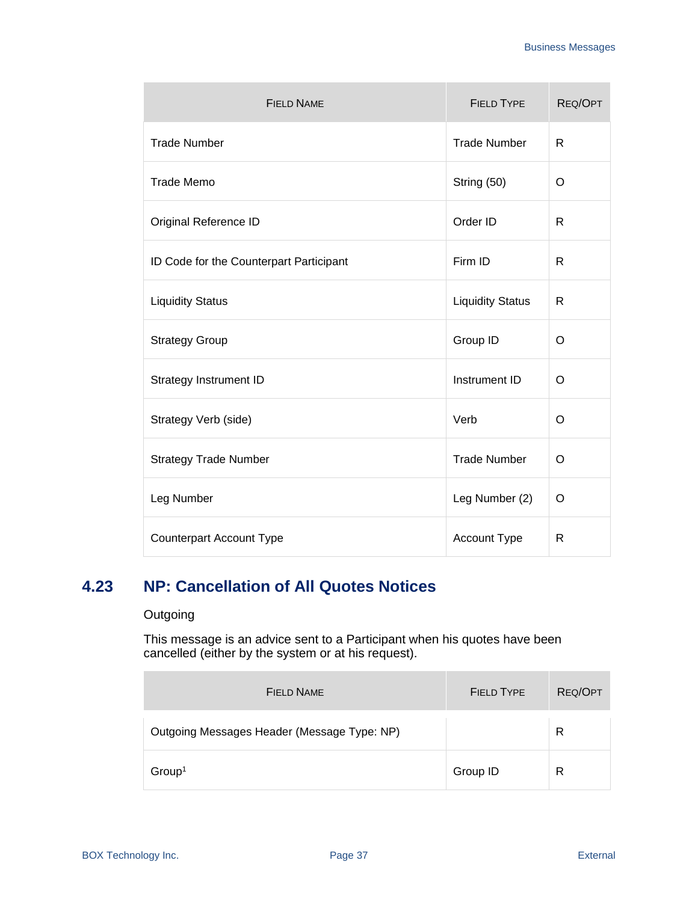| <b>FIELD NAME</b>                       | <b>FIELD TYPE</b>       | REQ/OPT      |
|-----------------------------------------|-------------------------|--------------|
| <b>Trade Number</b>                     | <b>Trade Number</b>     | R            |
| <b>Trade Memo</b>                       | String (50)             | O            |
| Original Reference ID                   | Order ID                | R            |
| ID Code for the Counterpart Participant | Firm ID                 | $\mathsf{R}$ |
| <b>Liquidity Status</b>                 | <b>Liquidity Status</b> | R            |
| <b>Strategy Group</b>                   | Group ID                | O            |
| Strategy Instrument ID                  | Instrument ID           | O            |
| Strategy Verb (side)                    | Verb                    | O            |
| <b>Strategy Trade Number</b>            | <b>Trade Number</b>     | O            |
| Leg Number                              | Leg Number (2)          | O            |
| <b>Counterpart Account Type</b>         | Account Type            | R            |

## **4.23 NP: Cancellation of All Quotes Notices**

### **Outgoing**

Ē.

This message is an advice sent to a Participant when his quotes have been cancelled (either by the system or at his request).

| <b>FIELD NAME</b>                           | <b>FIELD TYPE</b> | REQ/OPT |
|---------------------------------------------|-------------------|---------|
| Outgoing Messages Header (Message Type: NP) |                   | R       |
| Group <sup>1</sup>                          | Group ID          | R       |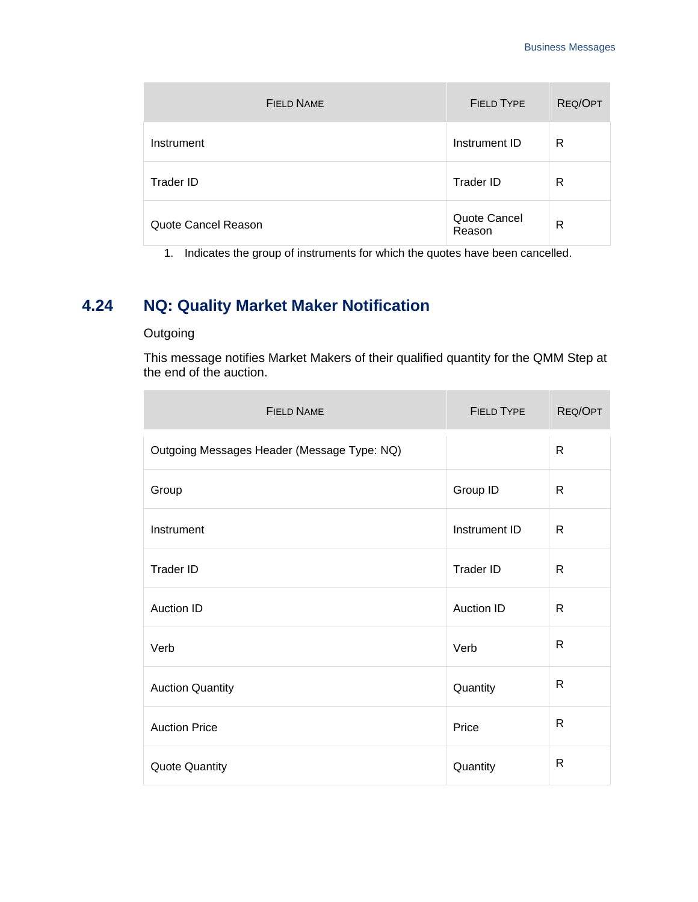| <b>FIELD NAME</b>   | <b>FIELD TYPE</b>      | REQ/OPT      |
|---------------------|------------------------|--------------|
| Instrument          | Instrument ID          | R            |
| Trader ID           | Trader ID              | R            |
| Quote Cancel Reason | Quote Cancel<br>Reason | $\mathsf{R}$ |

1. Indicates the group of instruments for which the quotes have been cancelled.

# **4.24 NQ: Quality Market Maker Notification**

### **Outgoing**

п

This message notifies Market Makers of their qualified quantity for the QMM Step at the end of the auction.

| <b>FIELD NAME</b>                           | <b>FIELD TYPE</b> | REQ/OPT      |
|---------------------------------------------|-------------------|--------------|
| Outgoing Messages Header (Message Type: NQ) |                   | $\mathsf{R}$ |
| Group                                       | Group ID          | R            |
| Instrument                                  | Instrument ID     | $\mathsf{R}$ |
| Trader ID                                   | Trader ID         | R            |
| Auction ID                                  | <b>Auction ID</b> | R            |
| Verb                                        | Verb              | R            |
| <b>Auction Quantity</b>                     | Quantity          | R            |
| <b>Auction Price</b>                        | Price             | R            |
| <b>Quote Quantity</b>                       | Quantity          | $\mathsf{R}$ |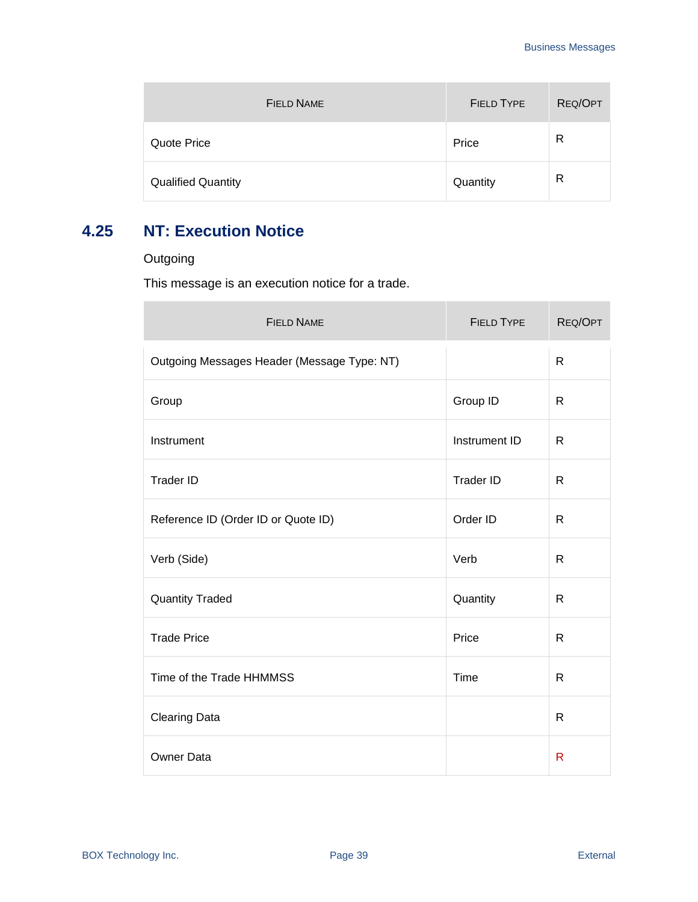| <b>FIELD NAME</b>         | <b>FIELD TYPE</b> | REQ/OPT |
|---------------------------|-------------------|---------|
| Quote Price               | Price             | R       |
| <b>Qualified Quantity</b> | Quantity          | R       |

# **4.25 NT: Execution Notice**

### **Outgoing**

This message is an execution notice for a trade.

| <b>FIELD NAME</b>                           | <b>FIELD TYPE</b> | REQ/OPT      |
|---------------------------------------------|-------------------|--------------|
| Outgoing Messages Header (Message Type: NT) |                   | $\mathsf{R}$ |
| Group                                       | Group ID          | R            |
| Instrument                                  | Instrument ID     | $\mathsf{R}$ |
| <b>Trader ID</b>                            | <b>Trader ID</b>  | $\mathsf{R}$ |
| Reference ID (Order ID or Quote ID)         | Order ID          | $\mathsf{R}$ |
| Verb (Side)                                 | Verb              | $\mathsf{R}$ |
| <b>Quantity Traded</b>                      | Quantity          | $\mathsf{R}$ |
| <b>Trade Price</b>                          | Price             | $\mathsf{R}$ |
| Time of the Trade HHMMSS                    | Time              | R            |
| <b>Clearing Data</b>                        |                   | $\mathsf{R}$ |
| Owner Data                                  |                   | $\mathsf{R}$ |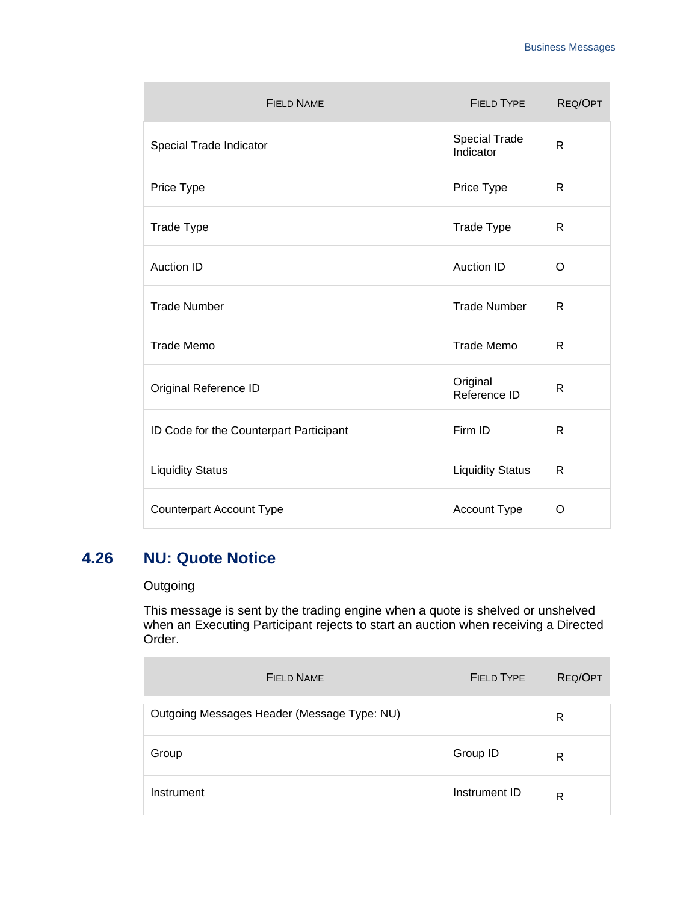| <b>FIELD NAME</b>                       | <b>FIELD TYPE</b>          | REQ/OPT |
|-----------------------------------------|----------------------------|---------|
| Special Trade Indicator                 | Special Trade<br>Indicator | R       |
| Price Type                              | Price Type                 | R       |
| <b>Trade Type</b>                       | Trade Type                 | R       |
| <b>Auction ID</b>                       | <b>Auction ID</b>          | O       |
| <b>Trade Number</b>                     | <b>Trade Number</b>        | R       |
| <b>Trade Memo</b>                       | <b>Trade Memo</b>          | R       |
| Original Reference ID                   | Original<br>Reference ID   | R       |
| ID Code for the Counterpart Participant | Firm ID                    | R       |
| <b>Liquidity Status</b>                 | <b>Liquidity Status</b>    | R       |
| <b>Counterpart Account Type</b>         | Account Type               | O       |

### **4.26 NU: Quote Notice**

### **Outgoing**

a.

This message is sent by the trading engine when a quote is shelved or unshelved when an Executing Participant rejects to start an auction when receiving a Directed Order.

| <b>FIELD NAME</b>                           | <b>FIELD TYPE</b> | REQ/OPT |
|---------------------------------------------|-------------------|---------|
| Outgoing Messages Header (Message Type: NU) |                   | R       |
| Group                                       | Group ID          | R       |
| Instrument                                  | Instrument ID     | R       |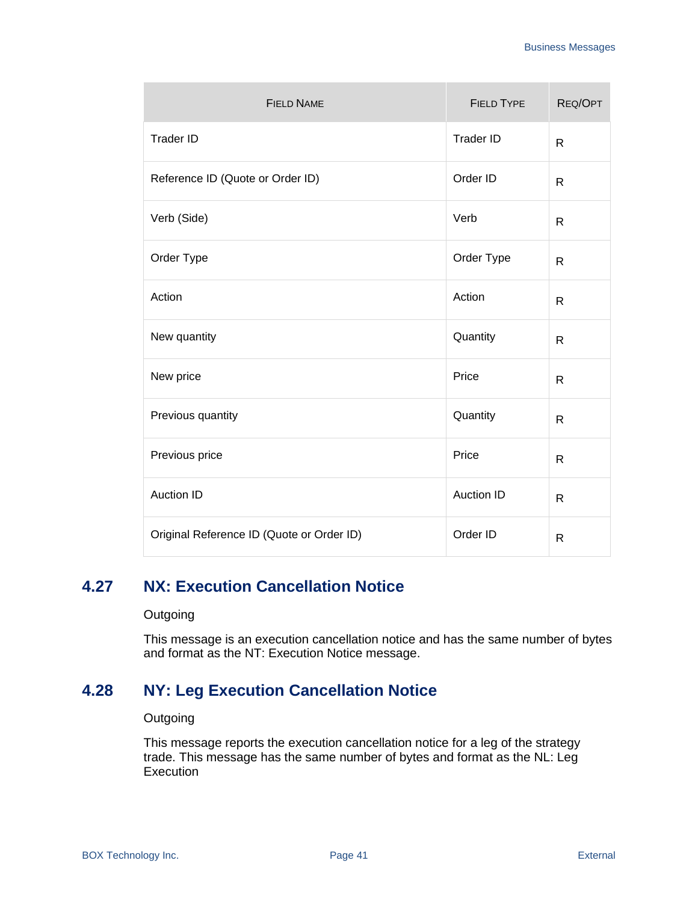| <b>FIELD NAME</b>                         | <b>FIELD TYPE</b> | REQ/OPT      |
|-------------------------------------------|-------------------|--------------|
| <b>Trader ID</b>                          | <b>Trader ID</b>  | $\mathsf{R}$ |
| Reference ID (Quote or Order ID)          | Order ID          | $\mathsf{R}$ |
| Verb (Side)                               | Verb              | $\mathsf{R}$ |
| Order Type                                | Order Type        | $\mathsf{R}$ |
| Action                                    | Action            | $\mathsf{R}$ |
| New quantity                              | Quantity          | R            |
| New price                                 | Price             | R            |
| Previous quantity                         | Quantity          | $\mathsf{R}$ |
| Previous price                            | Price             | R            |
| <b>Auction ID</b>                         | <b>Auction ID</b> | $\mathsf{R}$ |
| Original Reference ID (Quote or Order ID) | Order ID          | $\mathsf{R}$ |

### **4.27 NX: Execution Cancellation Notice**

#### **Outgoing**

This message is an execution cancellation notice and has the same number of bytes and format as the NT: Execution Notice message.

### **4.28 NY: Leg Execution Cancellation Notice**

#### **Outgoing**

This message reports the execution cancellation notice for a leg of the strategy trade. This message has the same number of bytes and format as the NL: Leg **Execution**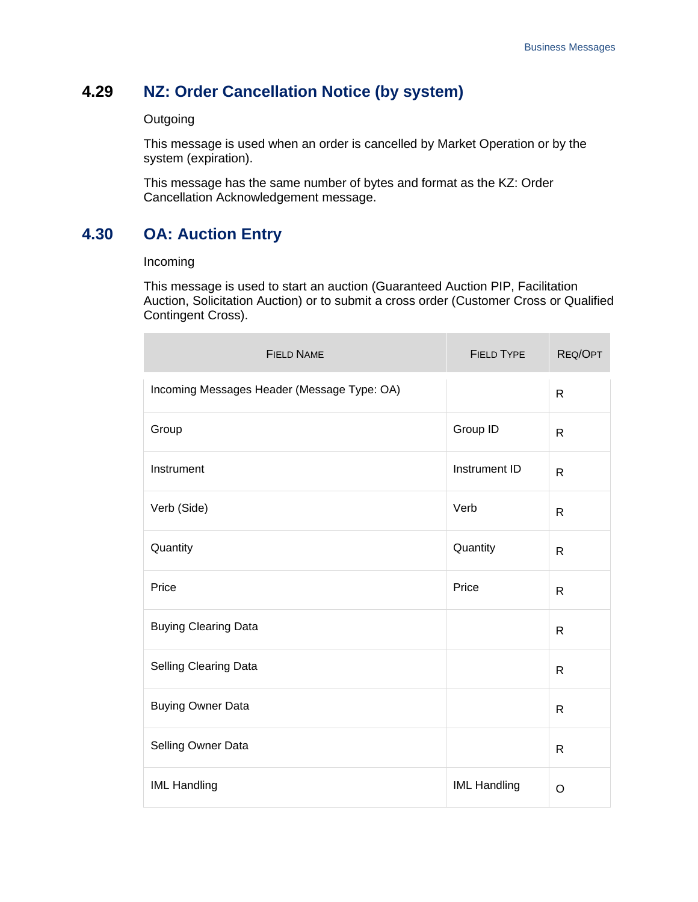### **4.29 NZ: Order Cancellation Notice (by system)**

#### **Outgoing**

This message is used when an order is cancelled by Market Operation or by the system (expiration).

This message has the same number of bytes and format as the KZ: Order Cancellation Acknowledgement message.

### **4.30 OA: Auction Entry**

#### Incoming

This message is used to start an auction (Guaranteed Auction PIP, Facilitation Auction, Solicitation Auction) or to submit a cross order (Customer Cross or Qualified Contingent Cross).

| <b>FIELD NAME</b>                           | <b>FIELD TYPE</b>   | REQ/OPT      |
|---------------------------------------------|---------------------|--------------|
| Incoming Messages Header (Message Type: OA) |                     | $\mathsf{R}$ |
| Group                                       | Group ID            | $\mathsf{R}$ |
| Instrument                                  | Instrument ID       | $\mathsf{R}$ |
| Verb (Side)                                 | Verb                | $\mathsf{R}$ |
| Quantity                                    | Quantity            | $\mathsf{R}$ |
| Price                                       | Price               | R            |
| <b>Buying Clearing Data</b>                 |                     | $\mathsf{R}$ |
| Selling Clearing Data                       |                     | $\mathsf{R}$ |
| <b>Buying Owner Data</b>                    |                     | $\mathsf{R}$ |
| Selling Owner Data                          |                     | $\mathsf{R}$ |
| <b>IML Handling</b>                         | <b>IML Handling</b> | $\circ$      |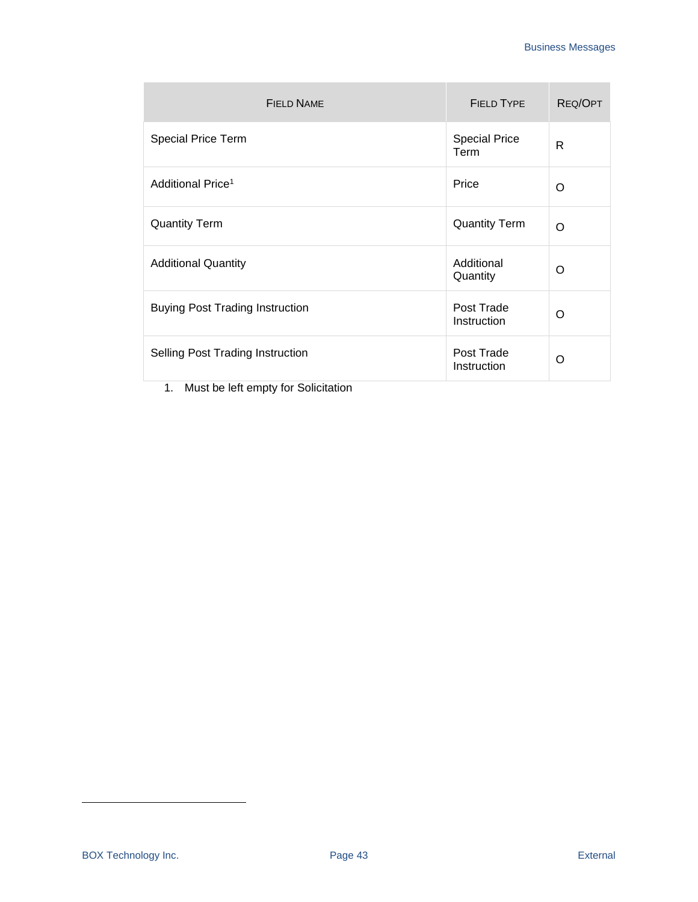| <b>FIELD NAME</b>                      | <b>FIELD TYPE</b>            | REQ/OPT  |
|----------------------------------------|------------------------------|----------|
| <b>Special Price Term</b>              | <b>Special Price</b><br>Term | R        |
| Additional Price <sup>1</sup>          | Price                        | O        |
| <b>Quantity Term</b>                   | <b>Quantity Term</b>         | O        |
| <b>Additional Quantity</b>             | Additional<br>Quantity       | O        |
| <b>Buying Post Trading Instruction</b> | Post Trade<br>Instruction    | O        |
| Selling Post Trading Instruction       | Post Trade<br>Instruction    | $\Omega$ |

1. Must be left empty for Solicitation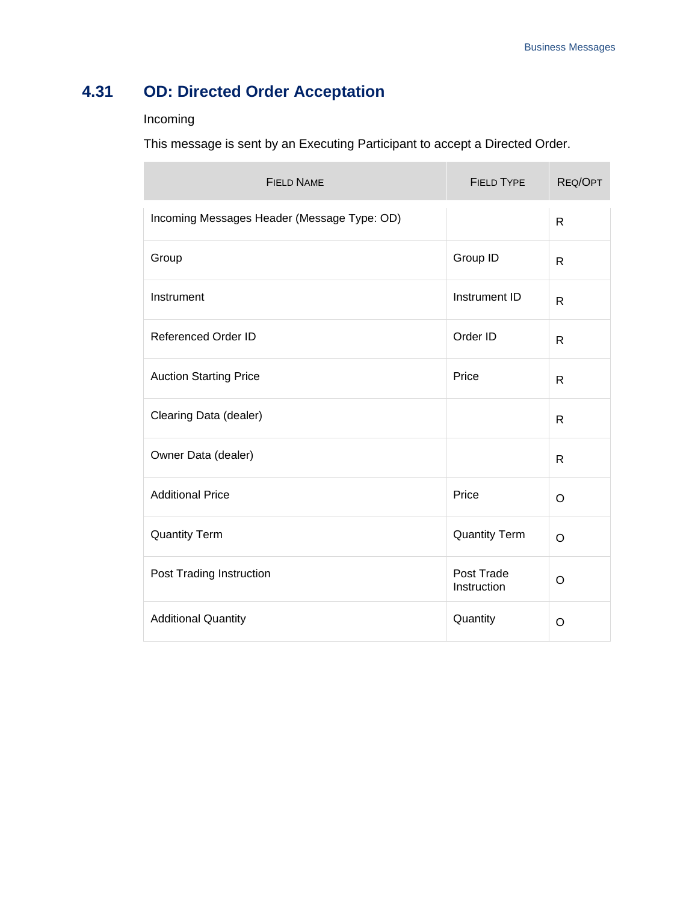# **4.31 OD: Directed Order Acceptation**

### Incoming

۰

This message is sent by an Executing Participant to accept a Directed Order.

| <b>FIELD NAME</b>                           | <b>FIELD TYPE</b>         | REQ/OPT      |
|---------------------------------------------|---------------------------|--------------|
| Incoming Messages Header (Message Type: OD) |                           | $\mathsf{R}$ |
| Group                                       | Group ID                  | $\mathsf{R}$ |
| Instrument                                  | Instrument ID             | R            |
| <b>Referenced Order ID</b>                  | Order ID                  | $\mathsf{R}$ |
| <b>Auction Starting Price</b>               | Price                     | R            |
| Clearing Data (dealer)                      |                           | R            |
| Owner Data (dealer)                         |                           | R            |
| <b>Additional Price</b>                     | Price                     | O            |
| <b>Quantity Term</b>                        | <b>Quantity Term</b>      | $\circ$      |
| Post Trading Instruction                    | Post Trade<br>Instruction | O            |
| <b>Additional Quantity</b>                  | Quantity                  | O            |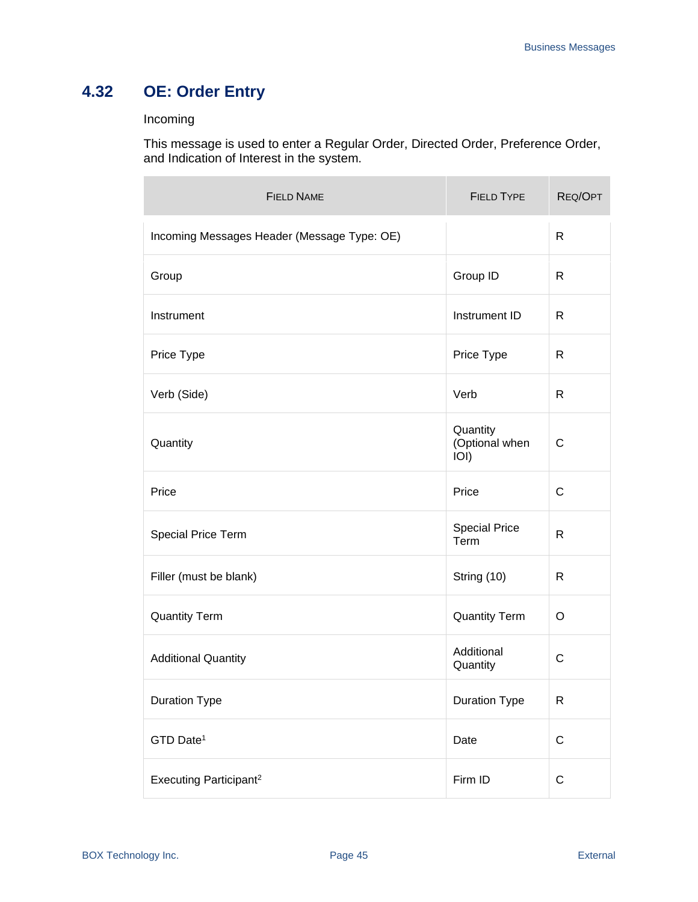# **4.32 OE: Order Entry**

### Incoming

This message is used to enter a Regular Order, Directed Order, Preference Order, and Indication of Interest in the system.

| <b>FIELD NAME</b>                           | <b>FIELD TYPE</b>                  | REQ/OPT      |
|---------------------------------------------|------------------------------------|--------------|
| Incoming Messages Header (Message Type: OE) |                                    | $\mathsf{R}$ |
| Group                                       | Group ID                           | R            |
| Instrument                                  | Instrument ID                      | R            |
| Price Type                                  | Price Type                         | R            |
| Verb (Side)                                 | Verb                               | R            |
| Quantity                                    | Quantity<br>(Optional when<br>IOI) | $\mathsf{C}$ |
| Price                                       | Price                              | C            |
| Special Price Term                          | <b>Special Price</b><br>Term       | R            |
| Filler (must be blank)                      | String (10)                        | R            |
| <b>Quantity Term</b>                        | <b>Quantity Term</b>               | O            |
| <b>Additional Quantity</b>                  | Additional<br>Quantity             | C            |
| <b>Duration Type</b>                        | <b>Duration Type</b>               | $\mathsf{R}$ |
| GTD Date <sup>1</sup>                       | Date                               | $\mathsf C$  |
| Executing Participant <sup>2</sup>          | Firm ID                            | $\mathsf C$  |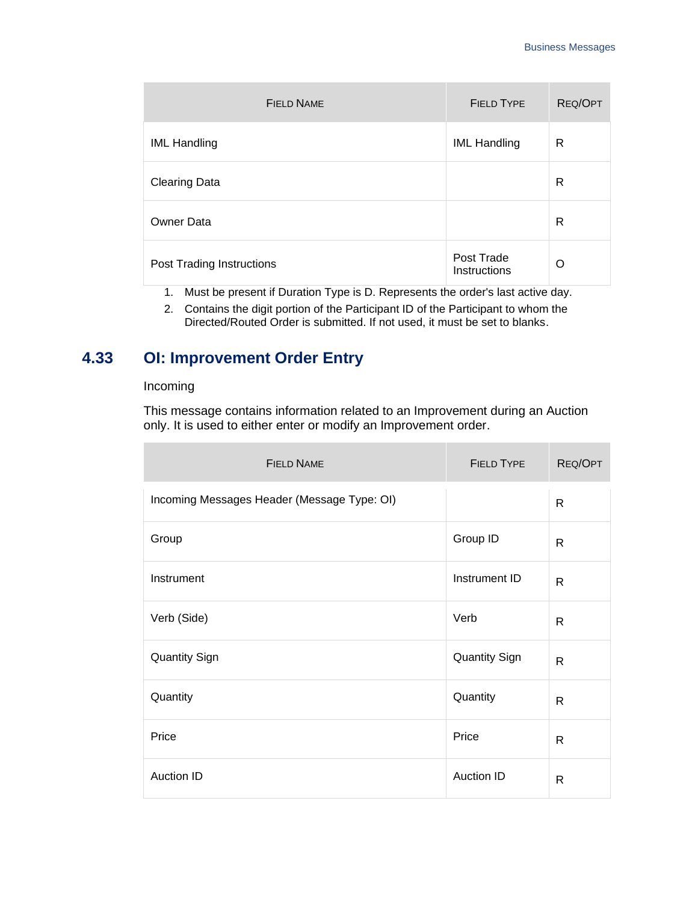| <b>FIELD NAME</b>         | <b>FIELD TYPE</b>          | <b>REQ/OPT</b> |
|---------------------------|----------------------------|----------------|
| <b>IML Handling</b>       | <b>IML Handling</b>        | R              |
| <b>Clearing Data</b>      |                            | R              |
| <b>Owner Data</b>         |                            | R              |
| Post Trading Instructions | Post Trade<br>Instructions | O              |

- 1. Must be present if Duration Type is D. Represents the order's last active day.
- 2. Contains the digit portion of the Participant ID of the Participant to whom the Directed/Routed Order is submitted. If not used, it must be set to blanks.

## **4.33 OI: Improvement Order Entry**

#### Incoming

This message contains information related to an Improvement during an Auction only. It is used to either enter or modify an Improvement order.

| <b>FIELD NAME</b>                           | <b>FIELD TYPE</b>    | REQ/OPT      |
|---------------------------------------------|----------------------|--------------|
| Incoming Messages Header (Message Type: OI) |                      | $\mathsf{R}$ |
| Group                                       | Group ID             | $\mathsf{R}$ |
| Instrument                                  | Instrument ID        | $\mathsf{R}$ |
| Verb (Side)                                 | Verb                 | R            |
| <b>Quantity Sign</b>                        | <b>Quantity Sign</b> | $\mathsf{R}$ |
| Quantity                                    | Quantity             | $\mathsf{R}$ |
| Price                                       | Price                | $\mathsf{R}$ |
| <b>Auction ID</b>                           | <b>Auction ID</b>    | $\mathsf{R}$ |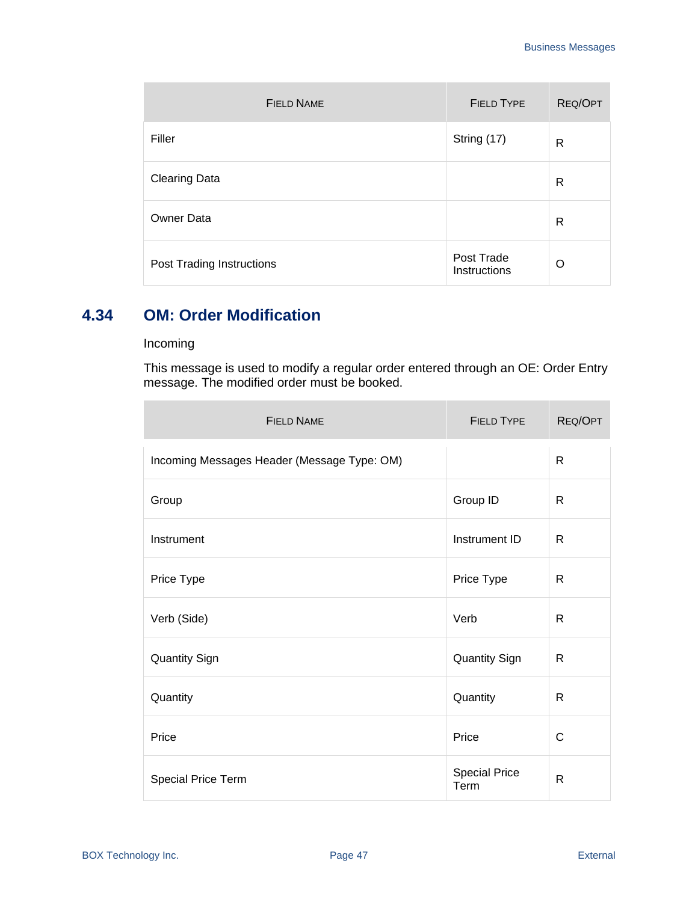| <b>FIELD NAME</b>         | <b>FIELD TYPE</b>          | <b>REQ/OPT</b> |
|---------------------------|----------------------------|----------------|
| Filler                    | String (17)                | R              |
| <b>Clearing Data</b>      |                            | R              |
| <b>Owner Data</b>         |                            | R              |
| Post Trading Instructions | Post Trade<br>Instructions | $\Omega$       |

### **4.34 OM: Order Modification**

#### Incoming

n.

This message is used to modify a regular order entered through an OE: Order Entry message. The modified order must be booked.

| <b>FIELD NAME</b>                           | <b>FIELD TYPE</b>            | REQ/OPT      |
|---------------------------------------------|------------------------------|--------------|
| Incoming Messages Header (Message Type: OM) |                              | $\mathsf{R}$ |
| Group                                       | Group ID                     | R            |
| Instrument                                  | Instrument ID                | R            |
| Price Type                                  | Price Type                   | R            |
| Verb (Side)                                 | Verb                         | R            |
| <b>Quantity Sign</b>                        | <b>Quantity Sign</b>         | R            |
| Quantity                                    | Quantity                     | R            |
| Price                                       | Price                        | C            |
| Special Price Term                          | <b>Special Price</b><br>Term | $\mathsf{R}$ |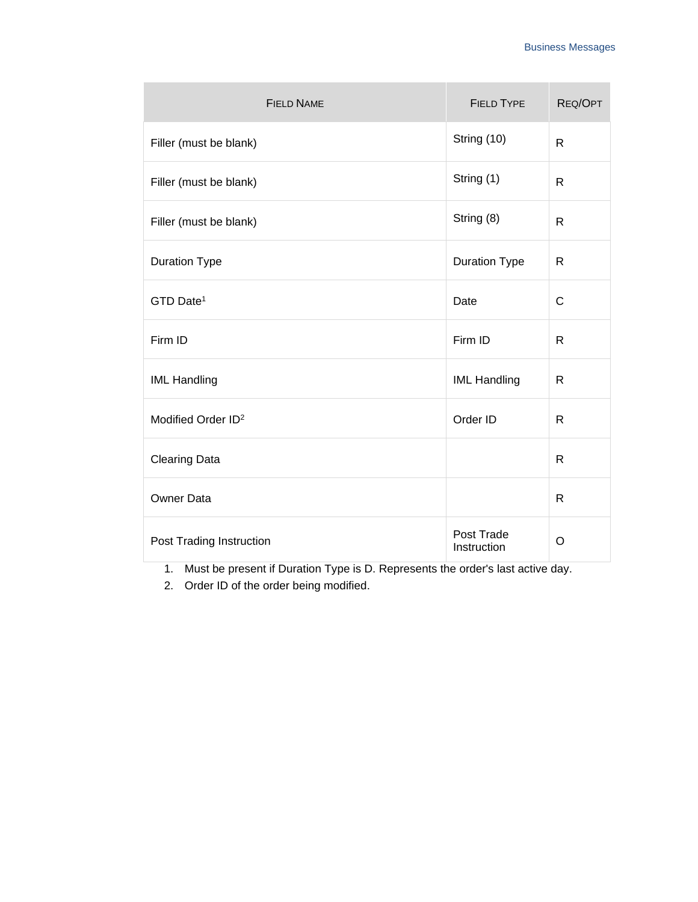| <b>FIELD NAME</b>              | <b>FIELD TYPE</b>         | REQ/OPT      |
|--------------------------------|---------------------------|--------------|
| Filler (must be blank)         | String (10)               | $\mathsf{R}$ |
| Filler (must be blank)         | String (1)                | $\mathsf{R}$ |
| Filler (must be blank)         | String (8)                | R            |
| <b>Duration Type</b>           | <b>Duration Type</b>      | R            |
| GTD Date <sup>1</sup>          | Date                      | $\mathsf{C}$ |
| Firm ID                        | Firm ID                   | $\mathsf{R}$ |
| <b>IML Handling</b>            | <b>IML Handling</b>       | $\mathsf{R}$ |
| Modified Order ID <sup>2</sup> | Order ID                  | $\mathsf{R}$ |
| <b>Clearing Data</b>           |                           | $\mathsf{R}$ |
| <b>Owner Data</b>              |                           | $\mathsf{R}$ |
| Post Trading Instruction       | Post Trade<br>Instruction | O            |

1. Must be present if Duration Type is D. Represents the order's last active day.

2. Order ID of the order being modified.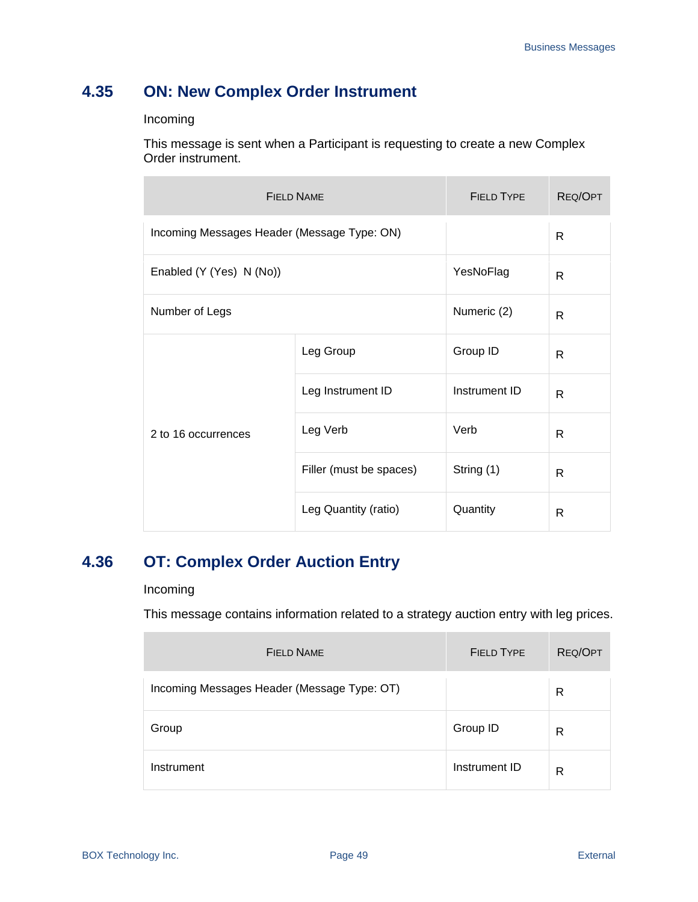# **4.35 ON: New Complex Order Instrument**

Incoming

This message is sent when a Participant is requesting to create a new Complex Order instrument.

| <b>FIELD NAME</b>                           |                         | <b>FIELD TYPE</b> | REQ/OPT |
|---------------------------------------------|-------------------------|-------------------|---------|
| Incoming Messages Header (Message Type: ON) |                         |                   | R       |
| Enabled (Y (Yes) N (No))                    |                         | YesNoFlag         | R       |
| Number of Legs                              |                         | Numeric (2)       | R       |
| 2 to 16 occurrences                         | Leg Group               | Group ID          | R       |
|                                             | Leg Instrument ID       | Instrument ID     | R       |
|                                             | Leg Verb                | Verb              | R       |
|                                             | Filler (must be spaces) | String (1)        | R       |
|                                             | Leg Quantity (ratio)    | Quantity          | R       |

### **4.36 OT: Complex Order Auction Entry**

### Incoming

This message contains information related to a strategy auction entry with leg prices.

| <b>FIELD NAME</b>                           | <b>FIELD TYPE</b> | REQ/OPT |
|---------------------------------------------|-------------------|---------|
| Incoming Messages Header (Message Type: OT) |                   | R       |
| Group                                       | Group ID          | R       |
| Instrument                                  | Instrument ID     | R       |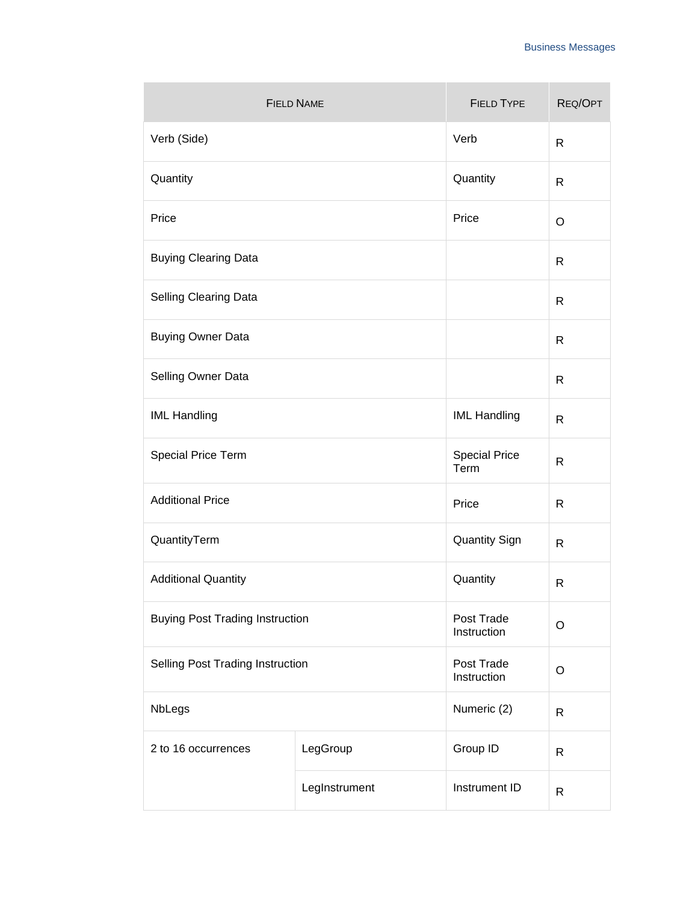| <b>FIELD NAME</b>                      |               | <b>FIELD TYPE</b>            | REQ/OPT      |
|----------------------------------------|---------------|------------------------------|--------------|
| Verb (Side)                            |               | Verb                         | $\mathsf{R}$ |
| Quantity                               |               | Quantity                     | $\mathsf{R}$ |
| Price                                  |               | Price                        | O            |
| <b>Buying Clearing Data</b>            |               |                              | $\mathsf{R}$ |
| <b>Selling Clearing Data</b>           |               |                              | $\mathsf{R}$ |
| <b>Buying Owner Data</b>               |               |                              | $\mathsf{R}$ |
| Selling Owner Data                     |               |                              | $\mathsf{R}$ |
| <b>IML Handling</b>                    |               | <b>IML Handling</b>          | $\mathsf{R}$ |
| Special Price Term                     |               | <b>Special Price</b><br>Term | $\mathsf{R}$ |
| <b>Additional Price</b>                |               | Price                        | $\mathsf{R}$ |
| QuantityTerm                           |               | <b>Quantity Sign</b>         | $\mathsf{R}$ |
| <b>Additional Quantity</b>             |               | Quantity                     | $\mathsf{R}$ |
| <b>Buying Post Trading Instruction</b> |               | Post Trade<br>Instruction    | O            |
| Selling Post Trading Instruction       |               | Post Trade<br>Instruction    | $\circ$      |
| NbLegs                                 |               | Numeric (2)                  | $\mathsf{R}$ |
| 2 to 16 occurrences                    | LegGroup      | Group ID                     | $\mathsf{R}$ |
|                                        | LegInstrument | Instrument ID                | $\mathsf{R}$ |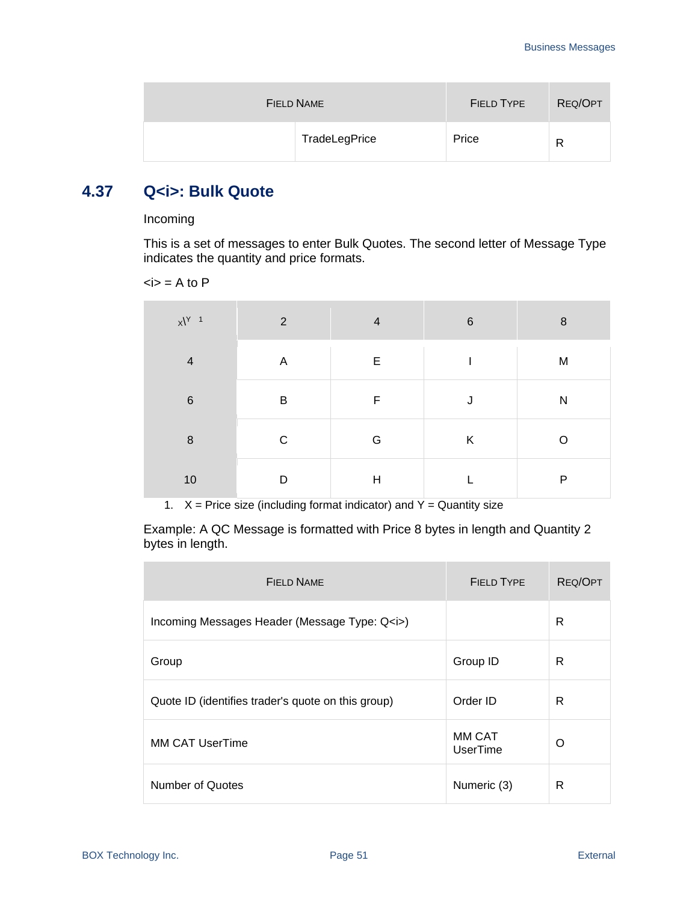| FIELD NAME |               | <b>FIELD TYPE</b> | REQ/OPT |
|------------|---------------|-------------------|---------|
|            | TradeLegPrice | Price             | R       |

### **4.37 Q<i>: Bulk Quote**

#### Incoming

This is a set of messages to enter Bulk Quotes. The second letter of Message Type indicates the quantity and price formats.

 $\langle i \rangle$  = A to P

| $x^{\gamma}$ 1 | 2 | $\overline{4}$            | $6\phantom{1}6$ | $\boldsymbol{8}$ |
|----------------|---|---------------------------|-----------------|------------------|
| $\overline{4}$ | A | E                         |                 | M                |
| $\,6$          | B | F                         |                 | ${\sf N}$        |
| $\, 8$         | C | G                         | K               | റ                |
| 10             | D | $\boldsymbol{\mathsf{H}}$ |                 | $\mathsf{P}$     |

1.  $X =$  Price size (including format indicator) and  $Y =$  Quantity size

Example: A QC Message is formatted with Price 8 bytes in length and Quantity 2 bytes in length.

| <b>FIELD NAME</b>                                  | <b>FIELD TYPE</b>  | <b>REQ/OPT</b> |
|----------------------------------------------------|--------------------|----------------|
| Incoming Messages Header (Message Type: Q <i>)</i> |                    | R              |
| Group                                              | Group ID           | R              |
| Quote ID (identifies trader's quote on this group) | Order ID           | R              |
| <b>MM CAT UserTime</b>                             | MM CAT<br>UserTime | O              |
| Number of Quotes                                   | Numeric (3)        | R              |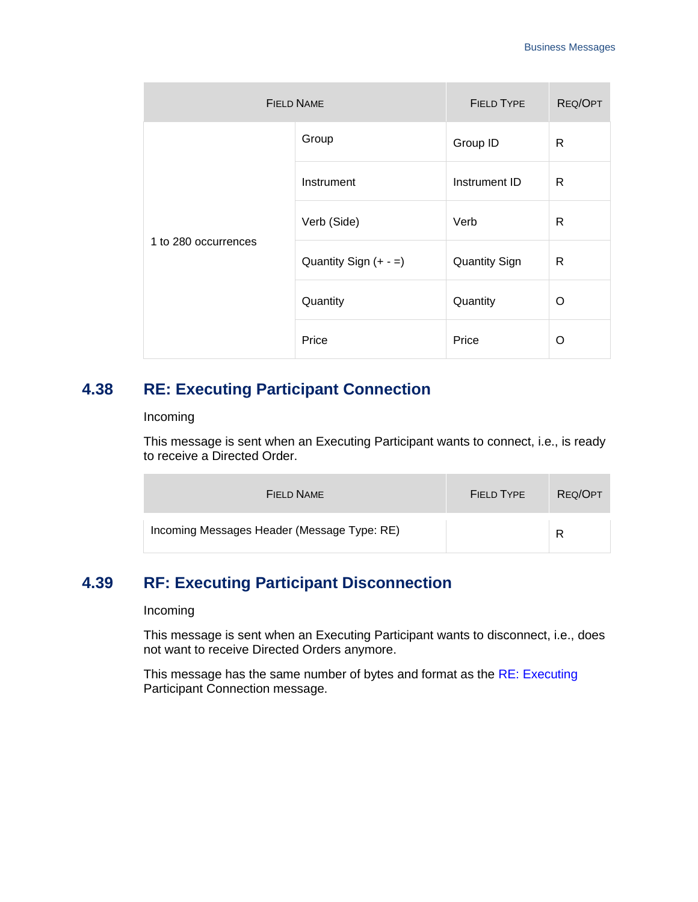| <b>FIELD NAME</b>    | <b>FIELD TYPE</b>       | REQ/OPT              |   |
|----------------------|-------------------------|----------------------|---|
|                      | Group                   | Group ID             | R |
|                      | Instrument              | Instrument ID        | R |
| 1 to 280 occurrences | Verb (Side)             | Verb                 | R |
|                      | Quantity Sign $(+ - =)$ | <b>Quantity Sign</b> | R |
|                      | Quantity                | Quantity             | O |
|                      | Price                   | Price                | O |

### <span id="page-51-0"></span>**4.38 RE: Executing Participant Connection**

#### Incoming

This message is sent when an Executing Participant wants to connect, i.e., is ready to receive a Directed Order.

| FIELD NAME                                  | FIELD TYPE | REQ/OPT |
|---------------------------------------------|------------|---------|
| Incoming Messages Header (Message Type: RE) |            | R       |

### **4.39 RF: Executing Participant Disconnection**

#### Incoming

This message is sent when an Executing Participant wants to disconnect, i.e., does not want to receive Directed Orders anymore.

This message has the same number of bytes and format as the RE: Executing [Participant Connection](#page-51-0) message.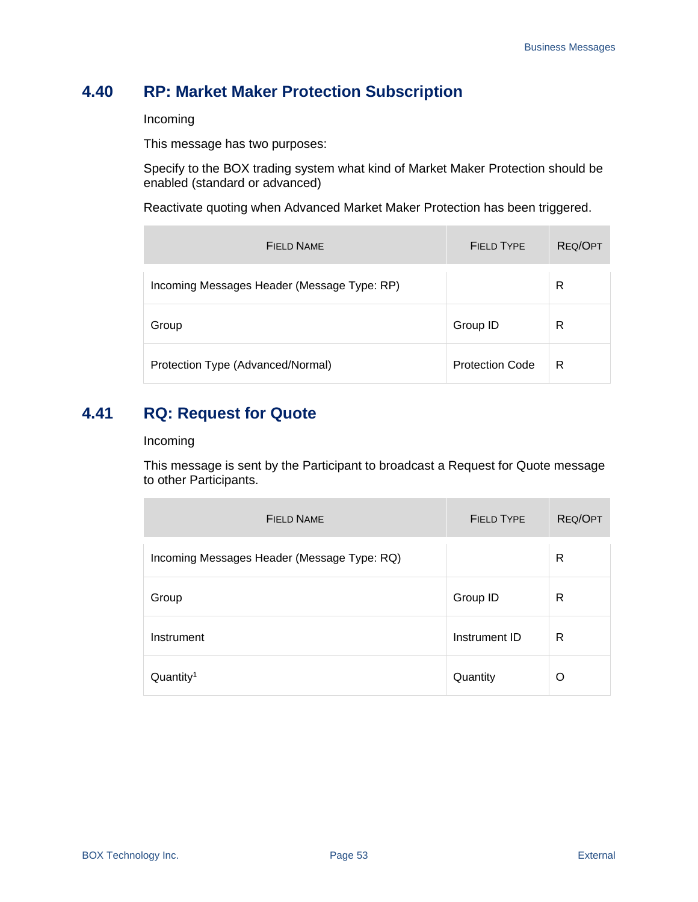## **4.40 RP: Market Maker Protection Subscription**

Incoming

This message has two purposes:

Specify to the BOX trading system what kind of Market Maker Protection should be enabled (standard or advanced)

Reactivate quoting when Advanced Market Maker Protection has been triggered.

| <b>FIELD NAME</b>                           | <b>FIELD TYPE</b>      | REQ/OPT |
|---------------------------------------------|------------------------|---------|
| Incoming Messages Header (Message Type: RP) |                        | R       |
| Group                                       | Group ID               | R       |
| Protection Type (Advanced/Normal)           | <b>Protection Code</b> | R       |

### **4.41 RQ: Request for Quote**

#### Incoming

This message is sent by the Participant to broadcast a Request for Quote message to other Participants.

| <b>FIELD NAME</b>                           | <b>FIELD TYPE</b> | <b>REQ/OPT</b> |
|---------------------------------------------|-------------------|----------------|
| Incoming Messages Header (Message Type: RQ) |                   | R              |
| Group                                       | Group ID          | R              |
| Instrument                                  | Instrument ID     | R              |
| Quantity <sup>1</sup>                       | Quantity          | O              |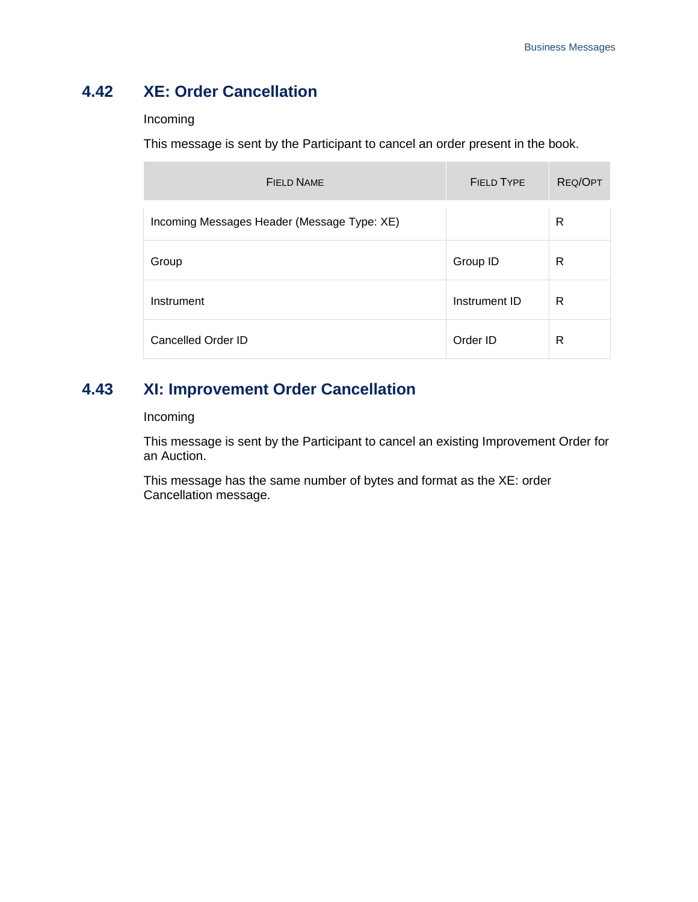# **4.42 XE: Order Cancellation**

#### Incoming

This message is sent by the Participant to cancel an order present in the book.

| <b>FIELD NAME</b>                           | <b>FIELD TYPE</b> | <b>REQ/OPT</b> |
|---------------------------------------------|-------------------|----------------|
| Incoming Messages Header (Message Type: XE) |                   | R              |
| Group                                       | Group ID          | R              |
| Instrument                                  | Instrument ID     | R              |
| Cancelled Order ID                          | Order ID          | R              |

### **4.43 XI: Improvement Order Cancellation**

### Incoming

This message is sent by the Participant to cancel an existing Improvement Order for an Auction.

This message has the same number of bytes and format as the XE: order Cancellation message.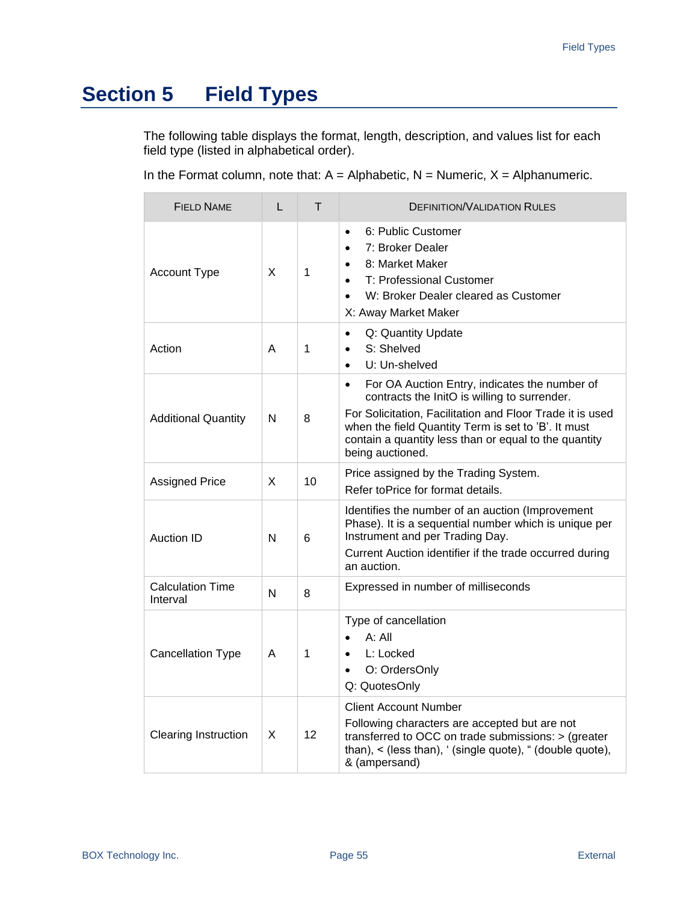# **Section 5 Field Types**

The following table displays the format, length, description, and values list for each field type (listed in alphabetical order).

In the Format column, note that:  $A =$  Alphabetic,  $N =$  Numeric,  $X =$  Alphanumeric.

| <b>FIELD NAME</b>                   | L | T  | <b>DEFINITION/VALIDATION RULES</b>                                                                                                                                                                                                                                                                          |
|-------------------------------------|---|----|-------------------------------------------------------------------------------------------------------------------------------------------------------------------------------------------------------------------------------------------------------------------------------------------------------------|
| <b>Account Type</b>                 | X | 1  | 6: Public Customer<br>$\bullet$<br>7: Broker Dealer<br>8: Market Maker<br>$\bullet$<br>T: Professional Customer<br>W: Broker Dealer cleared as Customer<br>$\bullet$<br>X: Away Market Maker                                                                                                                |
| Action                              | A | 1  | Q: Quantity Update<br>$\bullet$<br>S: Shelved<br>$\bullet$<br>U: Un-shelved<br>$\bullet$                                                                                                                                                                                                                    |
| <b>Additional Quantity</b>          | N | 8  | For OA Auction Entry, indicates the number of<br>$\bullet$<br>contracts the InitO is willing to surrender.<br>For Solicitation, Facilitation and Floor Trade it is used<br>when the field Quantity Term is set to 'B'. It must<br>contain a quantity less than or equal to the quantity<br>being auctioned. |
| <b>Assigned Price</b>               | X | 10 | Price assigned by the Trading System.<br>Refer toPrice for format details.                                                                                                                                                                                                                                  |
| <b>Auction ID</b>                   | N | 6  | Identifies the number of an auction (Improvement<br>Phase). It is a sequential number which is unique per<br>Instrument and per Trading Day.<br>Current Auction identifier if the trade occurred during<br>an auction.                                                                                      |
| <b>Calculation Time</b><br>Interval | N | 8  | Expressed in number of milliseconds                                                                                                                                                                                                                                                                         |
| <b>Cancellation Type</b>            | A | 1  | Type of cancellation<br>A: All<br>L: Locked<br>$\bullet$<br>O: OrdersOnly<br>$\bullet$<br>Q: QuotesOnly                                                                                                                                                                                                     |
| <b>Clearing Instruction</b>         | X | 12 | <b>Client Account Number</b><br>Following characters are accepted but are not<br>transferred to OCC on trade submissions: > (greater<br>than), < (less than), ' (single quote), " (double quote),<br>& (ampersand)                                                                                          |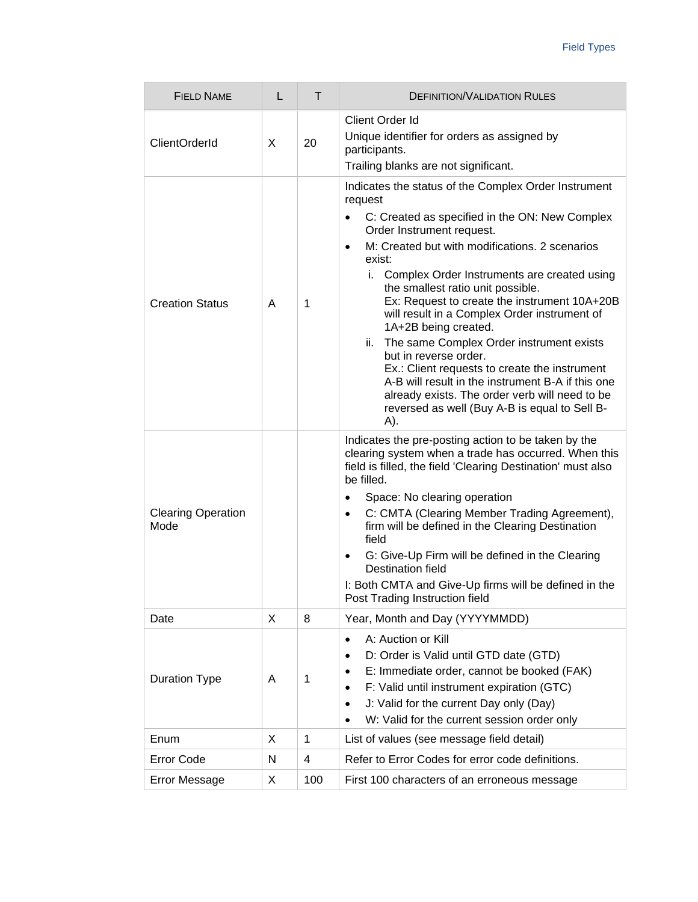| <b>FIELD NAME</b>                 | L | T              | <b>DEFINITION/VALIDATION RULES</b>                                                                                                                                                                                                                                                                                                                                                                                                                                                                                                                                                                                                                                                                                                           |
|-----------------------------------|---|----------------|----------------------------------------------------------------------------------------------------------------------------------------------------------------------------------------------------------------------------------------------------------------------------------------------------------------------------------------------------------------------------------------------------------------------------------------------------------------------------------------------------------------------------------------------------------------------------------------------------------------------------------------------------------------------------------------------------------------------------------------------|
| <b>ClientOrderId</b>              | X | 20             | Client Order Id<br>Unique identifier for orders as assigned by<br>participants.<br>Trailing blanks are not significant.                                                                                                                                                                                                                                                                                                                                                                                                                                                                                                                                                                                                                      |
| <b>Creation Status</b>            | A | $\mathbf{1}$   | Indicates the status of the Complex Order Instrument<br>request<br>C: Created as specified in the ON: New Complex<br>$\bullet$<br>Order Instrument request.<br>M: Created but with modifications. 2 scenarios<br>$\bullet$<br>exist:<br>i. Complex Order Instruments are created using<br>the smallest ratio unit possible.<br>Ex: Request to create the instrument 10A+20B<br>will result in a Complex Order instrument of<br>1A+2B being created.<br>ii. The same Complex Order instrument exists<br>but in reverse order.<br>Ex.: Client requests to create the instrument<br>A-B will result in the instrument B-A if this one<br>already exists. The order verb will need to be<br>reversed as well (Buy A-B is equal to Sell B-<br>A). |
| <b>Clearing Operation</b><br>Mode |   |                | Indicates the pre-posting action to be taken by the<br>clearing system when a trade has occurred. When this<br>field is filled, the field 'Clearing Destination' must also<br>be filled.<br>Space: No clearing operation<br>$\bullet$<br>C: CMTA (Clearing Member Trading Agreement),<br>$\bullet$<br>firm will be defined in the Clearing Destination<br>field<br>G: Give-Up Firm will be defined in the Clearing<br>$\bullet$<br>Destination field<br>I: Both CMTA and Give-Up firms will be defined in the<br>Post Trading Instruction field                                                                                                                                                                                              |
| Date                              | X | 8              | Year, Month and Day (YYYYMMDD)                                                                                                                                                                                                                                                                                                                                                                                                                                                                                                                                                                                                                                                                                                               |
| <b>Duration Type</b>              | A | 1              | A: Auction or Kill<br>$\bullet$<br>D: Order is Valid until GTD date (GTD)<br>$\bullet$<br>E: Immediate order, cannot be booked (FAK)<br>$\bullet$<br>F: Valid until instrument expiration (GTC)<br>$\bullet$<br>J: Valid for the current Day only (Day)<br>$\bullet$<br>W: Valid for the current session order only                                                                                                                                                                                                                                                                                                                                                                                                                          |
| Enum                              | X | $\mathbf{1}$   | List of values (see message field detail)                                                                                                                                                                                                                                                                                                                                                                                                                                                                                                                                                                                                                                                                                                    |
| <b>Error Code</b>                 | Ν | $\overline{4}$ | Refer to Error Codes for error code definitions.                                                                                                                                                                                                                                                                                                                                                                                                                                                                                                                                                                                                                                                                                             |
| Error Message                     | X | 100            | First 100 characters of an erroneous message                                                                                                                                                                                                                                                                                                                                                                                                                                                                                                                                                                                                                                                                                                 |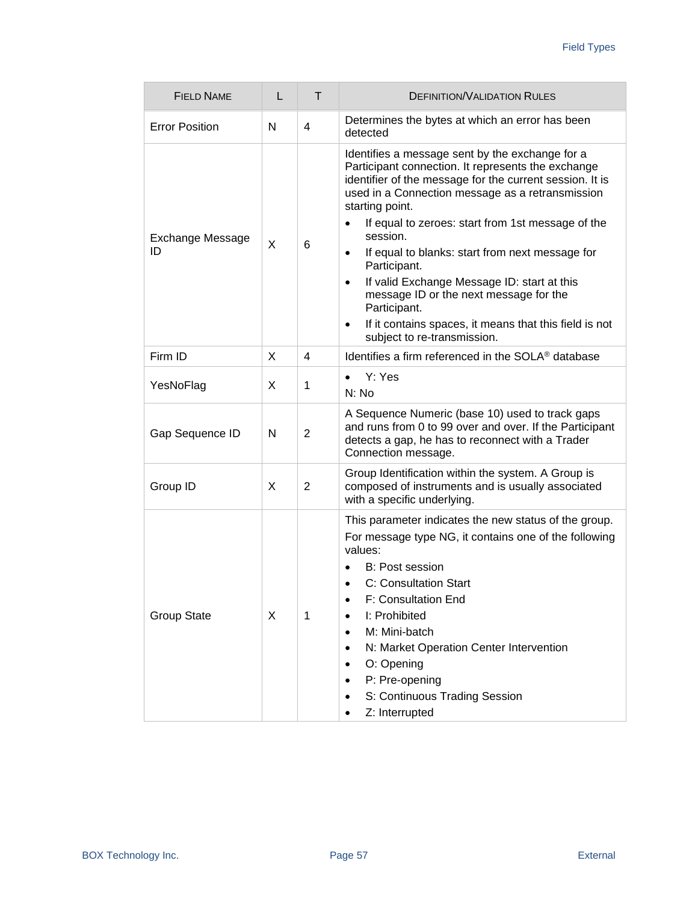| <b>FIELD NAME</b>             | L | Τ              | <b>DEFINITION/VALIDATION RULES</b>                                                                                                                                                                                                                                                                                                                                                                                                                                                                                                                                                                                                 |
|-------------------------------|---|----------------|------------------------------------------------------------------------------------------------------------------------------------------------------------------------------------------------------------------------------------------------------------------------------------------------------------------------------------------------------------------------------------------------------------------------------------------------------------------------------------------------------------------------------------------------------------------------------------------------------------------------------------|
| <b>Error Position</b>         | N | 4              | Determines the bytes at which an error has been<br>detected                                                                                                                                                                                                                                                                                                                                                                                                                                                                                                                                                                        |
| <b>Exchange Message</b><br>ID | X | 6              | Identifies a message sent by the exchange for a<br>Participant connection. It represents the exchange<br>identifier of the message for the current session. It is<br>used in a Connection message as a retransmission<br>starting point.<br>If equal to zeroes: start from 1st message of the<br>$\bullet$<br>session.<br>If equal to blanks: start from next message for<br>$\bullet$<br>Participant.<br>If valid Exchange Message ID: start at this<br>$\bullet$<br>message ID or the next message for the<br>Participant.<br>If it contains spaces, it means that this field is not<br>$\bullet$<br>subject to re-transmission. |
| Firm ID                       | X | 4              | Identifies a firm referenced in the SOLA <sup>®</sup> database                                                                                                                                                                                                                                                                                                                                                                                                                                                                                                                                                                     |
| YesNoFlag                     | X | 1              | Y: Yes<br>$\bullet$<br>N: No                                                                                                                                                                                                                                                                                                                                                                                                                                                                                                                                                                                                       |
| Gap Sequence ID               | N | $\overline{2}$ | A Sequence Numeric (base 10) used to track gaps<br>and runs from 0 to 99 over and over. If the Participant<br>detects a gap, he has to reconnect with a Trader<br>Connection message.                                                                                                                                                                                                                                                                                                                                                                                                                                              |
| Group ID                      | X | 2              | Group Identification within the system. A Group is<br>composed of instruments and is usually associated<br>with a specific underlying.                                                                                                                                                                                                                                                                                                                                                                                                                                                                                             |
| <b>Group State</b>            | X | 1              | This parameter indicates the new status of the group.<br>For message type NG, it contains one of the following<br>values:<br>B: Post session<br>C: Consultation Start<br>$\bullet$<br>F: Consultation End<br>$\bullet$<br>I: Prohibited<br>M: Mini-batch<br>٠<br>N: Market Operation Center Intervention<br>$\bullet$<br>O: Opening<br>P: Pre-opening<br>$\bullet$<br>S: Continuous Trading Session<br>Z: Interrupted                                                                                                                                                                                                              |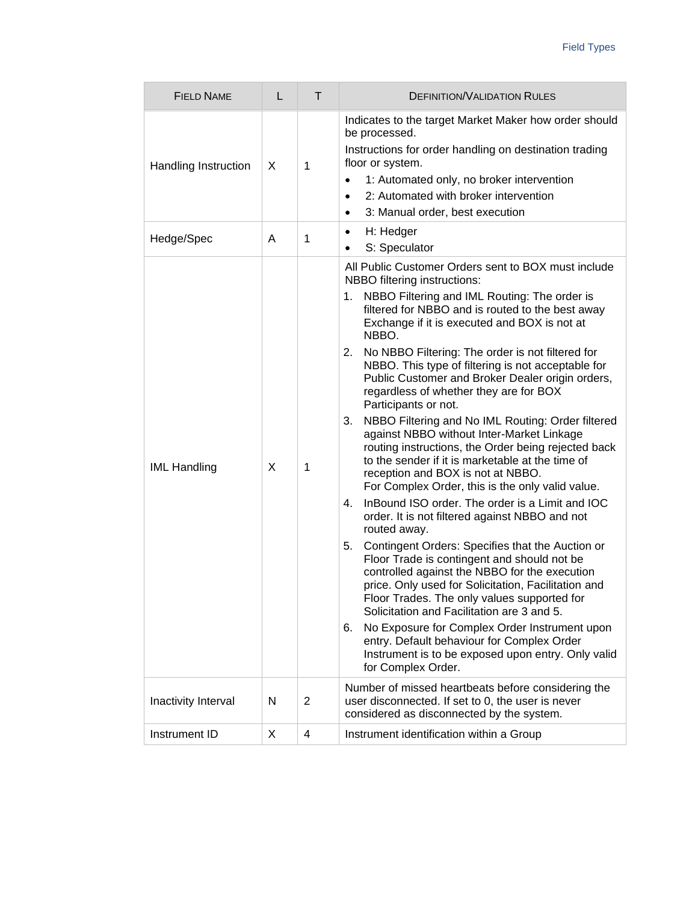| <b>FIELD NAME</b>    | L | Τ              | <b>DEFINITION/VALIDATION RULES</b>                                                                                                                                                                                                                                                                                                                                                                                                                                                                                                                                                                                                                                                                                                                                                                                                                                                                                                                                                                                                                                                                                                                                                                                                                                                                                                                                                                                                 |
|----------------------|---|----------------|------------------------------------------------------------------------------------------------------------------------------------------------------------------------------------------------------------------------------------------------------------------------------------------------------------------------------------------------------------------------------------------------------------------------------------------------------------------------------------------------------------------------------------------------------------------------------------------------------------------------------------------------------------------------------------------------------------------------------------------------------------------------------------------------------------------------------------------------------------------------------------------------------------------------------------------------------------------------------------------------------------------------------------------------------------------------------------------------------------------------------------------------------------------------------------------------------------------------------------------------------------------------------------------------------------------------------------------------------------------------------------------------------------------------------------|
| Handling Instruction | X | 1              | Indicates to the target Market Maker how order should<br>be processed.<br>Instructions for order handling on destination trading<br>floor or system.<br>1: Automated only, no broker intervention<br>$\bullet$<br>2: Automated with broker intervention<br>$\bullet$<br>3: Manual order, best execution<br>$\bullet$                                                                                                                                                                                                                                                                                                                                                                                                                                                                                                                                                                                                                                                                                                                                                                                                                                                                                                                                                                                                                                                                                                               |
| Hedge/Spec           | A | 1              | H: Hedger<br>$\bullet$<br>S: Speculator<br>$\bullet$                                                                                                                                                                                                                                                                                                                                                                                                                                                                                                                                                                                                                                                                                                                                                                                                                                                                                                                                                                                                                                                                                                                                                                                                                                                                                                                                                                               |
| <b>IML Handling</b>  | X | 1              | All Public Customer Orders sent to BOX must include<br>NBBO filtering instructions:<br>NBBO Filtering and IML Routing: The order is<br>1.<br>filtered for NBBO and is routed to the best away<br>Exchange if it is executed and BOX is not at<br>NBBO.<br>No NBBO Filtering: The order is not filtered for<br>2.<br>NBBO. This type of filtering is not acceptable for<br>Public Customer and Broker Dealer origin orders,<br>regardless of whether they are for BOX<br>Participants or not.<br>NBBO Filtering and No IML Routing: Order filtered<br>3.<br>against NBBO without Inter-Market Linkage<br>routing instructions, the Order being rejected back<br>to the sender if it is marketable at the time of<br>reception and BOX is not at NBBO.<br>For Complex Order, this is the only valid value.<br>InBound ISO order. The order is a Limit and IOC<br>4.<br>order. It is not filtered against NBBO and not<br>routed away.<br>Contingent Orders: Specifies that the Auction or<br>5.<br>Floor Trade is contingent and should not be<br>controlled against the NBBO for the execution<br>price. Only used for Solicitation, Facilitation and<br>Floor Trades. The only values supported for<br>Solicitation and Facilitation are 3 and 5.<br>No Exposure for Complex Order Instrument upon<br>6.<br>entry. Default behaviour for Complex Order<br>Instrument is to be exposed upon entry. Only valid<br>for Complex Order. |
| Inactivity Interval  | N | $\overline{2}$ | Number of missed heartbeats before considering the<br>user disconnected. If set to 0, the user is never<br>considered as disconnected by the system.                                                                                                                                                                                                                                                                                                                                                                                                                                                                                                                                                                                                                                                                                                                                                                                                                                                                                                                                                                                                                                                                                                                                                                                                                                                                               |
| Instrument ID        | X | 4              | Instrument identification within a Group                                                                                                                                                                                                                                                                                                                                                                                                                                                                                                                                                                                                                                                                                                                                                                                                                                                                                                                                                                                                                                                                                                                                                                                                                                                                                                                                                                                           |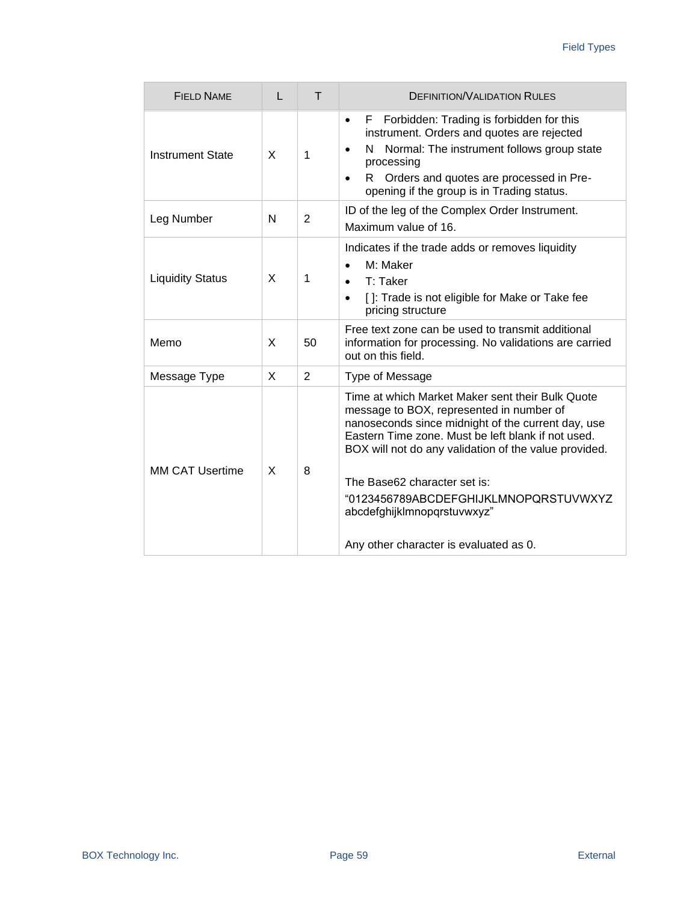| FIFI D NAME             | L | Τ              | <b>DEFINITION/VALIDATION RULES</b>                                                                                                                                                                                                                                                                                                                                        |
|-------------------------|---|----------------|---------------------------------------------------------------------------------------------------------------------------------------------------------------------------------------------------------------------------------------------------------------------------------------------------------------------------------------------------------------------------|
| <b>Instrument State</b> | X | 1              | Forbidden: Trading is forbidden for this<br>F.<br>$\bullet$<br>instrument. Orders and quotes are rejected<br>Normal: The instrument follows group state<br>N<br>$\bullet$<br>processing<br>R Orders and quotes are processed in Pre-<br>$\bullet$<br>opening if the group is in Trading status.                                                                           |
| Leg Number              | N | $\overline{2}$ | ID of the leg of the Complex Order Instrument.<br>Maximum value of 16.                                                                                                                                                                                                                                                                                                    |
| <b>Liquidity Status</b> | X | 1              | Indicates if the trade adds or removes liquidity<br>M: Maker<br>$\bullet$<br>$T:$ Taker<br>$\bullet$<br>[]: Trade is not eligible for Make or Take fee<br>$\bullet$<br>pricing structure                                                                                                                                                                                  |
| Memo                    | X | 50             | Free text zone can be used to transmit additional<br>information for processing. No validations are carried<br>out on this field.                                                                                                                                                                                                                                         |
| Message Type            | X | $\overline{2}$ | Type of Message                                                                                                                                                                                                                                                                                                                                                           |
| MM CAT Usertime         | X | 8              | Time at which Market Maker sent their Bulk Quote<br>message to BOX, represented in number of<br>nanoseconds since midnight of the current day, use<br>Eastern Time zone. Must be left blank if not used.<br>BOX will not do any validation of the value provided.<br>The Base62 character set is:<br>"0123456789ABCDEFGHIJKLMNOPQRSTUVWXYZ<br>abcdefghijklmnopqrstuvwxyz" |
|                         |   |                | Any other character is evaluated as 0.                                                                                                                                                                                                                                                                                                                                    |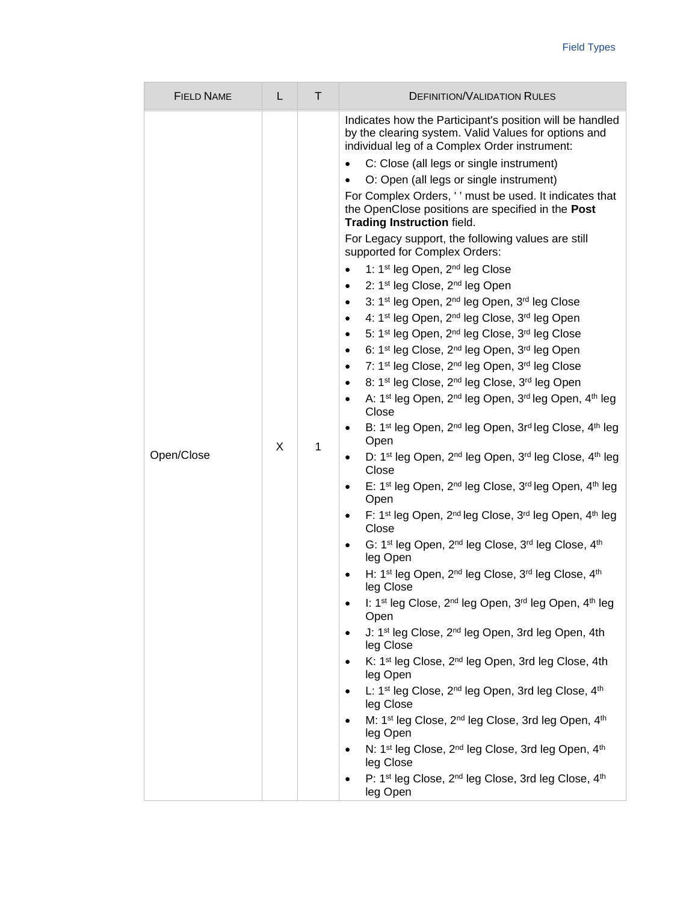| <b>FIELD NAME</b> | L | T | <b>DEFINITION/VALIDATION RULES</b>                                                                                                                                                                                                                                                                                                                                                                                                                                                                                                                                                                                                                                                                                                                                                                                                                                                                                                                                                                                                                                                                                                                                                                                                                                                                                                                                                                                                                                                                                                                                                                                                                                                                                                                                                                                                                                                                                                                                                                                                                                                                                                                                                                                                                                                                                                                                                                                                                                                                                                                                                                                                                                                                                                                                                                                                              |
|-------------------|---|---|-------------------------------------------------------------------------------------------------------------------------------------------------------------------------------------------------------------------------------------------------------------------------------------------------------------------------------------------------------------------------------------------------------------------------------------------------------------------------------------------------------------------------------------------------------------------------------------------------------------------------------------------------------------------------------------------------------------------------------------------------------------------------------------------------------------------------------------------------------------------------------------------------------------------------------------------------------------------------------------------------------------------------------------------------------------------------------------------------------------------------------------------------------------------------------------------------------------------------------------------------------------------------------------------------------------------------------------------------------------------------------------------------------------------------------------------------------------------------------------------------------------------------------------------------------------------------------------------------------------------------------------------------------------------------------------------------------------------------------------------------------------------------------------------------------------------------------------------------------------------------------------------------------------------------------------------------------------------------------------------------------------------------------------------------------------------------------------------------------------------------------------------------------------------------------------------------------------------------------------------------------------------------------------------------------------------------------------------------------------------------------------------------------------------------------------------------------------------------------------------------------------------------------------------------------------------------------------------------------------------------------------------------------------------------------------------------------------------------------------------------------------------------------------------------------------------------------------------------|
| Open/Close        | X | 1 | Indicates how the Participant's position will be handled<br>by the clearing system. Valid Values for options and<br>individual leg of a Complex Order instrument:<br>C: Close (all legs or single instrument)<br>$\bullet$<br>O: Open (all legs or single instrument)<br>For Complex Orders, ' ' must be used. It indicates that<br>the OpenClose positions are specified in the Post<br>Trading Instruction field.<br>For Legacy support, the following values are still<br>supported for Complex Orders:<br>1: 1 <sup>st</sup> leg Open, 2 <sup>nd</sup> leg Close<br>2: 1st leg Close, 2nd leg Open<br>$\bullet$<br>3: 1 <sup>st</sup> leg Open, 2 <sup>nd</sup> leg Open, 3 <sup>rd</sup> leg Close<br>$\bullet$<br>4: 1 <sup>st</sup> leg Open, 2 <sup>nd</sup> leg Close, 3 <sup>rd</sup> leg Open<br>$\bullet$<br>5: 1 <sup>st</sup> leg Open, 2 <sup>nd</sup> leg Close, 3 <sup>rd</sup> leg Close<br>$\bullet$<br>6: 1 <sup>st</sup> leg Close, 2 <sup>nd</sup> leg Open, 3 <sup>rd</sup> leg Open<br>$\bullet$<br>7: 1st leg Close, 2 <sup>nd</sup> leg Open, 3rd leg Close<br>$\bullet$<br>8: 1 <sup>st</sup> leg Close, 2 <sup>nd</sup> leg Close, 3 <sup>rd</sup> leg Open<br>$\bullet$<br>A: 1 <sup>st</sup> leg Open, 2 <sup>nd</sup> leg Open, 3 <sup>rd</sup> leg Open, 4 <sup>th</sup> leg<br>$\bullet$<br>Close<br>B: 1 <sup>st</sup> leg Open, 2 <sup>nd</sup> leg Open, 3r <sup>d</sup> leg Close, 4 <sup>th</sup> leg<br>$\bullet$<br>Open<br>D: 1 <sup>st</sup> leg Open, 2 <sup>nd</sup> leg Open, 3 <sup>rd</sup> leg Close, 4 <sup>th</sup> leg<br>$\bullet$<br>Close<br>E: 1 <sup>st</sup> leg Open, 2 <sup>nd</sup> leg Close, 3 <sup>rd</sup> leg Open, 4 <sup>th</sup> leg<br>$\bullet$<br>Open<br>F: 1 <sup>st</sup> leg Open, 2 <sup>nd</sup> leg Close, 3 <sup>rd</sup> leg Open, 4 <sup>th</sup> leg<br>$\bullet$<br>Close<br>G: 1 <sup>st</sup> leg Open, 2 <sup>nd</sup> leg Close, 3 <sup>rd</sup> leg Close, 4 <sup>th</sup><br>$\bullet$<br>leg Open<br>H: 1 <sup>st</sup> leg Open, 2 <sup>nd</sup> leg Close, 3 <sup>rd</sup> leg Close, 4 <sup>th</sup><br>leg Close<br>I: 1 <sup>st</sup> leg Close, 2 <sup>nd</sup> leg Open, 3 <sup>rd</sup> leg Open, 4 <sup>th</sup> leg<br>Open<br>J: 1 <sup>st</sup> leg Close, 2 <sup>nd</sup> leg Open, 3rd leg Open, 4th<br>leg Close<br>K: 1 <sup>st</sup> leg Close, 2 <sup>nd</sup> leg Open, 3rd leg Close, 4th<br>$\bullet$<br>leg Open<br>L: 1 <sup>st</sup> leg Close, 2 <sup>nd</sup> leg Open, 3rd leg Close, 4 <sup>th</sup><br>leg Close<br>M: 1 <sup>st</sup> leg Close, 2 <sup>nd</sup> leg Close, 3rd leg Open, 4 <sup>th</sup><br>leg Open<br>N: 1 <sup>st</sup> leg Close, 2 <sup>nd</sup> leg Close, 3rd leg Open, 4 <sup>th</sup><br>leg Close<br>P: 1st leg Close, 2 <sup>nd</sup> leg Close, 3rd leg Close, 4 <sup>th</sup><br>leg Open |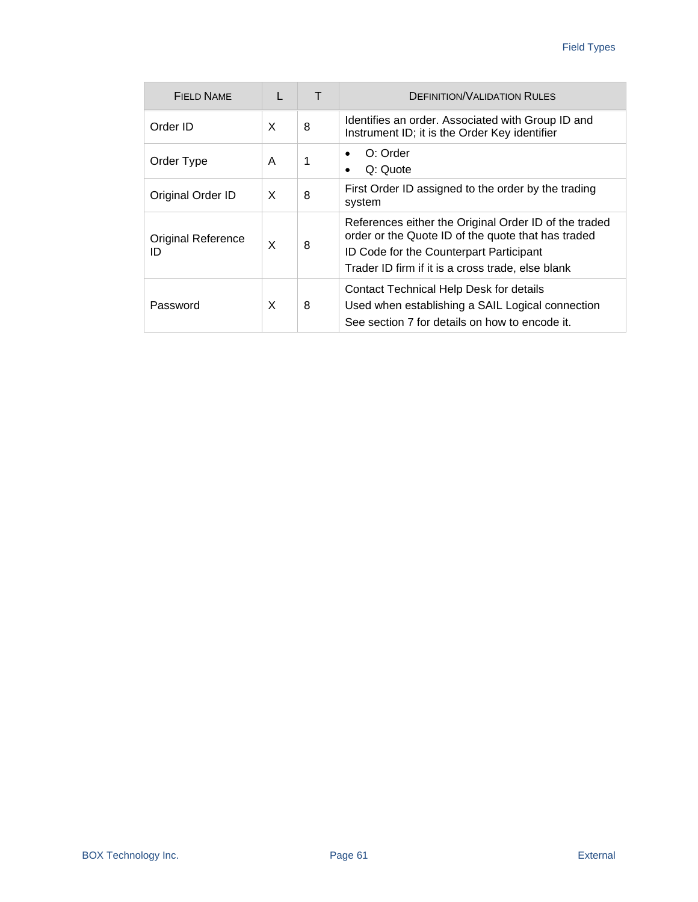| <b>FIELD NAME</b>               | L |   | <b>DEFINITION/VALIDATION RULES</b>                                                                                                                                                                          |
|---------------------------------|---|---|-------------------------------------------------------------------------------------------------------------------------------------------------------------------------------------------------------------|
| Order ID                        | X | 8 | Identifies an order. Associated with Group ID and<br>Instrument ID; it is the Order Key identifier                                                                                                          |
| Order Type                      | A | 1 | O: Order<br>$\bullet$<br>Q: Quote<br>$\bullet$                                                                                                                                                              |
| Original Order ID               | X | 8 | First Order ID assigned to the order by the trading<br>system                                                                                                                                               |
| <b>Original Reference</b><br>ID | X | 8 | References either the Original Order ID of the traded<br>order or the Quote ID of the quote that has traded<br>ID Code for the Counterpart Participant<br>Trader ID firm if it is a cross trade, else blank |
| Password                        | X | 8 | Contact Technical Help Desk for details<br>Used when establishing a SAIL Logical connection<br>See section 7 for details on how to encode it.                                                               |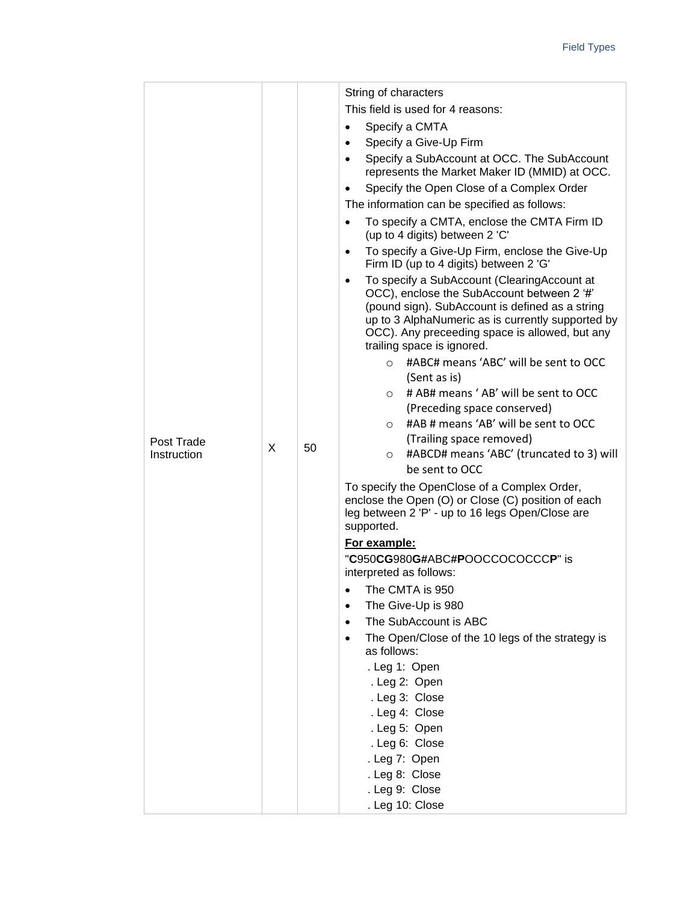|                           |   |                                                                 | String of characters                                                                                                                                                                                                                                                                           |
|---------------------------|---|-----------------------------------------------------------------|------------------------------------------------------------------------------------------------------------------------------------------------------------------------------------------------------------------------------------------------------------------------------------------------|
|                           |   |                                                                 | This field is used for 4 reasons:                                                                                                                                                                                                                                                              |
|                           |   |                                                                 | Specify a CMTA<br>$\bullet$                                                                                                                                                                                                                                                                    |
|                           |   |                                                                 | Specify a Give-Up Firm<br>$\bullet$                                                                                                                                                                                                                                                            |
|                           |   |                                                                 | Specify a SubAccount at OCC. The SubAccount<br>$\bullet$<br>represents the Market Maker ID (MMID) at OCC.                                                                                                                                                                                      |
|                           |   |                                                                 | Specify the Open Close of a Complex Order                                                                                                                                                                                                                                                      |
|                           |   |                                                                 | The information can be specified as follows:                                                                                                                                                                                                                                                   |
|                           |   |                                                                 | To specify a CMTA, enclose the CMTA Firm ID<br>$\bullet$<br>(up to 4 digits) between 2 'C'                                                                                                                                                                                                     |
|                           |   |                                                                 | To specify a Give-Up Firm, enclose the Give-Up<br>$\bullet$<br>Firm ID (up to 4 digits) between 2 'G'                                                                                                                                                                                          |
|                           |   |                                                                 | To specify a SubAccount (ClearingAccount at<br>$\bullet$<br>OCC), enclose the SubAccount between 2 '#'<br>(pound sign). SubAccount is defined as a string<br>up to 3 AlphaNumeric as is currently supported by<br>OCC). Any preceeding space is allowed, but any<br>trailing space is ignored. |
|                           |   |                                                                 | #ABC# means 'ABC' will be sent to OCC<br>$\circ$                                                                                                                                                                                                                                               |
|                           |   |                                                                 | (Sent as is)                                                                                                                                                                                                                                                                                   |
|                           |   |                                                                 | # AB# means 'AB' will be sent to OCC<br>$\circ$                                                                                                                                                                                                                                                |
|                           |   |                                                                 | (Preceding space conserved)                                                                                                                                                                                                                                                                    |
|                           |   |                                                                 | #AB # means 'AB' will be sent to OCC<br>$\circ$                                                                                                                                                                                                                                                |
| Post Trade<br>Instruction | X | 50                                                              | (Trailing space removed)<br>#ABCD# means 'ABC' (truncated to 3) will<br>$\circ$<br>be sent to OCC                                                                                                                                                                                              |
|                           |   |                                                                 | To specify the OpenClose of a Complex Order,<br>enclose the Open (O) or Close (C) position of each<br>leg between 2 'P' - up to 16 legs Open/Close are<br>supported.                                                                                                                           |
|                           |   |                                                                 | For example:                                                                                                                                                                                                                                                                                   |
|                           |   |                                                                 | "C950CG980G#ABC#POOCCOCOCCCP" is<br>interpreted as follows:                                                                                                                                                                                                                                    |
|                           |   |                                                                 | • The CMTA is 950                                                                                                                                                                                                                                                                              |
|                           |   |                                                                 | The Give-Up is 980<br>$\bullet$                                                                                                                                                                                                                                                                |
|                           |   |                                                                 | The SubAccount is ABC                                                                                                                                                                                                                                                                          |
|                           |   | The Open/Close of the 10 legs of the strategy is<br>as follows: |                                                                                                                                                                                                                                                                                                |
|                           |   |                                                                 | . Leg 1: Open                                                                                                                                                                                                                                                                                  |
|                           |   | . Leg 2: Open                                                   |                                                                                                                                                                                                                                                                                                |
|                           |   | . Leg 3: Close<br>. Leg 4: Close                                |                                                                                                                                                                                                                                                                                                |
|                           |   | . Leg 5: Open                                                   |                                                                                                                                                                                                                                                                                                |
|                           |   |                                                                 | . Leg 6: Close                                                                                                                                                                                                                                                                                 |
|                           |   |                                                                 | . Leg 7: Open                                                                                                                                                                                                                                                                                  |
|                           |   |                                                                 | . Leg 8: Close                                                                                                                                                                                                                                                                                 |
|                           |   |                                                                 | . Leg 9: Close                                                                                                                                                                                                                                                                                 |
|                           |   |                                                                 | . Leg 10: Close                                                                                                                                                                                                                                                                                |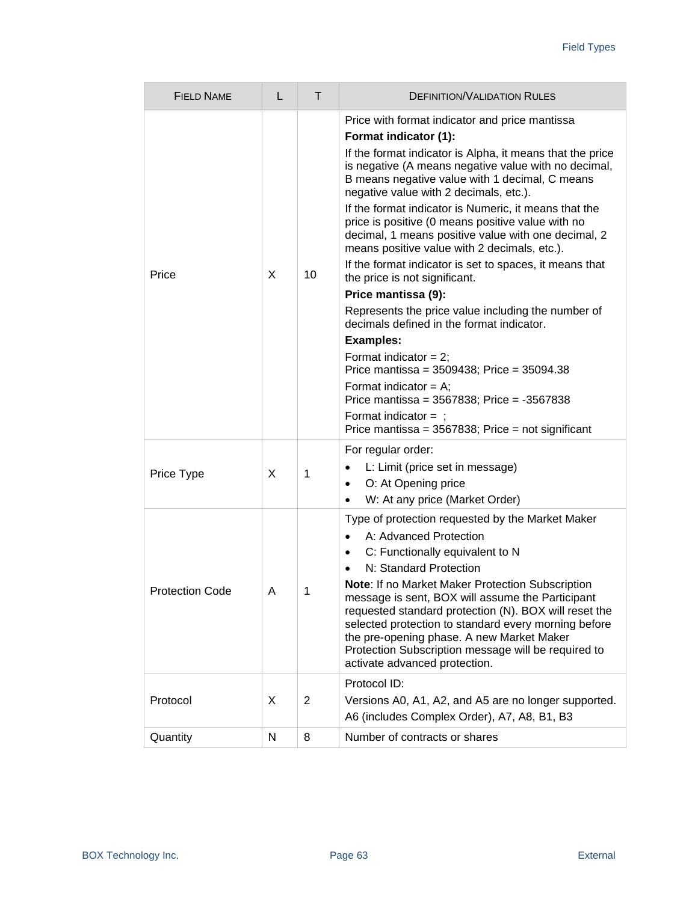<span id="page-62-0"></span>

| <b>FIELD NAME</b>      | L | т              | <b>DEFINITION/VALIDATION RULES</b>                                                                                                                                                                                                                                                                                                                                                                                                                                                                                                                                                                                                                                                                                                                                                                                                                                                                                                                                                                 |
|------------------------|---|----------------|----------------------------------------------------------------------------------------------------------------------------------------------------------------------------------------------------------------------------------------------------------------------------------------------------------------------------------------------------------------------------------------------------------------------------------------------------------------------------------------------------------------------------------------------------------------------------------------------------------------------------------------------------------------------------------------------------------------------------------------------------------------------------------------------------------------------------------------------------------------------------------------------------------------------------------------------------------------------------------------------------|
| Price                  | X | 10             | Price with format indicator and price mantissa<br>Format indicator (1):<br>If the format indicator is Alpha, it means that the price<br>is negative (A means negative value with no decimal,<br>B means negative value with 1 decimal, C means<br>negative value with 2 decimals, etc.).<br>If the format indicator is Numeric, it means that the<br>price is positive (0 means positive value with no<br>decimal, 1 means positive value with one decimal, 2<br>means positive value with 2 decimals, etc.).<br>If the format indicator is set to spaces, it means that<br>the price is not significant.<br>Price mantissa (9):<br>Represents the price value including the number of<br>decimals defined in the format indicator.<br><b>Examples:</b><br>Format indicator = $2$ ;<br>Price mantissa = $3509438$ ; Price = $35094.38$<br>Format indicator = $A$ ;<br>Price mantissa = 3567838; Price = -3567838<br>Format indicator $=$ ;<br>Price mantissa = $3567838$ ; Price = not significant |
| Price Type             | X | 1              | For regular order:<br>L: Limit (price set in message)<br>$\bullet$<br>O: At Opening price<br>$\bullet$<br>W: At any price (Market Order)<br>$\bullet$                                                                                                                                                                                                                                                                                                                                                                                                                                                                                                                                                                                                                                                                                                                                                                                                                                              |
| <b>Protection Code</b> | Α | 1              | Type of protection requested by the Market Maker<br>A: Advanced Protection<br>$\bullet$<br>C: Functionally equivalent to N<br>$\bullet$<br>N: Standard Protection<br>Note: If no Market Maker Protection Subscription<br>message is sent, BOX will assume the Participant<br>requested standard protection (N). BOX will reset the<br>selected protection to standard every morning before<br>the pre-opening phase. A new Market Maker<br>Protection Subscription message will be required to<br>activate advanced protection.                                                                                                                                                                                                                                                                                                                                                                                                                                                                    |
| Protocol               | X | $\overline{2}$ | Protocol ID:<br>Versions A0, A1, A2, and A5 are no longer supported.<br>A6 (includes Complex Order), A7, A8, B1, B3                                                                                                                                                                                                                                                                                                                                                                                                                                                                                                                                                                                                                                                                                                                                                                                                                                                                                |
| Quantity               | N | 8              | Number of contracts or shares                                                                                                                                                                                                                                                                                                                                                                                                                                                                                                                                                                                                                                                                                                                                                                                                                                                                                                                                                                      |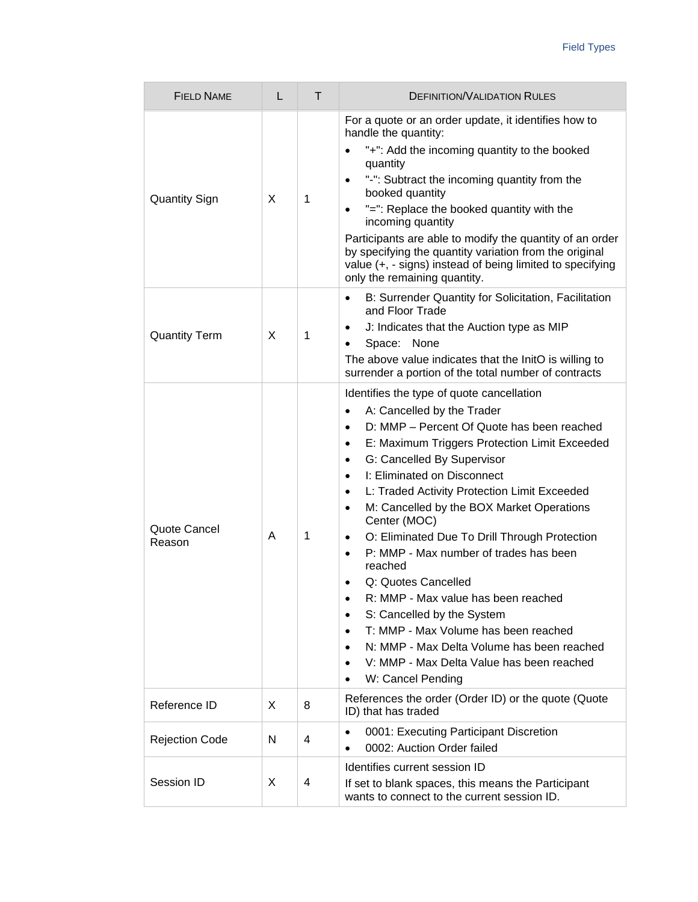<span id="page-63-0"></span>

| <b>FIELD NAME</b>      | L | T | <b>DEFINITION/VALIDATION RULES</b>                                                                                                                                                                                                                                                                                                                                                                                                                                                                                                                                                                                                                                                                                                                                                                                                                                                                            |
|------------------------|---|---|---------------------------------------------------------------------------------------------------------------------------------------------------------------------------------------------------------------------------------------------------------------------------------------------------------------------------------------------------------------------------------------------------------------------------------------------------------------------------------------------------------------------------------------------------------------------------------------------------------------------------------------------------------------------------------------------------------------------------------------------------------------------------------------------------------------------------------------------------------------------------------------------------------------|
| <b>Quantity Sign</b>   | X | 1 | For a quote or an order update, it identifies how to<br>handle the quantity:<br>"+": Add the incoming quantity to the booked<br>$\bullet$<br>quantity<br>"-": Subtract the incoming quantity from the<br>$\bullet$<br>booked quantity<br>"=": Replace the booked quantity with the<br>$\bullet$<br>incoming quantity<br>Participants are able to modify the quantity of an order<br>by specifying the quantity variation from the original<br>value (+, - signs) instead of being limited to specifying<br>only the remaining quantity.                                                                                                                                                                                                                                                                                                                                                                       |
| <b>Quantity Term</b>   | X | 1 | B: Surrender Quantity for Solicitation, Facilitation<br>$\bullet$<br>and Floor Trade<br>J: Indicates that the Auction type as MIP<br>$\bullet$<br>Space: None<br>$\bullet$<br>The above value indicates that the InitO is willing to<br>surrender a portion of the total number of contracts                                                                                                                                                                                                                                                                                                                                                                                                                                                                                                                                                                                                                  |
| Quote Cancel<br>Reason | A | 1 | Identifies the type of quote cancellation<br>A: Cancelled by the Trader<br>$\bullet$<br>D: MMP - Percent Of Quote has been reached<br>$\bullet$<br>E: Maximum Triggers Protection Limit Exceeded<br>$\bullet$<br>G: Cancelled By Supervisor<br>$\bullet$<br>I: Eliminated on Disconnect<br>$\bullet$<br>L: Traded Activity Protection Limit Exceeded<br>$\bullet$<br>M: Cancelled by the BOX Market Operations<br>$\bullet$<br>Center (MOC)<br>O: Eliminated Due To Drill Through Protection<br>$\bullet$<br>P: MMP - Max number of trades has been<br>$\bullet$<br>reached<br>Q: Quotes Cancelled<br>$\bullet$<br>R: MMP - Max value has been reached<br>$\bullet$<br>S: Cancelled by the System<br>$\bullet$<br>T: MMP - Max Volume has been reached<br>$\bullet$<br>N: MMP - Max Delta Volume has been reached<br>$\bullet$<br>V: MMP - Max Delta Value has been reached<br>$\bullet$<br>W: Cancel Pending |
| Reference ID           | X | 8 | References the order (Order ID) or the quote (Quote<br>ID) that has traded                                                                                                                                                                                                                                                                                                                                                                                                                                                                                                                                                                                                                                                                                                                                                                                                                                    |
| <b>Rejection Code</b>  | N | 4 | 0001: Executing Participant Discretion<br>$\bullet$<br>0002: Auction Order failed                                                                                                                                                                                                                                                                                                                                                                                                                                                                                                                                                                                                                                                                                                                                                                                                                             |
| Session ID             | X | 4 | Identifies current session ID<br>If set to blank spaces, this means the Participant<br>wants to connect to the current session ID.                                                                                                                                                                                                                                                                                                                                                                                                                                                                                                                                                                                                                                                                                                                                                                            |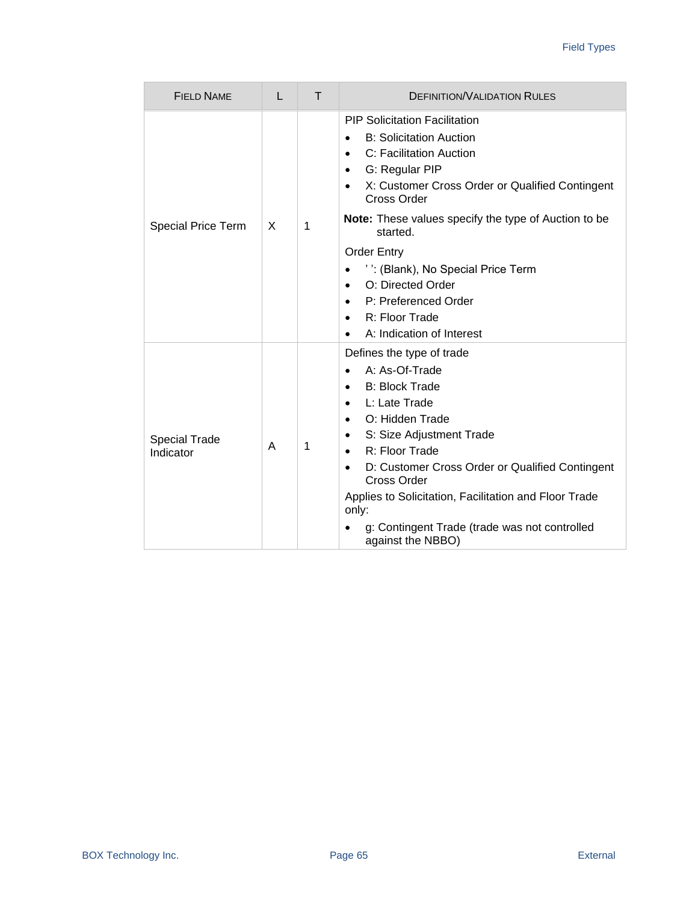| <b>FIELD NAME</b>                 | L | $\top$ | <b>DEFINITION/VALIDATION RULES</b>                                                                                                                                                                                                                                                                                                                                                                                                |
|-----------------------------------|---|--------|-----------------------------------------------------------------------------------------------------------------------------------------------------------------------------------------------------------------------------------------------------------------------------------------------------------------------------------------------------------------------------------------------------------------------------------|
|                                   | X | 1      | <b>PIP Solicitation Facilitation</b><br><b>B: Solicitation Auction</b><br>$\bullet$<br>C: Facilitation Auction<br>$\bullet$<br>G: Regular PIP<br>$\bullet$<br>X: Customer Cross Order or Qualified Contingent<br><b>Cross Order</b>                                                                                                                                                                                               |
| <b>Special Price Term</b>         |   |        | <b>Note:</b> These values specify the type of Auction to be<br>started.                                                                                                                                                                                                                                                                                                                                                           |
|                                   |   |        | <b>Order Entry</b><br>": (Blank), No Special Price Term<br>$\bullet$<br>O: Directed Order<br>$\bullet$<br>P: Preferenced Order<br>R: Floor Trade<br>$\bullet$<br>A: Indication of Interest<br>$\bullet$                                                                                                                                                                                                                           |
| <b>Special Trade</b><br>Indicator | A | 1      | Defines the type of trade<br>A: As-Of-Trade<br>$\bullet$<br><b>B: Block Trade</b><br>$\bullet$<br>L: Late Trade<br>$\bullet$<br>O: Hidden Trade<br>$\bullet$<br>S: Size Adjustment Trade<br>$\bullet$<br>R: Floor Trade<br>D: Customer Cross Order or Qualified Contingent<br>Cross Order<br>Applies to Solicitation, Facilitation and Floor Trade<br>only:<br>g: Contingent Trade (trade was not controlled<br>against the NBBO) |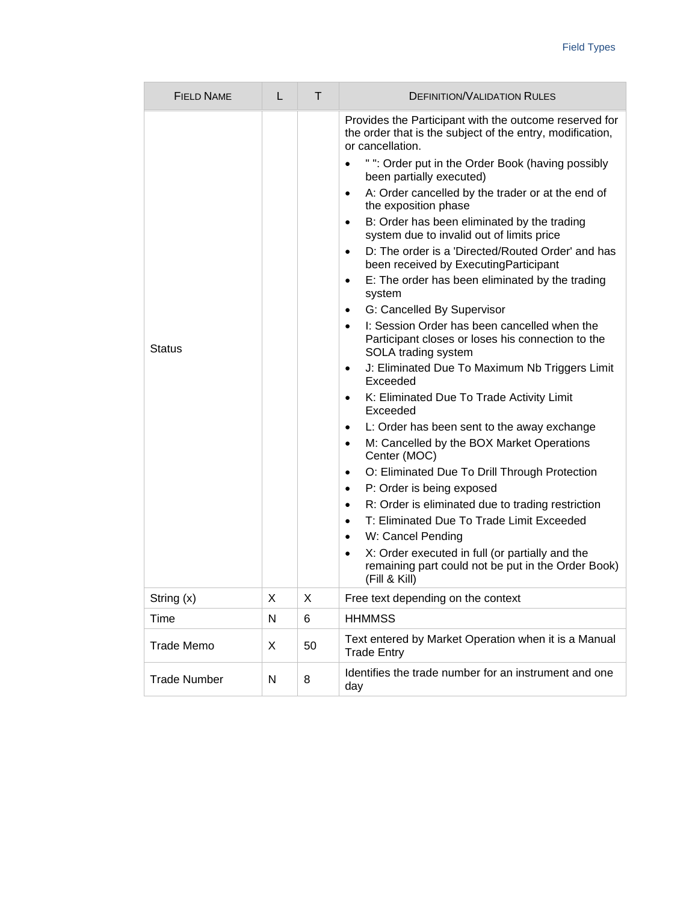| <b>FIELD NAME</b>   | L | T  | <b>DEFINITION/VALIDATION RULES</b>                                                                                                                                                                                                                                                                                                                                                                                                                                                                                                                                                                                                                                                                                                                                                                                                                                                                                                                                                                                                                                                                                                                                                                                                                                                                                                                                                                                                                                                             |
|---------------------|---|----|------------------------------------------------------------------------------------------------------------------------------------------------------------------------------------------------------------------------------------------------------------------------------------------------------------------------------------------------------------------------------------------------------------------------------------------------------------------------------------------------------------------------------------------------------------------------------------------------------------------------------------------------------------------------------------------------------------------------------------------------------------------------------------------------------------------------------------------------------------------------------------------------------------------------------------------------------------------------------------------------------------------------------------------------------------------------------------------------------------------------------------------------------------------------------------------------------------------------------------------------------------------------------------------------------------------------------------------------------------------------------------------------------------------------------------------------------------------------------------------------|
| <b>Status</b>       |   |    | Provides the Participant with the outcome reserved for<br>the order that is the subject of the entry, modification,<br>or cancellation.<br>" ": Order put in the Order Book (having possibly<br>$\bullet$<br>been partially executed)<br>A: Order cancelled by the trader or at the end of<br>$\bullet$<br>the exposition phase<br>B: Order has been eliminated by the trading<br>$\bullet$<br>system due to invalid out of limits price<br>D: The order is a 'Directed/Routed Order' and has<br>$\bullet$<br>been received by Executing Participant<br>E: The order has been eliminated by the trading<br>$\bullet$<br>system<br>G: Cancelled By Supervisor<br>٠<br>I: Session Order has been cancelled when the<br>$\bullet$<br>Participant closes or loses his connection to the<br>SOLA trading system<br>J: Eliminated Due To Maximum Nb Triggers Limit<br>$\bullet$<br>Exceeded<br>K: Eliminated Due To Trade Activity Limit<br>٠<br>Exceeded<br>L: Order has been sent to the away exchange<br>$\bullet$<br>M: Cancelled by the BOX Market Operations<br>$\bullet$<br>Center (MOC)<br>O: Eliminated Due To Drill Through Protection<br>٠<br>P: Order is being exposed<br>$\bullet$<br>R: Order is eliminated due to trading restriction<br>$\bullet$<br>T: Eliminated Due To Trade Limit Exceeded<br>$\bullet$<br>W: Cancel Pending<br>$\bullet$<br>X: Order executed in full (or partially and the<br>$\bullet$<br>remaining part could not be put in the Order Book)<br>(Fill & Kill) |
| String (x)          | Χ | X  | Free text depending on the context                                                                                                                                                                                                                                                                                                                                                                                                                                                                                                                                                                                                                                                                                                                                                                                                                                                                                                                                                                                                                                                                                                                                                                                                                                                                                                                                                                                                                                                             |
| Time                | N | 6  | <b>HHMMSS</b>                                                                                                                                                                                                                                                                                                                                                                                                                                                                                                                                                                                                                                                                                                                                                                                                                                                                                                                                                                                                                                                                                                                                                                                                                                                                                                                                                                                                                                                                                  |
| <b>Trade Memo</b>   | X | 50 | Text entered by Market Operation when it is a Manual<br><b>Trade Entry</b>                                                                                                                                                                                                                                                                                                                                                                                                                                                                                                                                                                                                                                                                                                                                                                                                                                                                                                                                                                                                                                                                                                                                                                                                                                                                                                                                                                                                                     |
| <b>Trade Number</b> | N | 8  | Identifies the trade number for an instrument and one<br>day                                                                                                                                                                                                                                                                                                                                                                                                                                                                                                                                                                                                                                                                                                                                                                                                                                                                                                                                                                                                                                                                                                                                                                                                                                                                                                                                                                                                                                   |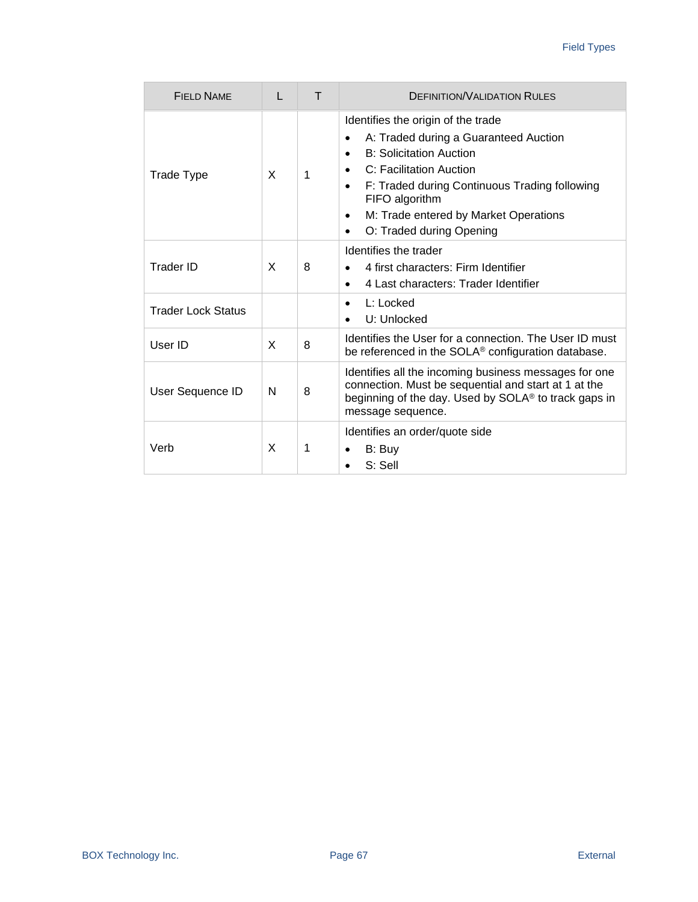| FIFI D NAME               | L | т | <b>DEFINITION/VALIDATION RULES</b>                                                                                                                                                                                                                                                                                                                     |
|---------------------------|---|---|--------------------------------------------------------------------------------------------------------------------------------------------------------------------------------------------------------------------------------------------------------------------------------------------------------------------------------------------------------|
| <b>Trade Type</b>         | X | 1 | Identifies the origin of the trade<br>A: Traded during a Guaranteed Auction<br>$\bullet$<br><b>B: Solicitation Auction</b><br>$\bullet$<br>C: Facilitation Auction<br>$\bullet$<br>F: Traded during Continuous Trading following<br>$\bullet$<br>FIFO algorithm<br>M: Trade entered by Market Operations<br>٠<br>O: Traded during Opening<br>$\bullet$ |
| Trader ID                 | X | 8 | Identifies the trader<br>4 first characters: Firm Identifier<br>$\bullet$<br>4 Last characters: Trader Identifier<br>$\bullet$                                                                                                                                                                                                                         |
| <b>Trader Lock Status</b> |   |   | $L:$ Locked<br>$\bullet$<br>U: Unlocked                                                                                                                                                                                                                                                                                                                |
| User ID                   | X | 8 | Identifies the User for a connection. The User ID must<br>be referenced in the SOLA <sup>®</sup> configuration database.                                                                                                                                                                                                                               |
| User Sequence ID          | N | 8 | Identifies all the incoming business messages for one<br>connection. Must be sequential and start at 1 at the<br>beginning of the day. Used by SOLA <sup>®</sup> to track gaps in<br>message sequence.                                                                                                                                                 |
| Verb                      | X | 1 | Identifies an order/quote side<br>B: Buy<br>S: Sell                                                                                                                                                                                                                                                                                                    |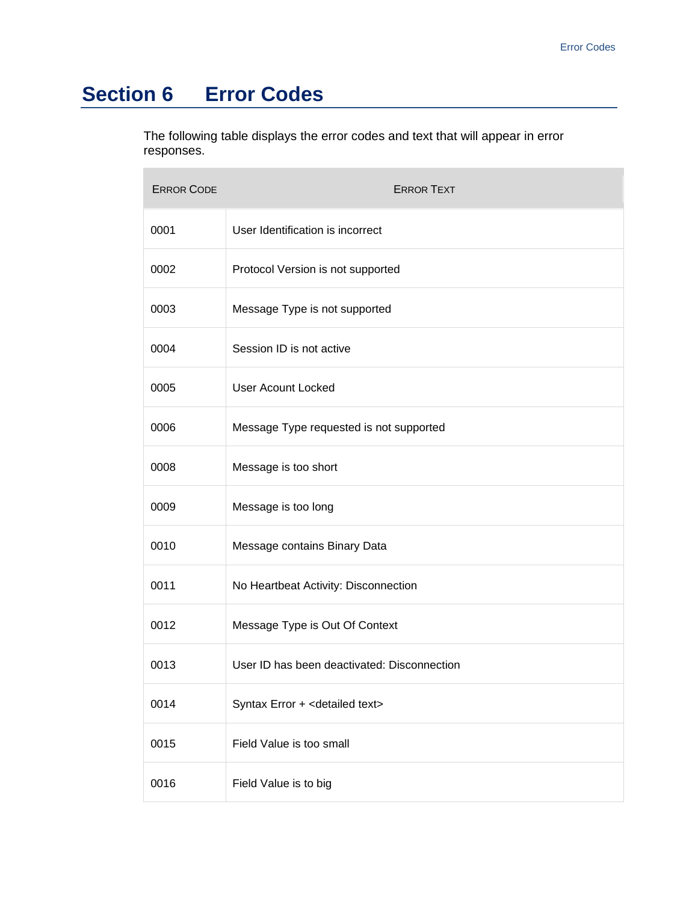# **Section 6 Error Codes**

The following table displays the error codes and text that will appear in error responses.

| <b>ERROR CODE</b> | <b>ERROR TEXT</b>                           |
|-------------------|---------------------------------------------|
| 0001              | User Identification is incorrect            |
| 0002              | Protocol Version is not supported           |
| 0003              | Message Type is not supported               |
| 0004              | Session ID is not active                    |
| 0005              | <b>User Acount Locked</b>                   |
| 0006              | Message Type requested is not supported     |
| 0008              | Message is too short                        |
| 0009              | Message is too long                         |
| 0010              | Message contains Binary Data                |
| 0011              | No Heartbeat Activity: Disconnection        |
| 0012              | Message Type is Out Of Context              |
| 0013              | User ID has been deactivated: Disconnection |
| 0014              | Syntax Error + < detailed text>             |
| 0015              | Field Value is too small                    |
| 0016              | Field Value is to big                       |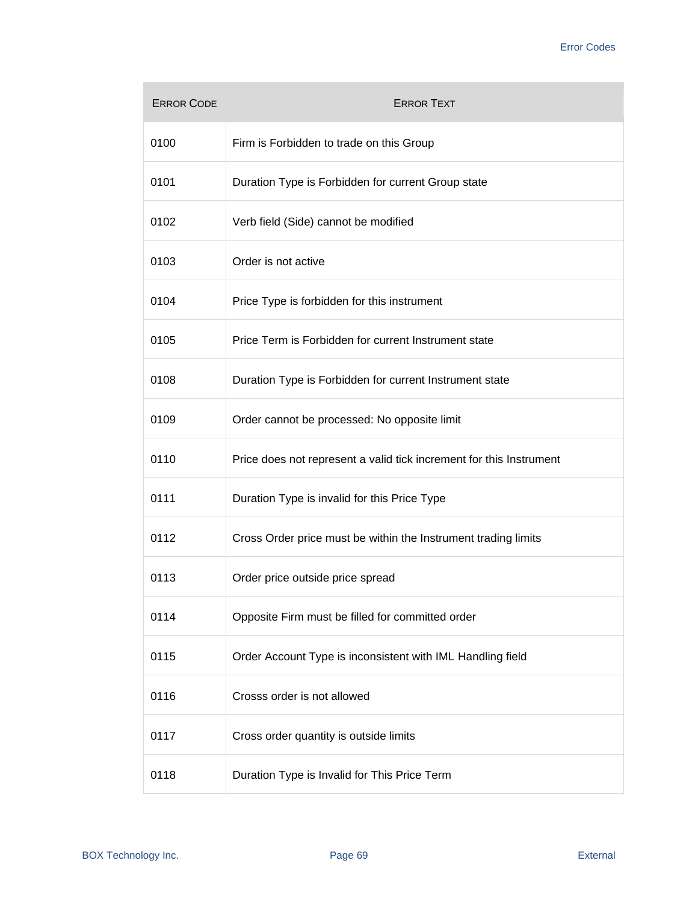| <b>ERROR CODE</b> | <b>ERROR TEXT</b>                                                   |
|-------------------|---------------------------------------------------------------------|
| 0100              | Firm is Forbidden to trade on this Group                            |
| 0101              | Duration Type is Forbidden for current Group state                  |
| 0102              | Verb field (Side) cannot be modified                                |
| 0103              | Order is not active                                                 |
| 0104              | Price Type is forbidden for this instrument                         |
| 0105              | Price Term is Forbidden for current Instrument state                |
| 0108              | Duration Type is Forbidden for current Instrument state             |
| 0109              | Order cannot be processed: No opposite limit                        |
| 0110              | Price does not represent a valid tick increment for this Instrument |
| 0111              | Duration Type is invalid for this Price Type                        |
| 0112              | Cross Order price must be within the Instrument trading limits      |
| 0113              | Order price outside price spread                                    |
| 0114              | Opposite Firm must be filled for committed order                    |
| 0115              | Order Account Type is inconsistent with IML Handling field          |
| 0116              | Crosss order is not allowed                                         |
| 0117              | Cross order quantity is outside limits                              |
| 0118              | Duration Type is Invalid for This Price Term                        |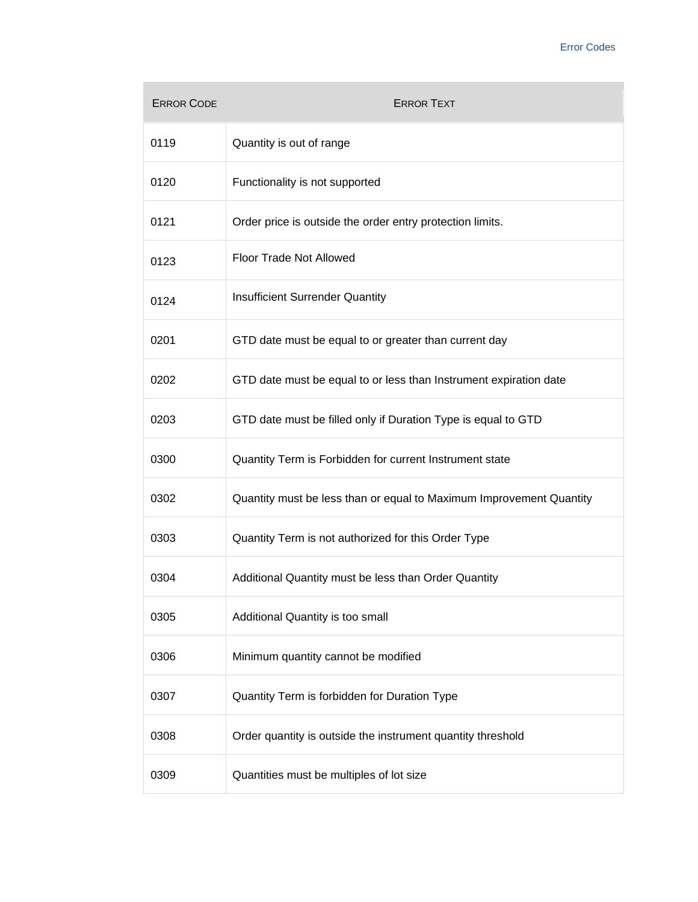| <b>ERROR CODE</b> | <b>ERROR TEXT</b>                                                   |
|-------------------|---------------------------------------------------------------------|
| 0119              | Quantity is out of range                                            |
| 0120              | Functionality is not supported                                      |
| 0121              | Order price is outside the order entry protection limits.           |
| 0123              | Floor Trade Not Allowed                                             |
| 0124              | Insufficient Surrender Quantity                                     |
| 0201              | GTD date must be equal to or greater than current day               |
| 0202              | GTD date must be equal to or less than Instrument expiration date   |
| 0203              | GTD date must be filled only if Duration Type is equal to GTD       |
| 0300              | Quantity Term is Forbidden for current Instrument state             |
| 0302              | Quantity must be less than or equal to Maximum Improvement Quantity |
| 0303              | Quantity Term is not authorized for this Order Type                 |
| 0304              | Additional Quantity must be less than Order Quantity                |
| 0305              | Additional Quantity is too small                                    |
| 0306              | Minimum quantity cannot be modified                                 |
| 0307              | Quantity Term is forbidden for Duration Type                        |
| 0308              | Order quantity is outside the instrument quantity threshold         |
| 0309              | Quantities must be multiples of lot size                            |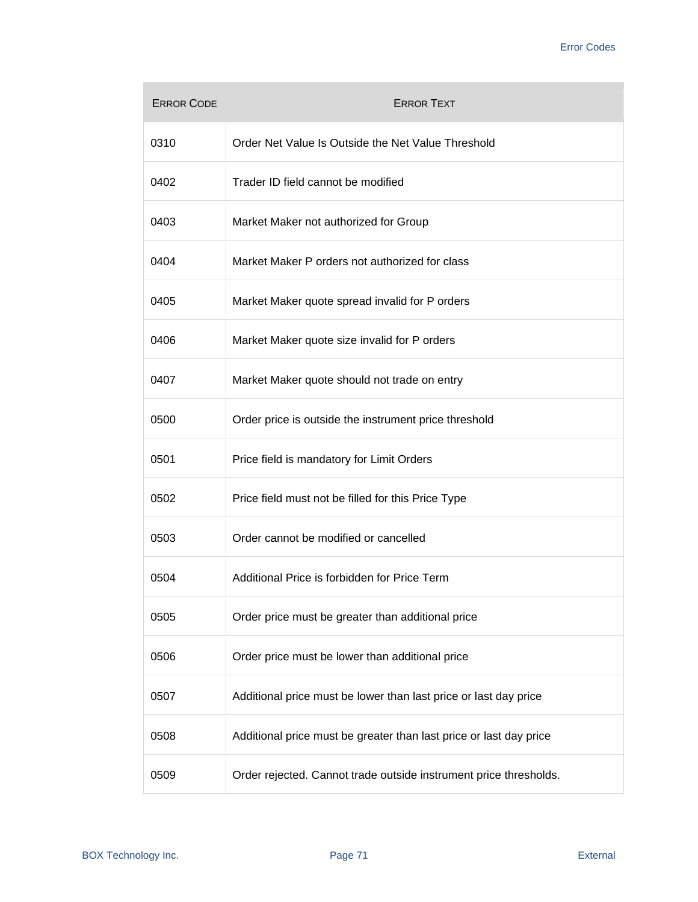| <b>ERROR CODE</b> | <b>ERROR TEXT</b>                                                  |
|-------------------|--------------------------------------------------------------------|
| 0310              | Order Net Value Is Outside the Net Value Threshold                 |
| 0402              | Trader ID field cannot be modified                                 |
| 0403              | Market Maker not authorized for Group                              |
| 0404              | Market Maker P orders not authorized for class                     |
| 0405              | Market Maker quote spread invalid for P orders                     |
| 0406              | Market Maker quote size invalid for P orders                       |
| 0407              | Market Maker quote should not trade on entry                       |
| 0500              | Order price is outside the instrument price threshold              |
| 0501              | Price field is mandatory for Limit Orders                          |
| 0502              | Price field must not be filled for this Price Type                 |
| 0503              | Order cannot be modified or cancelled                              |
| 0504              | Additional Price is forbidden for Price Term                       |
| 0505              | Order price must be greater than additional price                  |
| 0506              | Order price must be lower than additional price                    |
| 0507              | Additional price must be lower than last price or last day price   |
| 0508              | Additional price must be greater than last price or last day price |
| 0509              | Order rejected. Cannot trade outside instrument price thresholds.  |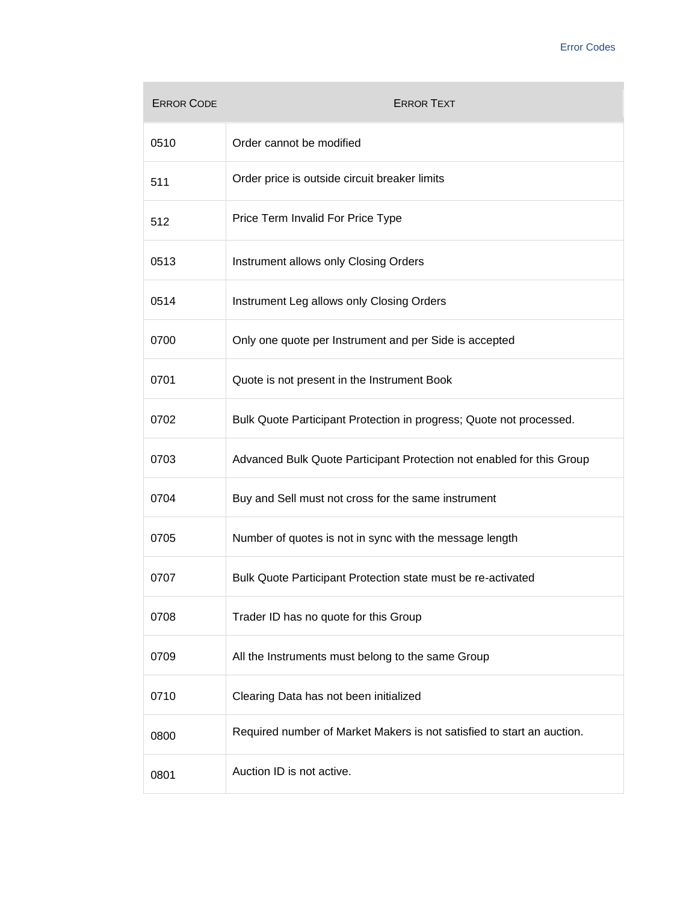| <b>ERROR CODE</b> | <b>ERROR TEXT</b>                                                      |
|-------------------|------------------------------------------------------------------------|
| 0510              | Order cannot be modified                                               |
| 511               | Order price is outside circuit breaker limits                          |
| 512               | Price Term Invalid For Price Type                                      |
| 0513              | Instrument allows only Closing Orders                                  |
| 0514              | Instrument Leg allows only Closing Orders                              |
| 0700              | Only one quote per Instrument and per Side is accepted                 |
| 0701              | Quote is not present in the Instrument Book                            |
| 0702              | Bulk Quote Participant Protection in progress; Quote not processed.    |
| 0703              | Advanced Bulk Quote Participant Protection not enabled for this Group  |
| 0704              | Buy and Sell must not cross for the same instrument                    |
| 0705              | Number of quotes is not in sync with the message length                |
| 0707              | Bulk Quote Participant Protection state must be re-activated           |
| 0708              | Trader ID has no quote for this Group                                  |
| 0709              | All the Instruments must belong to the same Group                      |
| 0710              | Clearing Data has not been initialized                                 |
| 0800              | Required number of Market Makers is not satisfied to start an auction. |
| 0801              | Auction ID is not active.                                              |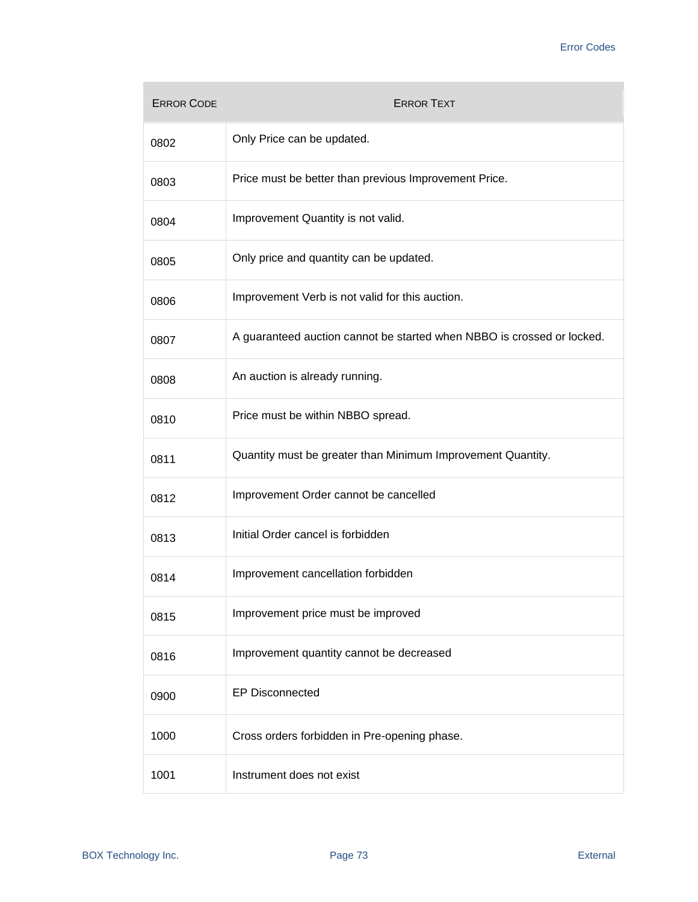| <b>ERROR CODE</b> | <b>ERROR TEXT</b>                                                      |
|-------------------|------------------------------------------------------------------------|
| 0802              | Only Price can be updated.                                             |
| 0803              | Price must be better than previous Improvement Price.                  |
| 0804              | Improvement Quantity is not valid.                                     |
| 0805              | Only price and quantity can be updated.                                |
| 0806              | Improvement Verb is not valid for this auction.                        |
| 0807              | A guaranteed auction cannot be started when NBBO is crossed or locked. |
| 0808              | An auction is already running.                                         |
| 0810              | Price must be within NBBO spread.                                      |
| 0811              | Quantity must be greater than Minimum Improvement Quantity.            |
| 0812              | Improvement Order cannot be cancelled                                  |
| 0813              | Initial Order cancel is forbidden                                      |
| 0814              | Improvement cancellation forbidden                                     |
| 0815              | Improvement price must be improved                                     |
| 0816              | Improvement quantity cannot be decreased                               |
| 0900              | <b>EP Disconnected</b>                                                 |
| 1000              | Cross orders forbidden in Pre-opening phase.                           |
| 1001              | Instrument does not exist                                              |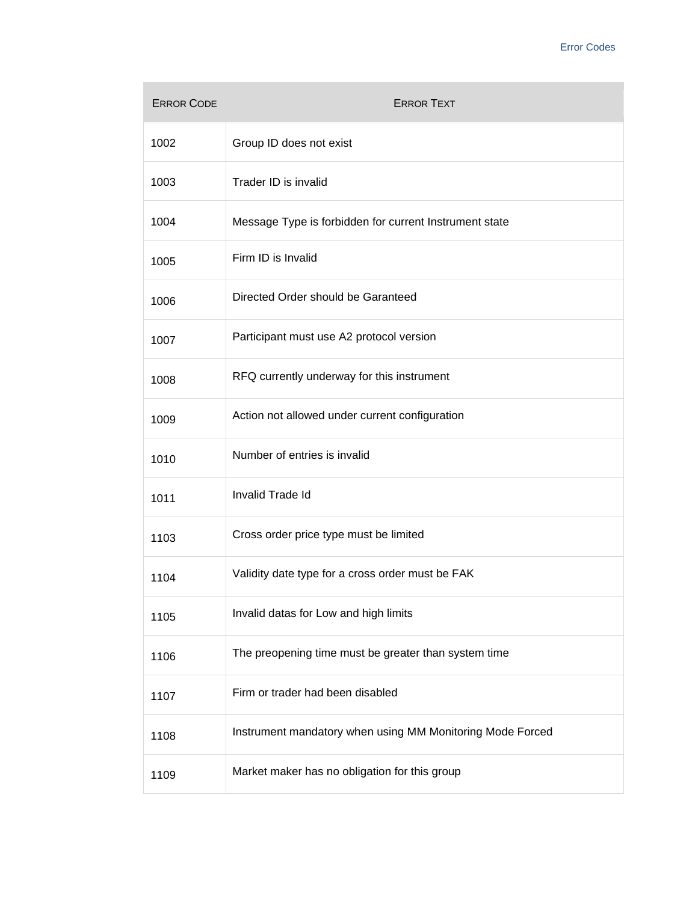| <b>ERROR CODE</b> | <b>ERROR TEXT</b>                                         |
|-------------------|-----------------------------------------------------------|
| 1002              | Group ID does not exist                                   |
| 1003              | Trader ID is invalid                                      |
| 1004              | Message Type is forbidden for current Instrument state    |
| 1005              | Firm ID is Invalid                                        |
| 1006              | Directed Order should be Garanteed                        |
| 1007              | Participant must use A2 protocol version                  |
| 1008              | RFQ currently underway for this instrument                |
| 1009              | Action not allowed under current configuration            |
| 1010              | Number of entries is invalid                              |
| 1011              | Invalid Trade Id                                          |
| 1103              | Cross order price type must be limited                    |
| 1104              | Validity date type for a cross order must be FAK          |
| 1105              | Invalid datas for Low and high limits                     |
| 1106              | The preopening time must be greater than system time      |
| 1107              | Firm or trader had been disabled                          |
| 1108              | Instrument mandatory when using MM Monitoring Mode Forced |
| 1109              | Market maker has no obligation for this group             |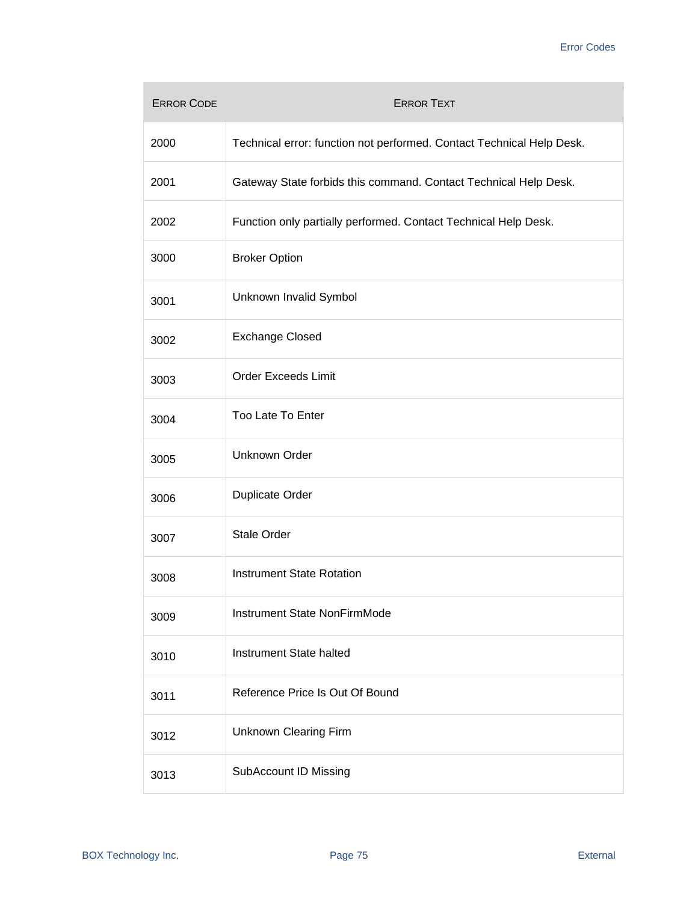| <b>ERROR CODE</b> | <b>ERROR TEXT</b>                                                     |
|-------------------|-----------------------------------------------------------------------|
| 2000              | Technical error: function not performed. Contact Technical Help Desk. |
| 2001              | Gateway State forbids this command. Contact Technical Help Desk.      |
| 2002              | Function only partially performed. Contact Technical Help Desk.       |
| 3000              | <b>Broker Option</b>                                                  |
| 3001              | Unknown Invalid Symbol                                                |
| 3002              | <b>Exchange Closed</b>                                                |
| 3003              | <b>Order Exceeds Limit</b>                                            |
| 3004              | Too Late To Enter                                                     |
| 3005              | Unknown Order                                                         |
| 3006              | <b>Duplicate Order</b>                                                |
| 3007              | <b>Stale Order</b>                                                    |
| 3008              | <b>Instrument State Rotation</b>                                      |
| 3009              | Instrument State NonFirmMode                                          |
| 3010              | Instrument State halted                                               |
| 3011              | Reference Price Is Out Of Bound                                       |
| 3012              | <b>Unknown Clearing Firm</b>                                          |
| 3013              | SubAccount ID Missing                                                 |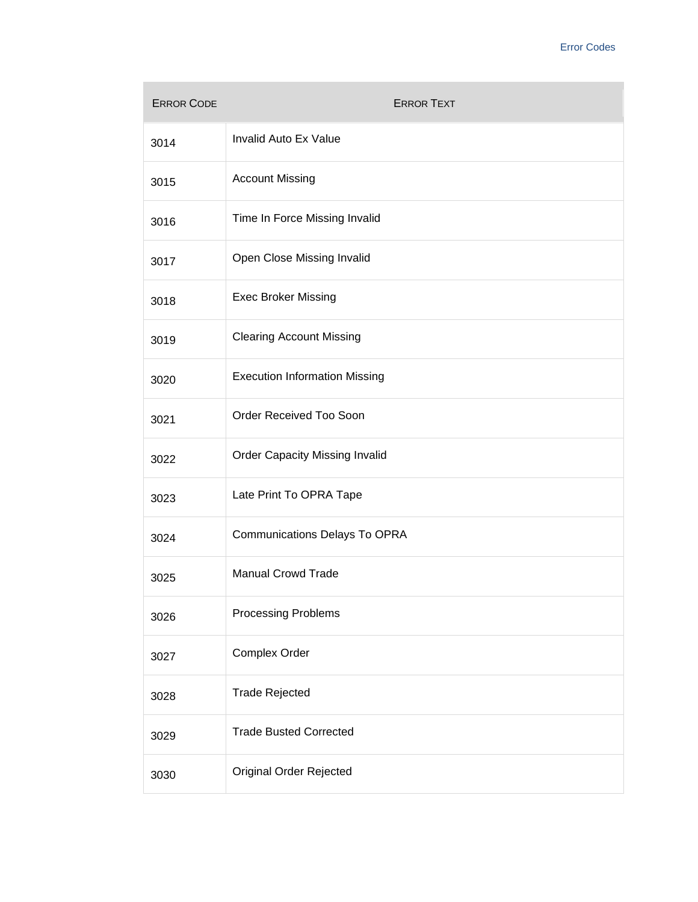| <b>ERROR CODE</b> | <b>ERROR TEXT</b>                     |
|-------------------|---------------------------------------|
| 3014              | Invalid Auto Ex Value                 |
| 3015              | <b>Account Missing</b>                |
| 3016              | Time In Force Missing Invalid         |
| 3017              | Open Close Missing Invalid            |
| 3018              | <b>Exec Broker Missing</b>            |
| 3019              | <b>Clearing Account Missing</b>       |
| 3020              | <b>Execution Information Missing</b>  |
| 3021              | Order Received Too Soon               |
| 3022              | <b>Order Capacity Missing Invalid</b> |
| 3023              | Late Print To OPRA Tape               |
| 3024              | <b>Communications Delays To OPRA</b>  |
| 3025              | <b>Manual Crowd Trade</b>             |
| 3026              | <b>Processing Problems</b>            |
| 3027              | Complex Order                         |
| 3028              | <b>Trade Rejected</b>                 |
| 3029              | <b>Trade Busted Corrected</b>         |
| 3030              | Original Order Rejected               |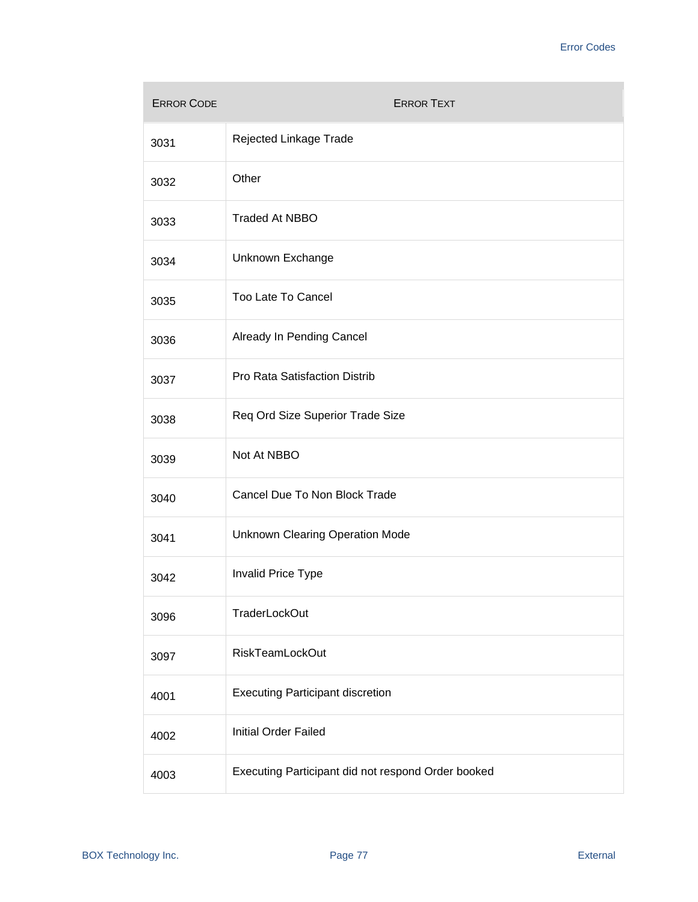| <b>ERROR CODE</b> | <b>ERROR TEXT</b>                                  |
|-------------------|----------------------------------------------------|
| 3031              | Rejected Linkage Trade                             |
| 3032              | Other                                              |
| 3033              | <b>Traded At NBBO</b>                              |
| 3034              | Unknown Exchange                                   |
| 3035              | Too Late To Cancel                                 |
| 3036              | Already In Pending Cancel                          |
| 3037              | Pro Rata Satisfaction Distrib                      |
| 3038              | Req Ord Size Superior Trade Size                   |
| 3039              | Not At NBBO                                        |
| 3040              | Cancel Due To Non Block Trade                      |
| 3041              | <b>Unknown Clearing Operation Mode</b>             |
| 3042              | Invalid Price Type                                 |
| 3096              | TraderLockOut                                      |
| 3097              | RiskTeamLockOut                                    |
| 4001              | <b>Executing Participant discretion</b>            |
| 4002              | Initial Order Failed                               |
| 4003              | Executing Participant did not respond Order booked |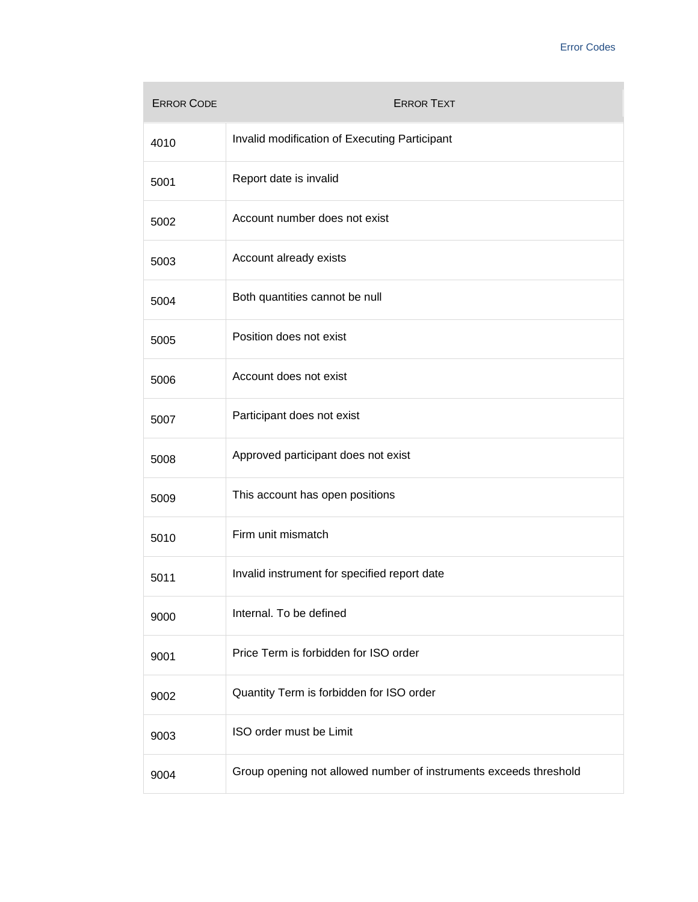| <b>ERROR CODE</b> | <b>ERROR TEXT</b>                                                 |
|-------------------|-------------------------------------------------------------------|
| 4010              | Invalid modification of Executing Participant                     |
| 5001              | Report date is invalid                                            |
| 5002              | Account number does not exist                                     |
| 5003              | Account already exists                                            |
| 5004              | Both quantities cannot be null                                    |
| 5005              | Position does not exist                                           |
| 5006              | Account does not exist                                            |
| 5007              | Participant does not exist                                        |
| 5008              | Approved participant does not exist                               |
| 5009              | This account has open positions                                   |
| 5010              | Firm unit mismatch                                                |
| 5011              | Invalid instrument for specified report date                      |
| 9000              | Internal. To be defined                                           |
| 9001              | Price Term is forbidden for ISO order                             |
| 9002              | Quantity Term is forbidden for ISO order                          |
| 9003              | ISO order must be Limit                                           |
| 9004              | Group opening not allowed number of instruments exceeds threshold |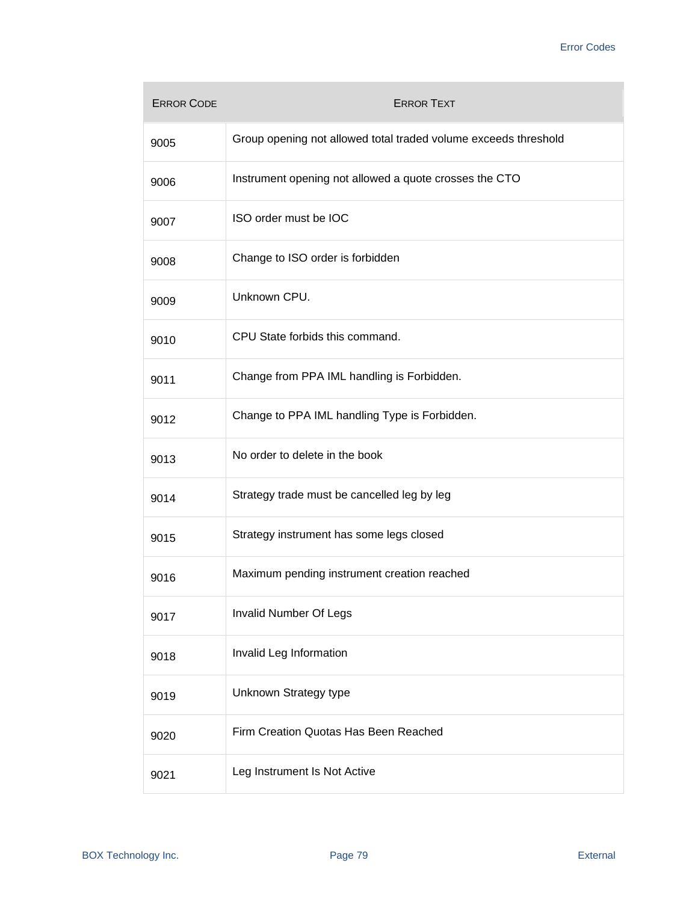| <b>ERROR CODE</b> | <b>ERROR TEXT</b>                                               |
|-------------------|-----------------------------------------------------------------|
| 9005              | Group opening not allowed total traded volume exceeds threshold |
| 9006              | Instrument opening not allowed a quote crosses the CTO          |
| 9007              | ISO order must be IOC                                           |
| 9008              | Change to ISO order is forbidden                                |
| 9009              | Unknown CPU.                                                    |
| 9010              | CPU State forbids this command.                                 |
| 9011              | Change from PPA IML handling is Forbidden.                      |
| 9012              | Change to PPA IML handling Type is Forbidden.                   |
| 9013              | No order to delete in the book                                  |
| 9014              | Strategy trade must be cancelled leg by leg                     |
| 9015              | Strategy instrument has some legs closed                        |
| 9016              | Maximum pending instrument creation reached                     |
| 9017              | <b>Invalid Number Of Legs</b>                                   |
| 9018              | Invalid Leg Information                                         |
| 9019              | Unknown Strategy type                                           |
| 9020              | Firm Creation Quotas Has Been Reached                           |
| 9021              | Leg Instrument Is Not Active                                    |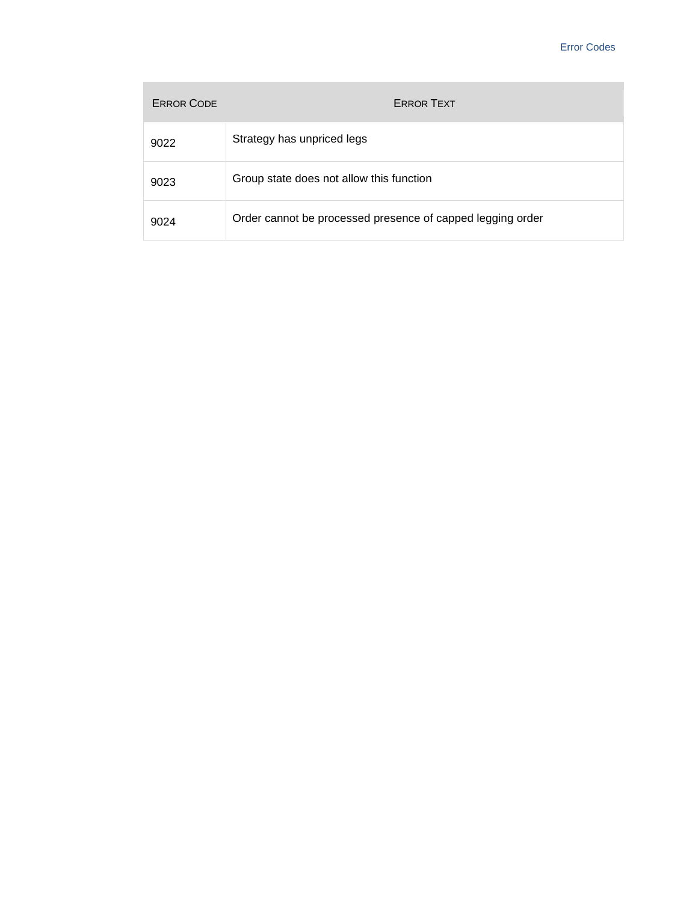| <b>ERROR CODE</b> | <b>ERROR TEXT</b>                                          |
|-------------------|------------------------------------------------------------|
| 9022              | Strategy has unpriced legs                                 |
| 9023              | Group state does not allow this function                   |
| 9024              | Order cannot be processed presence of capped legging order |